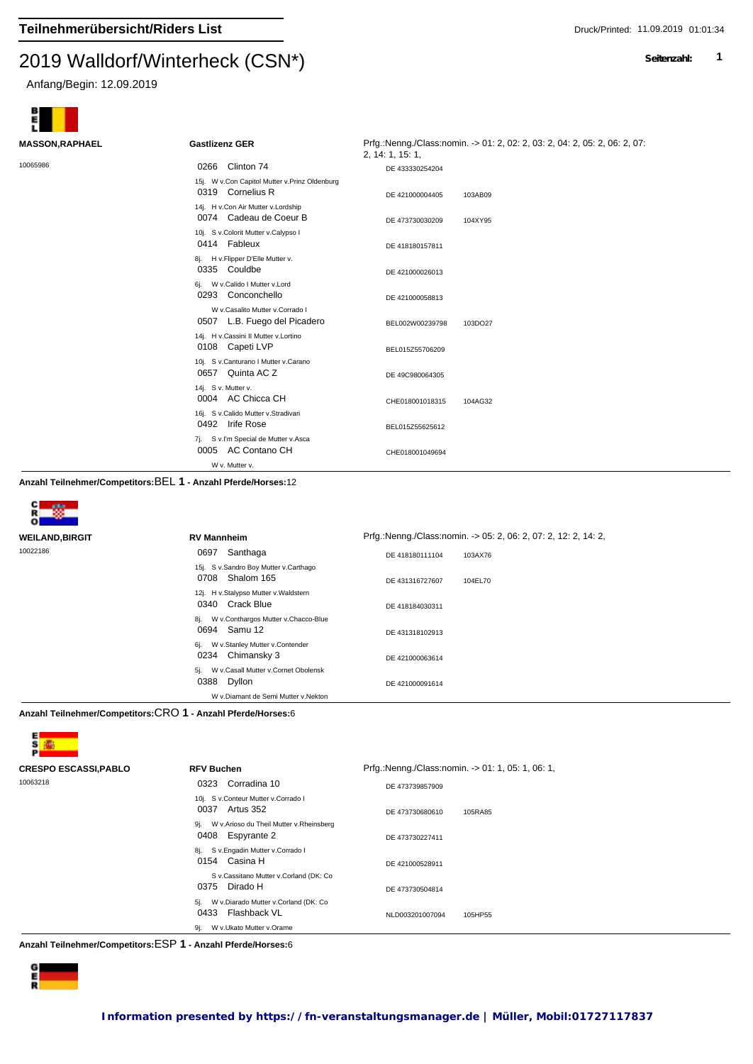#### $2019$  Walldon Winterheck (CSN $\gamma$ )

Anfang/Begin: 12.09.2019



| <b>MASSON, RAPHAEL</b> | <b>Gastlizenz GER</b>                                              | Prfg.:Nenng./Class:nomin. -> 01: 2, 02: 2, 03: 2, 04: 2, 05: 2, 06: 2, 07:<br>2, 14: 1, 15: 1, |
|------------------------|--------------------------------------------------------------------|------------------------------------------------------------------------------------------------|
| 10065986               | 0266 Clinton 74                                                    | DE 433330254204                                                                                |
|                        | 15j. W v.Con Capitol Mutter v.Prinz Oldenburg<br>0319 Cornelius R  | DE 421000004405<br>103AB09                                                                     |
|                        | 14j. H v.Con Air Mutter v.Lordship<br>0074 Cadeau de Coeur B       | DE 473730030209<br>104XY95                                                                     |
|                        | 10j. S v.Colorit Mutter v.Calypso I<br>0414 Fableux                | DE 418180157811                                                                                |
|                        | 8j. H v. Flipper D'Elle Mutter v.<br>0335 Couldbe                  | DE 421000026013                                                                                |
|                        | W v.Calido I Mutter v.Lord<br>6i.<br>0293 Conconchello             | DE 421000058813                                                                                |
|                        | W v.Casalito Mutter v.Corrado I<br>L.B. Fuego del Picadero<br>0507 | BEL002W00239798<br>103DO27                                                                     |
|                        | 14j. H v.Cassini II Mutter v.Lortino<br>0108 Capeti LVP            | BEL015Z55706209                                                                                |
|                        | 10j. S v.Canturano I Mutter v.Carano<br>0657 Quinta AC Z           | DE 49C980064305                                                                                |
|                        | 14j. S v. Mutter v.<br>0004 AC Chicca CH                           | 104AG32<br>CHE018001018315                                                                     |
|                        | 16j. S v.Calido Mutter v.Stradivari<br>0492 Irife Rose             | BEL015Z55625612                                                                                |
|                        | S v.I'm Special de Mutter v.Asca<br>7j.<br>0005 AC Contano CH      | CHE018001049694                                                                                |
|                        | W v. Mutter v.                                                     |                                                                                                |

**Anzahl Teilnehmer/Competitors:**BEL **1 - Anzahl Pferde/Horses:**12



| WEILAND,BIRGIT | <b>RV Mannheim</b>                                           | Prfg.:Nenng./Class:nomin. -> 05: 2, 06: 2, 07: 2, 12: 2, 14: 2, |
|----------------|--------------------------------------------------------------|-----------------------------------------------------------------|
| 10022186       | Santhaga<br>0697                                             | DE 418180111104<br>103AX76                                      |
|                | 15j. S v.Sandro Boy Mutter v.Carthago<br>Shalom 165<br>0708  | 104EL70<br>DE 431316727607                                      |
|                | 12j. H v.Stalypso Mutter v.Waldstern<br>0340 Crack Blue      | DE 418184030311                                                 |
|                | W v.Conthargos Mutter v.Chacco-Blue<br>8j.<br>0694 Samu 12   | DE 431318102913                                                 |
|                | W v.Stanley Mutter v.Contender<br>6j.<br>Chimansky 3<br>0234 | DE 421000063614                                                 |
|                | W v.Casall Mutter v.Cornet Obolensk<br>5i.<br>0388<br>Dyllon | DE 421000091614                                                 |
|                | W v.Diamant de Semi Mutter v.Nekton                          |                                                                 |

**Anzahl Teilnehmer/Competitors:**CRO **1 - Anzahl Pferde/Horses:**6



| <b>CRESPO ESCASSI,PABLO</b> | <b>RFV Buchen</b>                                                   | Prfg.:Nenng./Class:nomin. -> 01: 1, 05: 1, 06: 1, |
|-----------------------------|---------------------------------------------------------------------|---------------------------------------------------|
| 10063218                    | Corradina 10<br>0323                                                | DE 473739857909                                   |
|                             | 10j. S v.Conteur Mutter v.Corrado I<br>0037<br>Artus 352            | DE 473730680610<br>105RA85                        |
|                             | W v.Arioso du Theil Mutter v.Rheinsberg<br>9i.<br>0408 Espyrante 2  | DE 473730227411                                   |
|                             | S v.Engadin Mutter v.Corrado I<br>8i.<br>0154 Casina H              | DE 421000528911                                   |
|                             | S v.Cassitano Mutter v.Corland (DK: Co<br>Dirado H<br>0375          | DE 473730504814                                   |
|                             | W v.Diarado Mutter v.Corland (DK: Co<br>5i.<br>Flashback VL<br>0433 | NLD003201007094<br>105HP55                        |
|                             | W v.Ukato Mutter v.Orame<br>9j.                                     |                                                   |

**Anzahl Teilnehmer/Competitors:**ESP **1 - Anzahl Pferde/Horses:**6

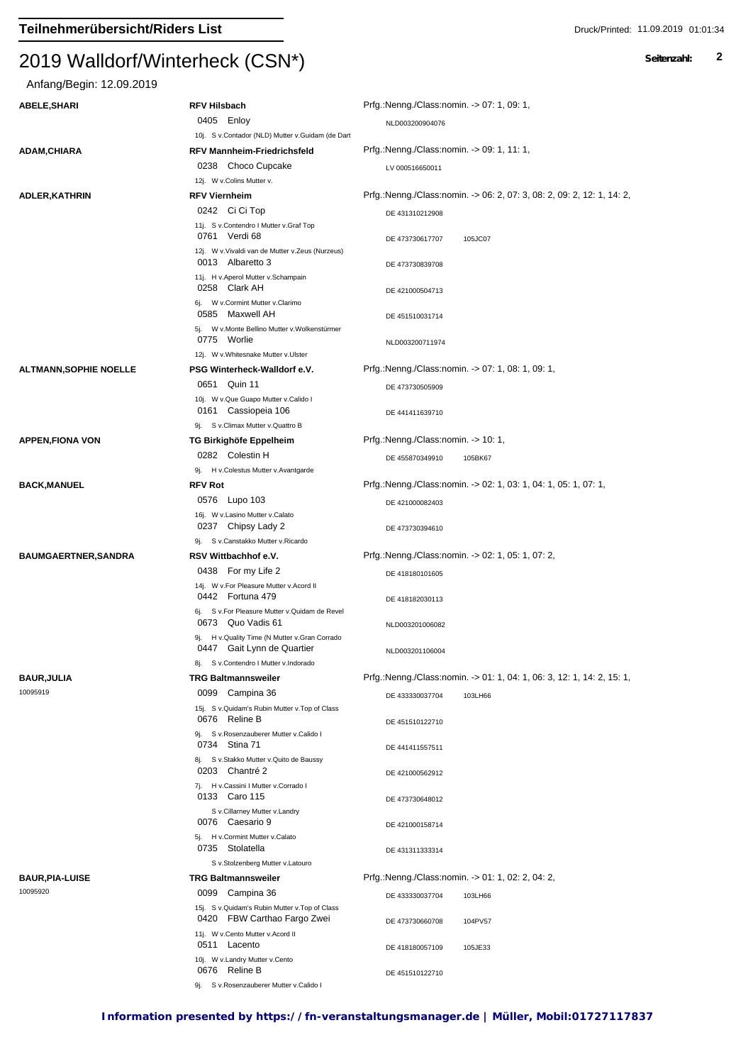# Anfang/Begin: 12.09.2019

| ABELE,SHARI                | <b>RFV Hilsbach</b>                                                            | Prfg.:Nenng./Class:nomin. -> 07: 1, 09: 1,                             |
|----------------------------|--------------------------------------------------------------------------------|------------------------------------------------------------------------|
|                            | 0405 Enloy                                                                     | NLD003200904076                                                        |
|                            | 10j. S v.Contador (NLD) Mutter v.Guidam (de Dart                               |                                                                        |
| ADAM,CHIARA                | <b>RFV Mannheim-Friedrichsfeld</b>                                             | Prfg.:Nenng./Class:nomin. -> 09: 1, 11: 1,                             |
|                            | 0238 Choco Cupcake                                                             | LV 000516650011                                                        |
|                            | 12j. W v.Colins Mutter v.                                                      |                                                                        |
| ADLER,KATHRIN              | <b>RFV Viernheim</b>                                                           | Prfg.:Nenng./Class:nomin. -> 06: 2, 07: 3, 08: 2, 09: 2, 12: 1, 14: 2, |
|                            | 0242 Ci Ci Top                                                                 |                                                                        |
|                            | 11j. S v.Contendro I Mutter v.Graf Top                                         | DE 431310212908                                                        |
|                            | 0761 Verdi 68                                                                  | DE 473730617707<br>105JC07                                             |
|                            | 12j. W v. Vivaldi van de Mutter v. Zeus (Nurzeus)                              |                                                                        |
|                            | 0013 Albaretto 3                                                               | DE 473730839708                                                        |
|                            | 11j. H v.Aperol Mutter v.Schampain<br>0258 Clark AH                            | DE 421000504713                                                        |
|                            | 6j. W v.Cormint Mutter v.Clarimo                                               |                                                                        |
|                            | 0585 Maxwell AH                                                                | DE 451510031714                                                        |
|                            | 5j. W v.Monte Bellino Mutter v.Wolkenstürmer<br>0775 Worlie                    |                                                                        |
|                            | 12j. W v. Whitesnake Mutter v. Ulster                                          | NLD003200711974                                                        |
|                            |                                                                                | Prfg.:Nenng./Class:nomin. -> 07: 1, 08: 1, 09: 1,                      |
| ALTMANN,SOPHIE NOELLE      | PSG Winterheck-Walldorf e.V.<br>0651 Quin 11                                   |                                                                        |
|                            |                                                                                | DE 473730505909                                                        |
|                            | 10j. W v.Que Guapo Mutter v.Calido I<br>0161 Cassiopeia 106                    | DE 441411639710                                                        |
|                            | 9j. S v.Climax Mutter v.Quattro B                                              |                                                                        |
| APPEN,FIONA VON            | TG Birkighöfe Eppelheim                                                        | Prfg.:Nenng./Class:nomin. -> 10: 1,                                    |
|                            | 0282 Colestin H                                                                |                                                                        |
|                            | 9j. H v.Colestus Mutter v.Avantgarde                                           | DE 455870349910<br>105BK67                                             |
| <b>BACK,MANUEL</b>         | <b>RFV Rot</b>                                                                 | Prfg.:Nenng./Class:nomin. -> 02: 1, 03: 1, 04: 1, 05: 1, 07: 1,        |
|                            | 0576 Lupo 103                                                                  |                                                                        |
|                            | 16j. W v.Lasino Mutter v.Calato                                                | DE 421000082403                                                        |
|                            | 0237 Chipsy Lady 2                                                             | DE 473730394610                                                        |
|                            | 9j. S v.Canstakko Mutter v.Ricardo                                             |                                                                        |
| <b>BAUMGAERTNER,SANDRA</b> | RSV Wittbachhof e.V.                                                           | Prfg.:Nenng./Class:nomin. -> 02: 1, 05: 1, 07: 2,                      |
|                            | 0438 For my Life 2                                                             | DE 418180101605                                                        |
|                            | 14j. W v.For Pleasure Mutter v.Acord II                                        |                                                                        |
|                            | 0442 Fortuna 479                                                               | DE 418182030113                                                        |
|                            | 6j. S v.For Pleasure Mutter v.Quidam de Revel                                  |                                                                        |
|                            | 0673 Quo Vadis 61                                                              | NLD003201006082                                                        |
|                            | 9j. H v. Quality Time (N Mutter v. Gran Corrado<br>0447 Gait Lynn de Quartier  |                                                                        |
|                            | 8j. S v.Contendro I Mutter v.Indorado                                          | NLD003201106004                                                        |
| BAUR,JULIA                 | <b>TRG Baltmannsweiler</b>                                                     | Prfg.:Nenng./Class:nomin. -> 01: 1, 04: 1, 06: 3, 12: 1, 14: 2, 15: 1, |
| 10095919                   | 0099 Campina 36                                                                |                                                                        |
|                            | 15j. S v. Quidam's Rubin Mutter v. Top of Class                                | DE 433330037704<br>103LH66                                             |
|                            | 0676 Reline B                                                                  | DE 451510122710                                                        |
|                            | 9j. S v.Rosenzauberer Mutter v.Calido I                                        |                                                                        |
|                            | 0734 Stina 71                                                                  | DE 441411557511                                                        |
|                            | 8j. S v.Stakko Mutter v.Quito de Baussy                                        |                                                                        |
|                            | 0203 Chantré 2                                                                 | DE 421000562912                                                        |
|                            | 7j. H v.Cassini I Mutter v.Corrado I<br>0133 Caro 115                          | DE 473730648012                                                        |
|                            | S v.Cillarney Mutter v.Landry                                                  |                                                                        |
|                            | 0076 Caesario 9                                                                | DE 421000158714                                                        |
|                            | 5j. H v.Cormint Mutter v.Calato                                                |                                                                        |
|                            | 0735 Stolatella                                                                | DE 431311333314                                                        |
|                            | S v.Stolzenberg Mutter v.Latouro                                               |                                                                        |
| <b>BAUR,PIA-LUISE</b>      | <b>TRG Baltmannsweiler</b>                                                     | Prfg.:Nenng./Class:nomin. -> 01: 1, 02: 2, 04: 2,                      |
| 10095920                   | 0099 Campina 36                                                                | DE 433330037704<br>103LH66                                             |
|                            | 15j. S v. Quidam's Rubin Mutter v. Top of Class<br>0420 FBW Carthao Fargo Zwei | DE 473730660708<br>104PV57                                             |
|                            | 11j. W v.Cento Mutter v.Acord II                                               |                                                                        |
|                            | 0511 Lacento                                                                   | DE 418180057109<br>105JE33                                             |
|                            | 10j. W v.Landry Mutter v.Cento<br>0676 Reline B                                | DE 451510122710                                                        |
|                            | 9j. S v.Rosenzauberer Mutter v.Calido I                                        |                                                                        |
|                            |                                                                                |                                                                        |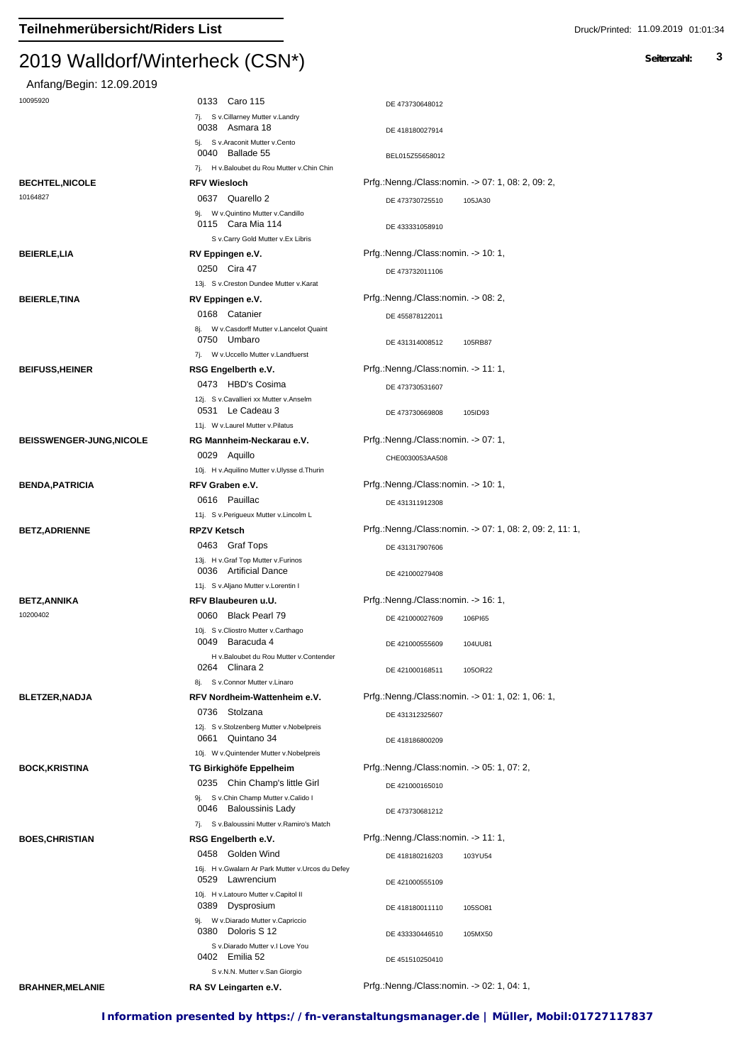| Anfang/Begin: 12.09.2019        |                                                                       |                                                          |
|---------------------------------|-----------------------------------------------------------------------|----------------------------------------------------------|
| 10095920                        | 0133 Caro 115                                                         | DE 473730648012                                          |
|                                 | 7j. S v.Cillarney Mutter v.Landry<br>0038 Asmara 18                   | DE 418180027914                                          |
|                                 | 5j. S v.Araconit Mutter v.Cento                                       |                                                          |
|                                 | 0040 Ballade 55                                                       | BEL015Z55658012                                          |
|                                 | 7j. H v.Baloubet du Rou Mutter v.Chin Chin                            |                                                          |
| <b>BECHTEL, NICOLE</b>          | <b>RFV Wiesloch</b>                                                   | Prfg.:Nenng./Class:nomin. -> 07: 1, 08: 2, 09: 2,        |
| 10164827                        | 0637 Quarello 2                                                       | DE 473730725510<br>105JA30                               |
|                                 | 9j. W v. Quintino Mutter v. Candillo<br>0115 Cara Mia 114             | DE 433331058910                                          |
|                                 | S v.Carry Gold Mutter v.Ex Libris                                     |                                                          |
| <b>BEIERLE,LIA</b>              | RV Eppingen e.V.                                                      | Prfg.:Nenng./Class:nomin. -> 10: 1,                      |
|                                 | 0250 Cira 47                                                          | DE 473732011106                                          |
|                                 | 13j. S v.Creston Dundee Mutter v.Karat                                |                                                          |
| <b>BEIERLE, TINA</b>            | RV Eppingen e.V.                                                      | Prfg.:Nenng./Class:nomin. -> 08: 2,                      |
|                                 | 0168 Catanier                                                         | DE 455878122011                                          |
|                                 | 8j. W v.Casdorff Mutter v.Lancelot Quaint<br>0750 Umbaro              | DE 431314008512<br>105RB87                               |
|                                 | 7j. W v. Uccello Mutter v. Landfuerst                                 |                                                          |
| <b>BEIFUSS, HEINER</b>          | RSG Engelberth e.V.                                                   | Prfg.:Nenng./Class:nomin. -> 11: 1,                      |
|                                 | 0473 HBD's Cosima                                                     | DE 473730531607                                          |
|                                 | 12j. S v.Cavallieri xx Mutter v.Anselm<br>0531 Le Cadeau 3            | DE 473730669808<br>105ID93                               |
|                                 | 11j. W v.Laurel Mutter v.Pilatus                                      |                                                          |
| <b>BEISSWENGER-JUNG, NICOLE</b> | RG Mannheim-Neckarau e.V.                                             | Prfg.:Nenng./Class:nomin. -> 07: 1,                      |
|                                 | 0029 Aquillo                                                          | CHE0030053AA508                                          |
|                                 | 10j. H v.Aquilino Mutter v.Ulysse d.Thurin                            |                                                          |
| <b>BENDA, PATRICIA</b>          | RFV Graben e.V.                                                       | Prfg.:Nenng./Class:nomin. -> 10: 1,                      |
|                                 | 0616 Pauillac                                                         | DE 431311912308                                          |
|                                 | 11j. S v.Perigueux Mutter v.Lincolm L                                 |                                                          |
| <b>BETZ, ADRIENNE</b>           | <b>RPZV Ketsch</b>                                                    | Prfg.:Nenng./Class:nomin. -> 07: 1, 08: 2, 09: 2, 11: 1, |
|                                 | 0463 Graf Tops                                                        | DE 431317907606                                          |
|                                 | 13j. H v.Graf Top Mutter v.Furinos                                    |                                                          |
|                                 | 0036 Artificial Dance                                                 | DE 421000279408                                          |
|                                 | 11j. S v.Aljano Mutter v.Lorentin I                                   |                                                          |
| BETZ,ANNIKA                     | RFV Blaubeuren u.U.                                                   | Prfg.:Nenng./Class:nomin. -> 16: 1,                      |
| 10200402                        | 0060 Black Pearl 79                                                   | DE 421000027609<br>106PI65                               |
|                                 | 10j. S v.Cliostro Mutter v.Carthago                                   |                                                          |
|                                 | 0049 Baracuda 4                                                       | DE 421000555609<br>104UU81                               |
|                                 | H v.Baloubet du Rou Mutter v.Contender<br>0264 Clinara 2              |                                                          |
|                                 | 8j. S v.Connor Mutter v.Linaro                                        | 105OR22<br>DE 421000168511                               |
| <b>BLETZER, NADJA</b>           | RFV Nordheim-Wattenheim e.V.                                          | Prfg.:Nenng./Class:nomin. -> 01: 1, 02: 1, 06: 1,        |
|                                 | 0736 Stolzana                                                         |                                                          |
|                                 | 12j. S v.Stolzenberg Mutter v.Nobelpreis                              | DE 431312325607                                          |
|                                 | 0661 Quintano 34                                                      | DE 418186800209                                          |
| <b>BOCK,KRISTINA</b>            | 10j. W v. Quintender Mutter v. Nobelpreis                             | Prfg.:Nenng./Class:nomin. -> 05: 1, 07: 2,               |
|                                 | TG Birkighöfe Eppelheim                                               |                                                          |
|                                 | 0235 Chin Champ's little Girl<br>9j. S v.Chin Champ Mutter v.Calido I | DE 421000165010                                          |
|                                 | 0046 Baloussinis Lady                                                 | DE 473730681212                                          |
|                                 | 7j. S v.Baloussini Mutter v.Ramiro's Match                            |                                                          |
| <b>BOES, CHRISTIAN</b>          | RSG Engelberth e.V.                                                   | Prfg.:Nenng./Class:nomin. -> 11: 1,                      |
|                                 | 0458 Golden Wind                                                      | DE 418180216203<br>103YU54                               |
|                                 | 16j. H v. Gwalarn Ar Park Mutter v. Urcos du Defey<br>0529 Lawrencium | DE 421000555109                                          |
|                                 | 10j. H v.Latouro Mutter v.Capitol II<br>0389 Dysprosium               | 105SO81<br>DE 418180011110                               |
|                                 | 9j. W v.Diarado Mutter v.Capriccio<br>0380 Doloris S 12               | DE 433330446510<br>105MX50                               |
|                                 | S v.Diarado Mutter v.I Love You                                       |                                                          |
|                                 | 0402 Emilia 52                                                        | DE 451510250410                                          |
|                                 | S v.N.N. Mutter v.San Giorgio                                         |                                                          |
| <b>BRAHNER, MELANIE</b>         | RA SV Leingarten e.V.                                                 | Prfg.:Nenng./Class:nomin. -> 02: 1, 04: 1,               |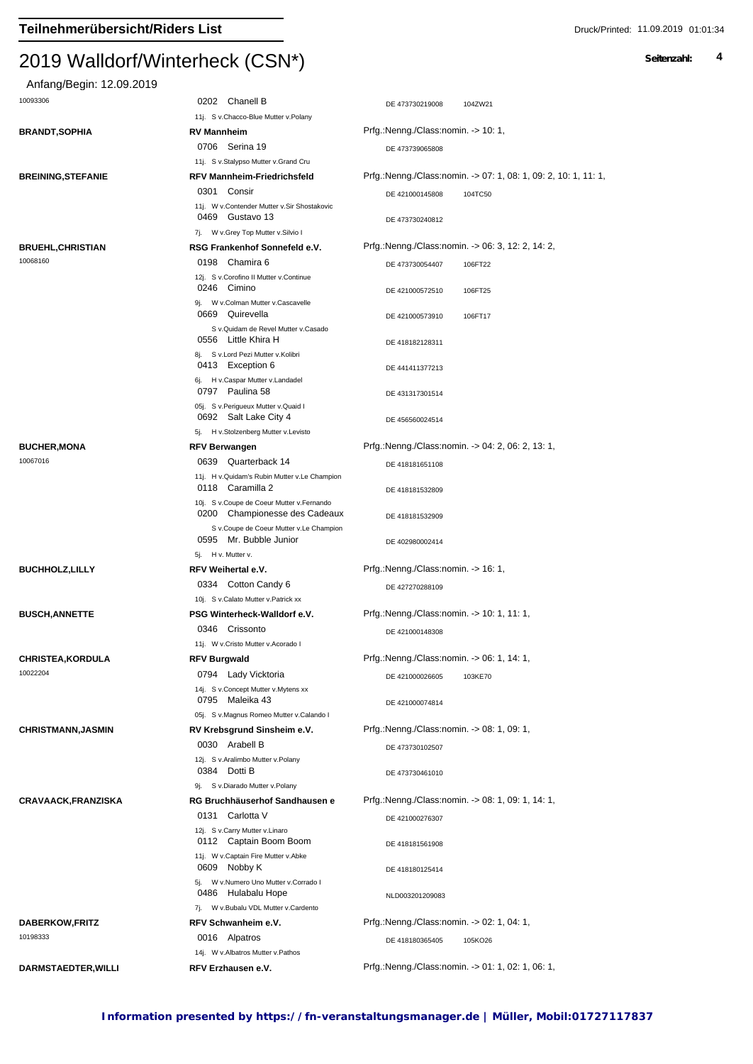| Anfang/Begin: 12.09.2019          |                                                                                                     |                                                                 |
|-----------------------------------|-----------------------------------------------------------------------------------------------------|-----------------------------------------------------------------|
| 10093306                          | 0202 Chanell B<br>11j. S v.Chacco-Blue Mutter v.Polany                                              | DE 473730219008<br>104ZW21                                      |
| <b>BRANDT,SOPHIA</b>              | RV Mannheim                                                                                         | Prfg.:Nenng./Class:nomin. -> 10: 1,                             |
|                                   | 0706 Serina 19                                                                                      |                                                                 |
|                                   | 11j. S v.Stalypso Mutter v.Grand Cru                                                                | DE 473739065808                                                 |
| <b>BREINING, STEFANIE</b>         | RFV Mannheim-Friedrichsfeld                                                                         | Prfg.:Nenng./Class:nomin. -> 07: 1, 08: 1, 09: 2, 10: 1, 11: 1, |
|                                   | 0301 Consir                                                                                         | DE 421000145808<br>104TC50                                      |
|                                   | 11j. W v.Contender Mutter v.Sir Shostakovic<br>0469 Gustavo 13                                      | DE 473730240812                                                 |
|                                   | 7j. W v.Grey Top Mutter v.Silvio I                                                                  |                                                                 |
| <b>BRUEHL,CHRISTIAN</b>           | RSG Frankenhof Sonnefeld e.V.                                                                       | Prfg.:Nenng./Class:nomin. -> 06: 3, 12: 2, 14: 2,               |
| 10068160                          | Chamira 6<br>0198                                                                                   | DE 473730054407<br>106FT22                                      |
|                                   | 12j. S v.Corofino II Mutter v.Continue                                                              |                                                                 |
|                                   | 0246 Cimino                                                                                         | DE 421000572510<br>106FT25                                      |
|                                   | 9j. W v.Colman Mutter v.Cascavelle<br>0669 Quirevella                                               | DE 421000573910<br>106FT17                                      |
|                                   | S v.Quidam de Revel Mutter v.Casado<br>0556 Little Khira H                                          |                                                                 |
|                                   | 8j. S v.Lord Pezi Mutter v.Kolibri                                                                  | DE 418182128311                                                 |
|                                   | 0413 Exception 6<br>6j. H v.Caspar Mutter v.Landadel                                                | DE 441411377213                                                 |
|                                   | 0797 Paulina 58                                                                                     | DE 431317301514                                                 |
|                                   | 05j. S v.Perigueux Mutter v.Quaid I                                                                 |                                                                 |
|                                   | 0692 Salt Lake City 4                                                                               | DE 456560024514                                                 |
|                                   | 5j. H v.Stolzenberg Mutter v.Levisto                                                                |                                                                 |
| <b>BUCHER, MONA</b>               | <b>RFV Berwangen</b>                                                                                | Prfg.:Nenng./Class:nomin. -> 04: 2, 06: 2, 13: 1,               |
| 10067016                          | 0639 Quarterback 14<br>11j. H v. Quidam's Rubin Mutter v. Le Champion                               | DE 418181651108                                                 |
|                                   | 0118 Caramilla 2<br>10j. S v.Coupe de Coeur Mutter v.Fernando                                       | DE 418181532809                                                 |
|                                   | 0200 Championesse des Cadeaux<br>S v.Coupe de Coeur Mutter v.Le Champion                            | DE 418181532909                                                 |
|                                   | 0595 Mr. Bubble Junior<br>5j. H v. Mutter v.                                                        | DE 402980002414                                                 |
| <b>BUCHHOLZ, LILLY</b>            | RFV Weihertal e.V.                                                                                  | Prfg.:Nenng./Class:nomin. -> 16: 1,                             |
|                                   | 0334 Cotton Candy 6                                                                                 |                                                                 |
|                                   | 10j. S v.Calato Mutter v.Patrick xx                                                                 | DE 427270288109                                                 |
| <b>BUSCH, ANNETTE</b>             | PSG Winterheck-Walldorf e.V.                                                                        | Prfg.:Nenng./Class:nomin. -> 10: 1, 11: 1,                      |
|                                   | 0346 Crissonto                                                                                      |                                                                 |
|                                   | 11j. W v.Cristo Mutter v.Acorado I                                                                  | DE 421000148308                                                 |
| <b>CHRISTEA, KORDULA</b>          | <b>RFV Burgwald</b>                                                                                 | Prfg.:Nenng./Class:nomin. -> 06: 1, 14: 1,                      |
| 10022204                          | 0794 Lady Vicktoria                                                                                 | 103KE70<br>DE 421000026605                                      |
|                                   | 14j. S v.Concept Mutter v.Mytens xx                                                                 |                                                                 |
|                                   | 0795 Maleika 43                                                                                     | DE 421000074814                                                 |
|                                   | 05j. S v.Magnus Romeo Mutter v.Calando I                                                            |                                                                 |
| <b>CHRISTMANN, JASMIN</b>         | RV Krebsgrund Sinsheim e.V.                                                                         | Prfg.:Nenng./Class:nomin. -> 08: 1, 09: 1,                      |
|                                   | 0030 Arabell B                                                                                      | DE 473730102507                                                 |
|                                   | 12j. S v.Aralimbo Mutter v.Polany                                                                   |                                                                 |
|                                   | 0384 Dotti B                                                                                        | DE 473730461010                                                 |
|                                   | 9j. S v.Diarado Mutter v.Polany                                                                     |                                                                 |
| <b>CRAVAACK, FRANZISKA</b>        | RG Bruchhäuserhof Sandhausen e                                                                      | Prfg.:Nenng./Class:nomin. -> 08: 1, 09: 1, 14: 1,               |
|                                   | 0131 Carlotta V<br>12j. S v.Carry Mutter v.Linaro<br>0112 Captain Boom Boom                         | DE 421000276307                                                 |
|                                   | 11j. W v.Captain Fire Mutter v.Abke                                                                 | DE 418181561908                                                 |
|                                   | 0609 Nobby K                                                                                        | DE 418180125414                                                 |
|                                   | 5j. W v.Numero Uno Mutter v.Corrado I<br>0486 Hulabalu Hope<br>7j. W v.Bubalu VDL Mutter v.Cardento | NLD003201209083                                                 |
|                                   | RFV Schwanheim e.V.                                                                                 | Prfg.:Nenng./Class:nomin. -> 02: 1, 04: 1,                      |
| <b>DABERKOW,FRITZ</b><br>10198333 | 0016 Alpatros                                                                                       | DE 418180365405<br>105KO26                                      |
|                                   | 14j. W v.Albatros Mutter v.Pathos                                                                   |                                                                 |
| DARMSTAEDTER, WILLI               | RFV Erzhausen e.V.                                                                                  | Prfg.:Nenng./Class:nomin. -> 01: 1, 02: 1, 06: 1,               |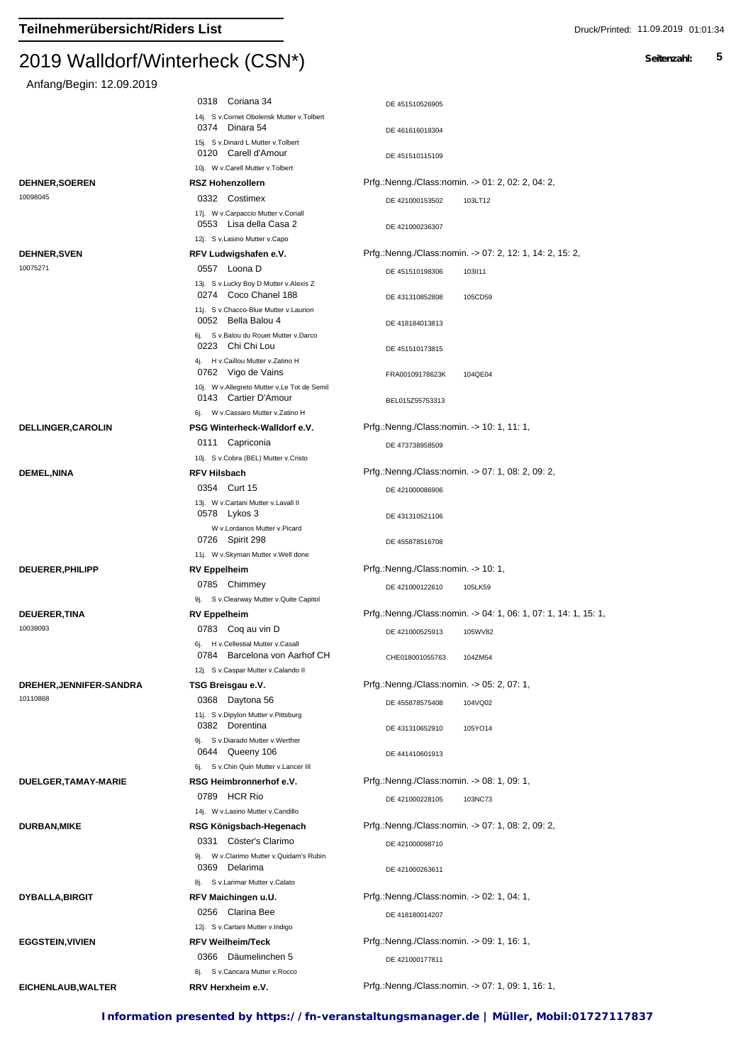| Anfang/Begin: 12.09.2019       |                                                                |                                            |                                                                 |
|--------------------------------|----------------------------------------------------------------|--------------------------------------------|-----------------------------------------------------------------|
|                                | 0318 Coriana 34                                                | DE 451510526905                            |                                                                 |
|                                | 14j. S v.Cornet Obolensk Mutter v.Tolbert                      |                                            |                                                                 |
|                                | 0374 Dinara 54                                                 | DE 461616018304                            |                                                                 |
|                                | 15j. S v.Dinard L Mutter v.Tolbert<br>0120 Carell d'Amour      |                                            |                                                                 |
|                                | 10j. W v.Carell Mutter v.Tolbert                               | DE 451510115109                            |                                                                 |
| <b>DEHNER, SOEREN</b>          | <b>RSZ Hohenzollern</b>                                        |                                            | Prfg.:Nenng./Class:nomin. -> 01: 2, 02: 2, 04: 2,               |
| 10098045                       | 0332 Costimex                                                  | DE 421000153502                            | 103LT12                                                         |
|                                | 17j. W v.Carpaccio Mutter v.Coriall                            |                                            |                                                                 |
|                                | 0553 Lisa della Casa 2                                         | DE 421000236307                            |                                                                 |
|                                | 12j. S v.Lasino Mutter v.Capo                                  |                                            |                                                                 |
| <b>DEHNER, SVEN</b>            | RFV Ludwigshafen e.V.                                          |                                            | Prfg.:Nenng./Class:nomin. -> 07: 2, 12: 1, 14: 2, 15: 2,        |
| 10075271                       | 0557 Loona D                                                   | DE 451510198306                            | 103II11                                                         |
|                                | 13j. S v.Lucky Boy D Mutter v.Alexis Z<br>0274 Coco Chanel 188 | DE 431310852808                            | 105CD59                                                         |
|                                | 11j. S v.Chacco-Blue Mutter v.Laurion<br>0052 Bella Balou 4    | DE 418184013813                            |                                                                 |
|                                | 6j. S v.Balou du Rouet Mutter v.Darco                          |                                            |                                                                 |
|                                | 0223 Chi Chi Lou                                               | DE 451510173815                            |                                                                 |
|                                | 4j. H v.Caillou Mutter v.Zatino H<br>0762 Vigo de Vains        | FRA00109178623K                            | 104QE04                                                         |
|                                | 10j. W v.Allegreto Mutter v.Le Tot de Semil                    |                                            |                                                                 |
|                                | 0143 Cartier D'Amour                                           | BEL015Z55753313                            |                                                                 |
|                                | 6j. W v.Cassaro Mutter v.Zatino H                              |                                            |                                                                 |
| <b>DELLINGER, CAROLIN</b>      | PSG Winterheck-Walldorf e.V.                                   | Prfg.:Nenng./Class:nomin. -> 10: 1, 11: 1, |                                                                 |
|                                | 0111 Capriconia                                                | DE 473738958509                            |                                                                 |
|                                | 10j. S v.Cobra (BEL) Mutter v.Cristo                           |                                            |                                                                 |
| <b>DEMEL,NINA</b>              | <b>RFV Hilsbach</b><br>0354 Curt 15                            |                                            | Prfg.:Nenng./Class:nomin. -> 07: 1, 08: 2, 09: 2,               |
|                                | 13j. W v.Cartani Mutter v.Lavall II                            | DE 421000086906                            |                                                                 |
|                                | 0578 Lykos 3                                                   | DE 431310521106                            |                                                                 |
|                                | W v.Lordanos Mutter v.Picard<br>0726 Spirit 298                | DE 455878516708                            |                                                                 |
|                                | 11j. W v.Skyman Mutter v.Well done                             |                                            |                                                                 |
| DEUERER, PHILIPP               | <b>RV Eppelheim</b>                                            | Prfg.:Nenng./Class:nomin. -> 10: 1,        |                                                                 |
|                                | 0785 Chimmey                                                   | DE 421000122610                            | 105LK59                                                         |
| <b>DEUERER, TINA</b>           | 9j. S v.Clearway Mutter v.Quite Capitol<br><b>RV Eppelheim</b> |                                            | Prfg.:Nenng./Class:nomin. -> 04: 1, 06: 1, 07: 1, 14: 1, 15: 1, |
| 10039093                       | 0783 Coq au vin D                                              |                                            |                                                                 |
|                                | 6j. H v.Cellestial Mutter v.Casall                             | DE 421000525913                            | 105WV82                                                         |
|                                | 0784 Barcelona von Aarhof CH                                   | CHE018001055763                            | 104ZM54                                                         |
|                                | 12j. S v.Caspar Mutter v.Calando II                            |                                            |                                                                 |
| <b>DREHER, JENNIFER-SANDRA</b> | TSG Breisgau e.V.                                              | Prfg.:Nenng./Class:nomin. -> 05: 2, 07: 1, |                                                                 |
| 10110868                       | 0368 Daytona 56                                                | DE 455878575408                            | 104VQ02                                                         |
|                                | 11j. S v.Dipylon Mutter v.Pittsburg<br>0382 Dorentina          |                                            |                                                                 |
|                                | 9j. S v.Diarado Mutter v.Werther                               | DE 431310652910                            | 105YO14                                                         |
|                                | 0644 Queeny 106                                                | DE 441410601913                            |                                                                 |
|                                | 6j. S v.Chin Quin Mutter v.Lancer III                          |                                            |                                                                 |
| DUELGER, TAMAY-MARIE           | RSG Heimbronnerhof e.V.                                        | Prfg.:Nenng./Class:nomin. -> 08: 1, 09: 1, |                                                                 |
|                                | 0789 HCR Rio                                                   | DE 421000228105                            | 103NC73                                                         |
|                                | 14j. W v.Lasino Mutter v.Candillo                              |                                            |                                                                 |
| <b>DURBAN, MIKE</b>            | RSG Königsbach-Hegenach                                        |                                            | Prfg.:Nenng./Class:nomin. -> 07: 1, 08: 2, 09: 2,               |
|                                | 0331 Cöster's Clarimo                                          | DE 421000098710                            |                                                                 |
|                                | 9j. W v.Clarimo Mutter v.Quidam's Rubin<br>0369 Delarima       |                                            |                                                                 |
|                                | 8j. Sv.Larimar Mutter v.Calato                                 | DE 421000263611                            |                                                                 |
| <b>DYBALLA, BIRGIT</b>         | RFV Maichingen u.U.                                            | Prfg.:Nenng./Class:nomin. -> 02: 1, 04: 1, |                                                                 |
|                                | 0256 Clarina Bee                                               | DE 418180014207                            |                                                                 |
|                                | 12j. S v.Cartani Mutter v.Indigo                               |                                            |                                                                 |
| <b>EGGSTEIN, VIVIEN</b>        | <b>RFV Weilheim/Teck</b>                                       | Prfg.:Nenng./Class:nomin. -> 09: 1, 16: 1, |                                                                 |
|                                | 0366 Däumelinchen 5                                            | DE 421000177811                            |                                                                 |
|                                | 8j. S v.Cancara Mutter v.Rocco                                 |                                            |                                                                 |
| EICHENLAUB, WALTER             | RRV Herxheim e.V.                                              |                                            | Prfg.:Nenng./Class:nomin. -> 07: 1, 09: 1, 16: 1,               |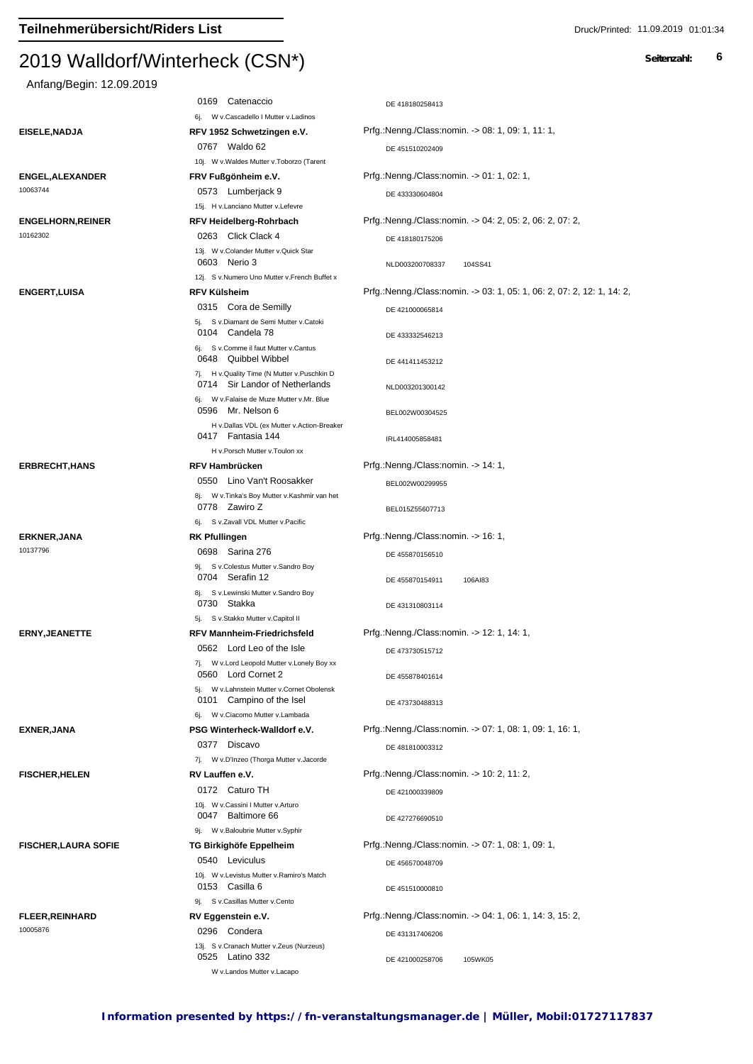#### $2013$  Walldon Winterheck (CSN  $\gamma$

# Anfang/Begin: 12.09.2019 0169 Catenaccio per altre de la provincia de la provincia de la provincia de la provincia de la provincia de l 6j. W v.Cascadello I Mutter v.Ladinos **EISELE,NADJA RFV 1952 Schwetzingen e.V.** Prfg.:Nenng./Class:nomin. -> 08: 1, 09: 1, 11: 1,

6i. W v.Ciacomo Mutter v.Lambada

0377 Discavo

7j. W v.D'Inzeo (Thorga Mutter v.Jacorde

10j. W v.Cassini I Mutter v.Arturo

9j. W v.Baloubrie Mutter v.Syphir

9j. S v.Casillas Mutter v.Cento

W v.Landos Mutter v.Lacapo 0525 Latino 332

10i. W v.Levistus Mutter v.Ramiro's Match

10063744 0573 Lumberjack 9

10005876<br>13j. S v.Cranach Mutter v.Zeus (Nurzeus) 13j. S v.Cranach Mutter v.Zeus (Nurzeus)

DE 451510202409 10j. W v.Waldes Mutter v.Toborzo (Tarent 0767 Waldo 62 **ENGEL,ALEXANDER FRV Fußgönheim e.V.** Prfg.:Nenng./Class:nomin. -> 01: 1, 02: 1, DE 433330604804 15j. H v.Lanciano Mutter v.Lefevre **ENGELHORN,REINER RFV Heidelberg-Rohrbach** Prfg.:Nenng./Class:nomin. -> 04: 2, 05: 2, 06: 2, 07: 2, 0263 Click Clack 4 DE 418180175206 13j. W v.Colander Mutter v.Quick Star 13j. W v.Colander Mutter v.Quick Star 10162302 0603 Nerio 3 Nerio 3 NLD003200708337 104SS41 12i. S v.Numero Uno Mutter v.French Buffet x **ENGERT,LUISA RFV Külsheim** Prfg.:Nenng./Class:nomin. -> 03: 1, 05: 1, 06: 2, 07: 2, 12: 1, 14: 2, 0315 Cora de Semilly DE 421000065814 5j. S v.Diamant de Semi Mutter v.Catoki 0104 Candela 78 DE 433332546213 6i. S v.Comme il faut Mutter v.Cantus 0648 Quibbel Wibbel 2008 10 DE 441411453212 7j. H v.Quality Time (N Mutter v.Puschkin D 0714 Sir Landor of Netherlands NLD003201300142 6j. W v.Falaise de Muze Mutter v.Mr. Blue BEL002W00304525 H v.Dallas VDL (ex Mutter v.Action-Breaker 0596 Mr. Nelson 6 Fantasia 144 IRL414005858481 H v.Porsch Mutter v.Toulon xx **ERBRECHT,HANS RFV Hambrücken** Prfg.:Nenng./Class:nomin. -> 14: 1, 0550 Lino Van't Roosakker BEL002W00299955 8j. W v.Tinka's Boy Mutter v.Kashmir van het 0778 Zawiro Z<br>BEL015Z55607713 6j. S v.Zavall VDL Mutter v.Pacific **ERKNER,JANA RK Pfullingen** Prfg.:Nenng./Class:nomin. -> 16: 1, 0698 Sarina 276 **DE 455870156510** 9j. S v.Colestus Mutter v.Sandro Boy 10137796<br>9j. S v.Colestus Mutter v.Sandro Boy DE 455870154911 106AI83 8j. S v.Lewinski Mutter v.Sandro Boy 0704 Serafin 12 DE 431310803114 5j. S v.Stakko Mutter v.Capitol II 0730 Stakka **ERNY,JEANETTE RFV Mannheim-Friedrichsfeld** Prfg.:Nenng./Class:nomin. -> 12: 1, 14: 1,  $0562$  Lord Leo of the Isle  $DE\ 473730515712$ 7j. W v.Lord Leopold Mutter v.Lonely Boy xx 0560 Lord Cornet 2 DE 455878401614 W v.Lahnstein Mutter v.Cornet Obolensk 0101 Campino of the Isel DE 473730488313

**EXNER,JANA PSG Winterheck-Walldorf e.V.** Prfg.:Nenng./Class:nomin. -> 07: 1, 08: 1, 09: 1, 16: 1, DE 481810003312

**FISCHER,HELEN RV Lauffen e.V.** Prfg.:Nenng./Class:nomin. -> 10: 2, 11: 2, 0172 Caturo TH DE 421000339809

0047 Baltimore 66 DE 427276690510

**FISCHER,LAURA SOFIE TG Birkighöfe Eppelheim** Prfg.:Nenng./Class:nomin. -> 07: 1, 08: 1, 09: 1, 0540 Leviculus DE 456570048709

0153 Casilla 6 DE 451510000810

**FLEER,REINHARD RV Eggenstein e.V.** Prfg.:Nenng./Class:nomin. -> 04: 1, 06: 1, 14: 3, 15: 2, 0296 Condera **DE 431317406206** 

DE 421000258706 105WK05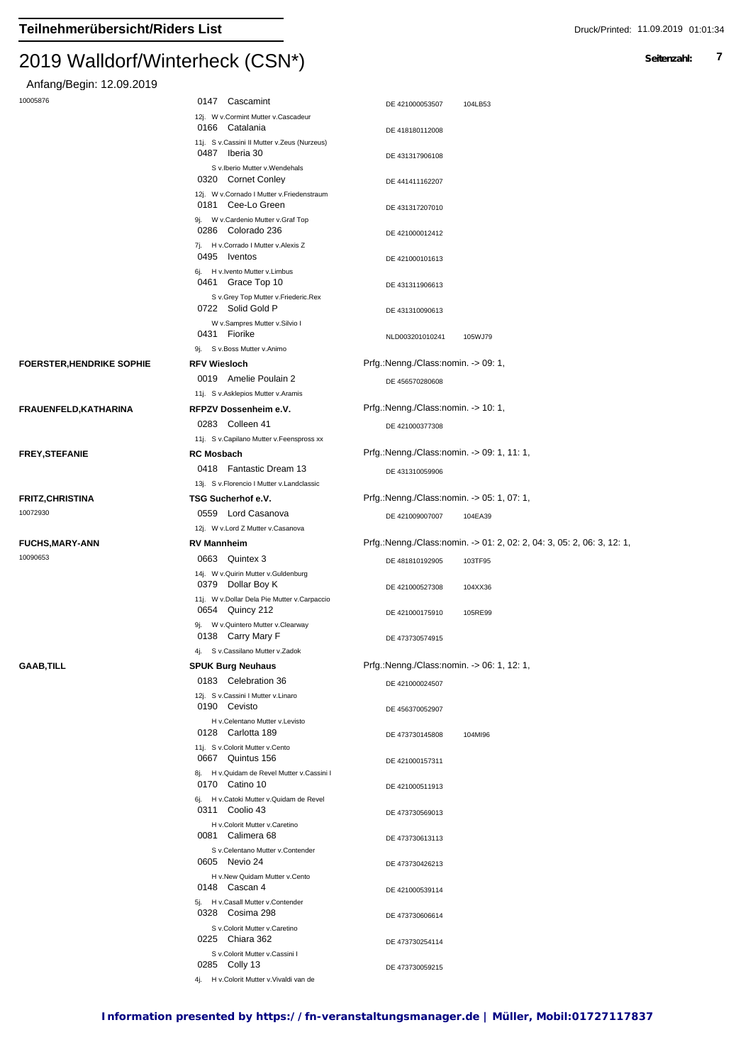### $2013$  Walldon Winterheck (CSN<sup>\*</sup>)

Anfang/Begin: 12.09.2019

| 10005876 |  |  |  |
|----------|--|--|--|

| 10005876                        | 0147 Cascamint                                                                        | DE 421000053507<br>104LB53                                             |
|---------------------------------|---------------------------------------------------------------------------------------|------------------------------------------------------------------------|
|                                 | 12j. W v.Cormint Mutter v.Cascadeur<br>0166 Catalania                                 | DE 418180112008                                                        |
|                                 | 11j. S v.Cassini II Mutter v.Zeus (Nurzeus)<br>0487 Iberia 30                         | DE 431317906108                                                        |
|                                 | S v.Iberio Mutter v.Wendehals                                                         |                                                                        |
|                                 | 0320 Cornet Conley<br>12j. W v.Cornado I Mutter v.Friedenstraum<br>0181 Cee-Lo Green  | DE 441411162207<br>DE 431317207010                                     |
|                                 | 9j. W v.Cardenio Mutter v.Graf Top<br>0286 Colorado 236                               | DE 421000012412                                                        |
|                                 | 7j. H v.Corrado I Mutter v.Alexis Z<br>0495 Iventos                                   | DE 421000101613                                                        |
|                                 | 6j. H v. Ivento Mutter v. Limbus<br>0461 Grace Top 10                                 | DE 431311906613                                                        |
|                                 | S v.Grey Top Mutter v.Friederic.Rex<br>0722 Solid Gold P                              | DE 431310090613                                                        |
|                                 | W v.Sampres Mutter v.Silvio I<br>0431 Fiorike                                         | NLD003201010241<br>105WJ79                                             |
|                                 | 9j. S v.Boss Mutter v.Animo                                                           |                                                                        |
| <b>FOERSTER,HENDRIKE SOPHIE</b> | <b>RFV Wiesloch</b>                                                                   | Prfg.:Nenng./Class:nomin. -> 09: 1,                                    |
|                                 | 0019 Amelie Poulain 2                                                                 | DE 456570280608                                                        |
|                                 | 11j. S v.Asklepios Mutter v.Aramis                                                    |                                                                        |
| FRAUENFELD, KATHARINA           | RFPZV Dossenheim e.V.                                                                 | Prfg.:Nenng./Class:nomin. -> 10: 1,                                    |
|                                 | 0283 Colleen 41                                                                       | DE 421000377308                                                        |
|                                 | 11j. S v.Capilano Mutter v.Feenspross xx                                              | Prfg.:Nenng./Class:nomin. -> 09: 1, 11: 1,                             |
| <b>FREY,STEFANIE</b>            | <b>RC Mosbach</b><br>0418 Fantastic Dream 13                                          |                                                                        |
|                                 | 13j. S v. Florencio I Mutter v. Landclassic                                           | DE 431310059906                                                        |
| FRITZ,CHRISTINA                 | TSG Sucherhof e.V.                                                                    | Prfg.:Nenng./Class:nomin. -> 05: 1, 07: 1,                             |
| 10072930                        | 0559 Lord Casanova                                                                    | DE 421009007007<br>104EA39                                             |
|                                 | 12j. W v.Lord Z Mutter v.Casanova                                                     |                                                                        |
| <b>FUCHS,MARY-ANN</b>           | <b>RV Mannheim</b>                                                                    | Prfg.:Nenng./Class:nomin. -> 01: 2, 02: 2, 04: 3, 05: 2, 06: 3, 12: 1, |
| 10090653                        | 0663 Quintex 3                                                                        | DE 481810192905<br>103TF95                                             |
|                                 | 14j. W v. Quirin Mutter v. Guldenburg                                                 |                                                                        |
|                                 | 0379 Dollar Boy K<br>11j. W v.Dollar Dela Pie Mutter v.Carpaccio                      | DE 421000527308<br>104XX36                                             |
|                                 | 0654 Quincy 212<br>9j. W v. Quintero Mutter v. Clearway                               | DE 421000175910<br>105RE99                                             |
|                                 | 0138 Carry Mary F<br>4j. S v.Cassilano Mutter v.Zadok                                 | DE 473730574915                                                        |
| GAAB,TILL                       | <b>SPUK Burg Neuhaus</b>                                                              | Prfg.: Nenng./Class: nomin. - > 06: 1, 12: 1,                          |
|                                 | 0183 Celebration 36<br>12j. S v.Cassini I Mutter v.Linaro                             | DE 421000024507                                                        |
|                                 | 0190 Cevisto<br>H v.Celentano Mutter v.Levisto                                        | DE 456370052907                                                        |
|                                 | 0128 Carlotta 189                                                                     | DE 473730145808<br>104MI96                                             |
|                                 | 11j. S v.Colorit Mutter v.Cento<br>0667 Quintus 156                                   | DE 421000157311                                                        |
|                                 | 8j. H v. Quidam de Revel Mutter v. Cassini I<br>0170 Catino 10                        | DE 421000511913                                                        |
|                                 | 6j. H v.Catoki Mutter v.Quidam de Revel<br>0311 Coolio 43                             | DE 473730569013                                                        |
|                                 | H v.Colorit Mutter v.Caretino<br>0081 Calimera 68<br>S v.Celentano Mutter v.Contender | DE 473730613113                                                        |
|                                 | 0605 Nevio 24                                                                         | DE 473730426213                                                        |
|                                 | H v.New Quidam Mutter v.Cento<br>0148 Cascan 4                                        | DE 421000539114                                                        |
|                                 | 5j. H v.Casall Mutter v.Contender<br>0328 Cosima 298                                  | DE 473730606614                                                        |
|                                 | S v.Colorit Mutter v.Caretino<br>0225 Chiara 362<br>S v.Colorit Mutter v.Cassini I    | DE 473730254114                                                        |
|                                 | 0285 Colly 13<br>4j. H v.Colorit Mutter v.Vivaldi van de                              | DE 473730059215                                                        |
|                                 |                                                                                       |                                                                        |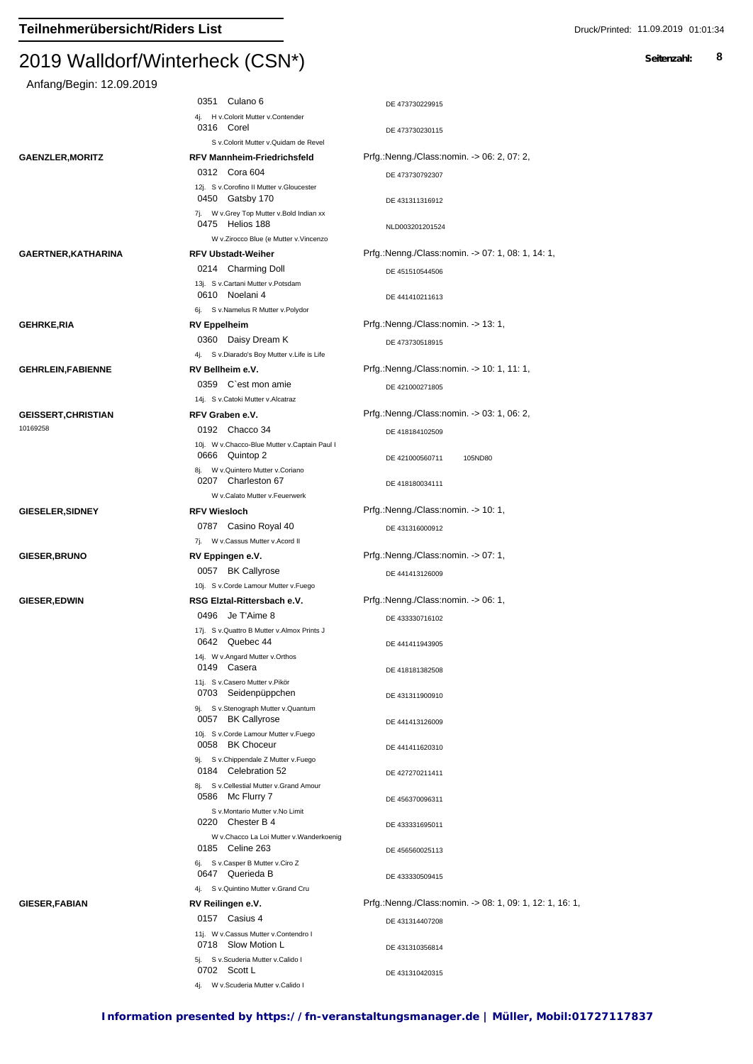## $2013$  Walldon Winterheck (CSN  $)$

| Anfang/Begin: 12.09.2019 |                                                                                                        |                                                          |
|--------------------------|--------------------------------------------------------------------------------------------------------|----------------------------------------------------------|
|                          | 0351 Culano 6<br>4j. H v.Colorit Mutter v.Contender                                                    | DE 473730229915                                          |
|                          | 0316 Corel<br>S v.Colorit Mutter v.Quidam de Revel                                                     | DE 473730230115                                          |
| <b>GAENZLER,MORITZ</b>   | <b>RFV Mannheim-Friedrichsfeld</b>                                                                     | Prfg.:Nenng./Class:nomin. -> 06: 2, 07: 2,               |
|                          | 0312 Cora 604                                                                                          | DE 473730792307                                          |
|                          | 12j. S v.Corofino II Mutter v.Gloucester<br>0450 Gatsby 170                                            | DE 431311316912                                          |
|                          | 7j. W v.Grey Top Mutter v.Bold Indian xx<br>0475 Helios 188                                            | NLD003201201524                                          |
|                          | W v.Zirocco Blue (e Mutter v.Vincenzo                                                                  |                                                          |
| GAERTNER,KATHARINA       | <b>RFV Ubstadt-Weiher</b>                                                                              | Prfg.:Nenng./Class:nomin. -> 07: 1, 08: 1, 14: 1,        |
|                          | 0214 Charming Doll<br>13j. S v.Cartani Mutter v.Potsdam<br>0610 Noelani 4                              | DE 451510544506<br>DE 441410211613                       |
|                          | 6j. S v.Namelus R Mutter v.Polydor                                                                     |                                                          |
| GEHRKE,RIA               | <b>RV Eppelheim</b>                                                                                    | Prfg.:Nenng./Class:nomin. -> 13: 1,                      |
|                          | 0360 Daisy Dream K                                                                                     | DE 473730518915                                          |
|                          | 4j. S v.Diarado's Boy Mutter v.Life is Life                                                            |                                                          |
| <b>GEHRLEIN,FABIENNE</b> | RV Bellheim e.V.                                                                                       | Prfg.:Nenng./Class:nomin. -> 10: 1, 11: 1,               |
|                          | 0359 C`est mon amie                                                                                    | DE 421000271805                                          |
|                          | 14j. S v.Catoki Mutter v.Alcatraz                                                                      |                                                          |
| GEISSERT,CHRISTIAN       | RFV Graben e.V.                                                                                        | Prfg.:Nenng./Class:nomin. -> 03: 1, 06: 2,               |
| 10169258                 | 0192 Chacco 34<br>10j. W v.Chacco-Blue Mutter v.Captain Paul I                                         | DE 418184102509                                          |
|                          | 0666 Quintop 2<br>8j. W v. Quintero Mutter v. Coriano                                                  | DE 421000560711<br>105ND80                               |
|                          | 0207 Charleston 67<br>W v.Calato Mutter v.Feuerwerk                                                    | DE 418180034111                                          |
| <b>GIESELER,SIDNEY</b>   | <b>RFV Wiesloch</b>                                                                                    | Prfg.:Nenng./Class:nomin. -> 10: 1,                      |
|                          | 0787 Casino Royal 40                                                                                   |                                                          |
|                          | 7j. W v.Cassus Mutter v.Acord II                                                                       | DE 431316000912                                          |
| <b>GIESER,BRUNO</b>      | RV Eppingen e.V.                                                                                       | Prfg.:Nenng./Class:nomin. -> 07: 1,                      |
|                          | 0057 BK Callyrose                                                                                      |                                                          |
|                          | 10j. S v.Corde Lamour Mutter v.Fuego                                                                   | DE 441413126009                                          |
| <b>GIESER,EDWIN</b>      | RSG Elztal-Rittersbach e.V.                                                                            | Prfg.:Nenng./Class:nomin. -> 06: 1,                      |
|                          | 0496 Je T'Aime 8                                                                                       | DE 433330716102                                          |
|                          | 17j. S v. Quattro B Mutter v. Almox Prints J<br>0642 Quebec 44                                         | DE 441411943905                                          |
|                          | 14j. W v.Angard Mutter v.Orthos                                                                        |                                                          |
|                          | 0149 Casera<br>11j. S v.Casero Mutter v.Pikör                                                          | DE 418181382508                                          |
|                          | 0703 Seidenpüppchen<br>9j. S v.Stenograph Mutter v.Quantum                                             | DE 431311900910                                          |
|                          | 0057 BK Callyrose                                                                                      | DE 441413126009                                          |
|                          | 10j. S v.Corde Lamour Mutter v.Fuego<br>0058 BK Choceur                                                | DE 441411620310                                          |
|                          | 9j. S v.Chippendale Z Mutter v.Fuego<br>0184 Celebration 52<br>8j. S v.Cellestial Mutter v.Grand Amour | DE 427270211411                                          |
|                          | 0586 Mc Flurry 7<br>S v.Montario Mutter v.No Limit                                                     | DE 456370096311                                          |
|                          | 0220 Chester B 4<br>W v.Chacco La Loi Mutter v.Wanderkoenig                                            | DE 433331695011                                          |
|                          | 0185 Celine 263<br>6j. S v.Casper B Mutter v.Ciro Z                                                    | DE 456560025113                                          |
|                          | 0647 Querieda B<br>4j. S v. Quintino Mutter v. Grand Cru                                               | DE 433330509415                                          |
| <b>GIESER,FABIAN</b>     | RV Reilingen e.V.                                                                                      | Prfg.:Nenng./Class:nomin. -> 08: 1, 09: 1, 12: 1, 16: 1, |
|                          | 0157 Casius 4                                                                                          | DE 431314407208                                          |
|                          | 11j. W v.Cassus Mutter v.Contendro I<br>0718 Slow Motion L                                             | DE 431310356814                                          |
|                          | 5j. S v.Scuderia Mutter v.Calido I<br>0702 Scott L                                                     | DE 431310420315                                          |
|                          | 4j. W v.Scuderia Mutter v.Calido I                                                                     |                                                          |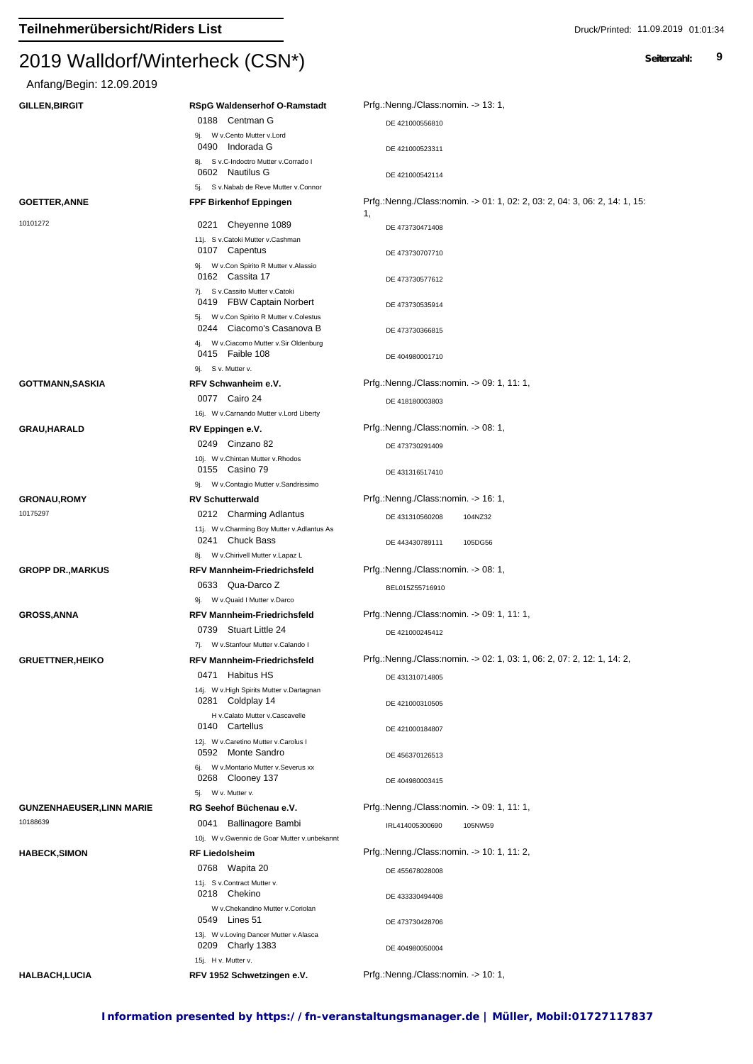# Anfang/Begin: 12.09.2019

| <b>GILLEN, BIRGIT</b>            | <b>RSpG Waldenserhof O-Ramstadt</b>                                                                            | Prfg.:Nenng./Class:nomin. -> 13: 1,                                              |
|----------------------------------|----------------------------------------------------------------------------------------------------------------|----------------------------------------------------------------------------------|
|                                  | 0188 Centman G                                                                                                 | DE 421000556810                                                                  |
|                                  | 9j. W v.Cento Mutter v.Lord<br>0490<br>Indorada G                                                              | DE 421000523311                                                                  |
|                                  | 8j. S v.C-Indoctro Mutter v.Corrado I                                                                          |                                                                                  |
|                                  | 0602 Nautilus G<br>5j. S v.Nabab de Reve Mutter v.Connor                                                       | DE 421000542114                                                                  |
| <b>GOETTER, ANNE</b>             | <b>FPF Birkenhof Eppingen</b>                                                                                  | Prfg.:Nenng./Class:nomin. -> 01: 1, 02: 2, 03: 2, 04: 3, 06: 2, 14: 1, 15:<br>1, |
| 10101272                         | Cheyenne 1089<br>0221                                                                                          | DE 473730471408                                                                  |
|                                  | 11j. S v.Catoki Mutter v.Cashman                                                                               |                                                                                  |
|                                  | 0107 Capentus                                                                                                  | DE 473730707710                                                                  |
|                                  | 9j. W v.Con Spirito R Mutter v.Alassio<br>0162 Cassita 17                                                      | DE 473730577612                                                                  |
|                                  | 7j. S v.Cassito Mutter v.Catoki<br>0419 FBW Captain Norbert                                                    | DE 473730535914                                                                  |
|                                  | 5j. W v.Con Spirito R Mutter v.Colestus<br>0244 Ciacomo's Casanova B<br>4j. W v.Ciacomo Mutter v.Sir Oldenburg | DE 473730366815                                                                  |
|                                  | 0415 Faible 108<br>9j. S v. Mutter v.                                                                          | DE 404980001710                                                                  |
| <b>GOTTMANN, SASKIA</b>          | RFV Schwanheim e.V.                                                                                            | Prfg.:Nenng./Class:nomin. -> 09: 1, 11: 1,                                       |
|                                  | 0077 Cairo 24                                                                                                  |                                                                                  |
|                                  | 16j. W v.Carnando Mutter v.Lord Liberty                                                                        | DE 418180003803                                                                  |
| <b>GRAU, HARALD</b>              | RV Eppingen e.V.                                                                                               | Prfg.:Nenng./Class:nomin. -> 08: 1,                                              |
|                                  | 0249 Cinzano 82                                                                                                | DE 473730291409                                                                  |
|                                  | 10j. W v.Chintan Mutter v.Rhodos                                                                               |                                                                                  |
|                                  | 0155 Casino 79                                                                                                 | DE 431316517410                                                                  |
|                                  | 9j. W v.Contagio Mutter v.Sandrissimo                                                                          |                                                                                  |
| <b>GRONAU,ROMY</b>               | <b>RV Schutterwald</b>                                                                                         | Prfg.:Nenng./Class:nomin. -> 16: 1,                                              |
| 10175297                         | 0212 Charming Adlantus<br>11j. W v.Charming Boy Mutter v.Adlantus As                                           | DE 431310560208<br>104NZ32                                                       |
|                                  | 0241 Chuck Bass<br>8j. W v.Chirivell Mutter v.Lapaz L                                                          | DE 443430789111<br>105DG56                                                       |
| <b>GROPP DR., MARKUS</b>         | <b>RFV Mannheim-Friedrichsfeld</b>                                                                             | Prfg.:Nenng./Class:nomin. -> 08: 1,                                              |
|                                  | 0633 Qua-Darco Z                                                                                               | BEL015Z55716910                                                                  |
|                                  | W v.Quaid I Mutter v.Darco<br>9i.                                                                              |                                                                                  |
| <b>GROSS, ANNA</b>               | <b>RFV Mannheim-Friedrichsfeld</b>                                                                             | Prfg.:Nenng./Class:nomin. -> 09: 1, 11: 1,                                       |
|                                  | 0739 Stuart Little 24                                                                                          | DE 421000245412                                                                  |
|                                  | 7j. W v.Stanfour Mutter v.Calando I                                                                            |                                                                                  |
| <b>GRUETTNER, HEIKO</b>          | <b>RFV Mannheim-Friedrichsfeld</b>                                                                             | Prfg.:Nenng./Class:nomin. -> 02: 1, 03: 1, 06: 2, 07: 2, 12: 1, 14: 2,           |
|                                  | 0471 Habitus HS                                                                                                | DE 431310714805                                                                  |
|                                  | 14j. W v.High Spirits Mutter v.Dartagnan<br>0281 Coldplay 14                                                   | DE 421000310505                                                                  |
|                                  | H v.Calato Mutter v.Cascavelle<br>0140 Cartellus                                                               | DE 421000184807                                                                  |
|                                  | 12j. W v.Caretino Mutter v.Carolus I<br>0592 Monte Sandro                                                      | DE 456370126513                                                                  |
|                                  | 6j. W v. Montario Mutter v. Severus xx<br>0268 Clooney 137                                                     | DE 404980003415                                                                  |
|                                  | W v. Mutter v.<br>5j.                                                                                          |                                                                                  |
| <b>GUNZENHAEUSER, LINN MARIE</b> | RG Seehof Büchenau e.V.                                                                                        | Prfg.:Nenng./Class:nomin. -> 09: 1, 11: 1,                                       |
| 10188639                         | 0041 Ballinagore Bambi                                                                                         | IRL414005300690<br>105NW59                                                       |
|                                  | 10j. W v. Gwennic de Goar Mutter v. unbekannt                                                                  |                                                                                  |
| <b>HABECK,SIMON</b>              | <b>RF Liedolsheim</b>                                                                                          | Prfg.:Nenng./Class:nomin. -> 10: 1, 11: 2,                                       |
|                                  | 0768 Wapita 20<br>11j. S v.Contract Mutter v.                                                                  | DE 455678028008                                                                  |
|                                  | 0218 Chekino                                                                                                   | DE 433330494408                                                                  |
|                                  | W v.Chekandino Mutter v.Coriolan                                                                               |                                                                                  |
|                                  | 0549 Lines 51                                                                                                  | DE 473730428706                                                                  |
|                                  | 13j. W v.Loving Dancer Mutter v.Alasca<br>0209 Charly 1383                                                     | DE 404980050004                                                                  |
| <b>HALBACH,LUCIA</b>             | 15j. H v. Mutter v.<br>RFV 1952 Schwetzingen e.V.                                                              | Prfg.:Nenng./Class:nomin. -> 10: 1,                                              |
|                                  |                                                                                                                |                                                                                  |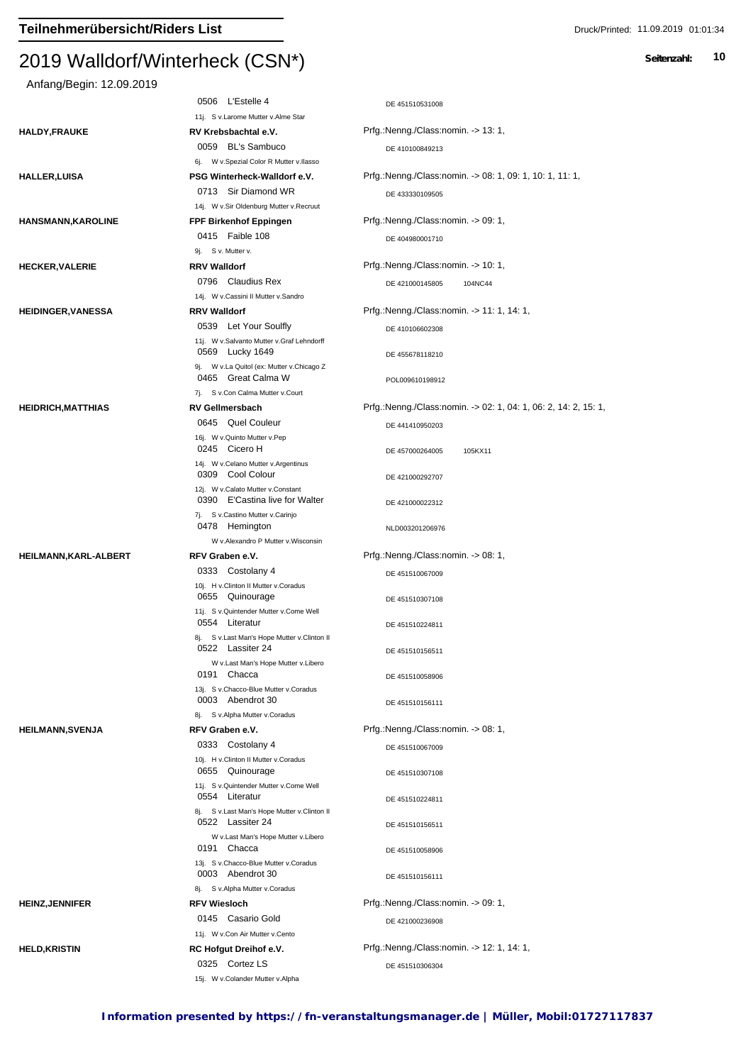## $2013$  Walldon Winterheck (CSN  $\gamma$ Anfang/Begin: 12.09.2019 0506 L'Estelle 4 DE 451510531008 11j. S v.Larome Mutter v.Alme Star **HALDY,FRAUKE RV Krebsbachtal e.V.** Prfg.:Nenng./Class:nomin. -> 13: 1, DE 410100849213 6j. W v.Spezial Color R Mutter v.Ilasso 0059 BL's Sambuco **HALLER,LUISA PSG Winterheck-Walldorf e.V.** Prfg.:Nenng./Class:nomin. -> 08: 1, 09: 1, 10: 1, 11: 1, 0713 Sir Diamond WR DE 433330109505 14j. W v.Sir Oldenburg Mutter v.Recruut **HANSMANN,KAROLINE FPF Birkenhof Eppingen** Prfg.:Nenng./Class:nomin. -> 09: 1, 0415 Faible 108 DE 404980001710 9j. S v. Mutter v. **HECKER,VALERIE <b>RRV Walldorf RRV Walldorf** Prfg.:Nenng./Class:nomin. -> 10: 1, 0796 Claudius Rex DE 421000145805 104NC44 14j. W v.Cassini II Mutter v.Sandro **HEIDINGER,VANESSA RRV Walldorf** Prfg.:Nenng./Class:nomin. -> 11: 1, 14: 1, 0539 Let Your Soulfly DE 410106602308 11j. W v.Salvanto Mutter v.Graf Lehndorff DE 455678118210 9j. W v.La Quitol (ex: Mutter v.Chicago Z 0569 Lucky 1649 0465 Great Calma W POL009610198912 7j. S v.Con Calma Mutter v.Court **HEIDRICH,MATTHIAS RV Gellmersbach** Prfg.:Nenng./Class:nomin. -> 02: 1, 04: 1, 06: 2, 14: 2, 15: 1, DE 441410950203 16j. W v.Quinto Mutter v.Pep 0645 Quel Couleur Cicero H DE 457000264005 105KX11 14j. W v.Celano Mutter v.Argentinus 0245 Cicero H 0309 Cool Colour DE 421000292707 12j. W v.Calato Mutter v.Constant 0390 E'Castina live for Walter DE 421000022312 7j. S v.Castino Mutter v.Carinjo 0478 Hemington NLD003201206976 W v.Alexandro P Mutter v.Wisconsin **HEILMANN,KARL-ALBERT RFV Graben e.V.** Prfg.:Nenng./Class:nomin. -> 08: 1,

0333 Costolany 4 DE 451510067009

0655 Quinourage DE 451510307108

| 0522 Lassiter 24                                                | DE 451510156511                            |
|-----------------------------------------------------------------|--------------------------------------------|
| W v.Last Man's Hope Mutter v.Libero<br>0191<br>Chacca           | DE 451510058906                            |
| 13j. S v.Chacco-Blue Mutter v.Coradus<br>0003 Abendrot 30       | DE 451510156111                            |
| S v.Alpha Mutter v.Coradus<br>8i.                               |                                            |
| RFV Graben e.V.                                                 | Prfg.:Nenng./Class:nomin. -> 08: 1,        |
| 0333 Costolany 4                                                | DE 451510067009                            |
| 10j. H v.Clinton II Mutter v.Coradus<br>Quinourage<br>0655      | DE 451510307108                            |
| 11j. S v.Quintender Mutter v.Come Well<br>0554 Literatur        | DE 451510224811                            |
| 8j. S v.Last Man's Hope Mutter v.Clinton II<br>0522 Lassiter 24 | DE 451510156511                            |
| W v.Last Man's Hope Mutter v.Libero<br>0191 Chacca              | DE 451510058906                            |
| 13j. S v.Chacco-Blue Mutter v.Coradus<br>0003 Abendrot 30       | DE 451510156111                            |
| 8j. S v.Alpha Mutter v.Coradus                                  |                                            |
| <b>RFV Wiesloch</b>                                             | Prfg.:Nenng./Class:nomin. -> 09: 1,        |
| 0145 Casario Gold                                               | DE 421000236908                            |
| 11j. W v.Con Air Mutter v.Cento                                 |                                            |
| <b>RC Hofgut Dreihof e.V.</b>                                   | Prfg.:Nenng./Class:nomin. -> 12: 1, 14: 1, |
| 0325 Cortez LS                                                  | DE 451510306304                            |
|                                                                 |                                            |

10j. H v.Clinton II Mutter v.Coradus

0554 Literatur

11i. S v.Quintender Mutter v.Come Well

15j. W v.Colander Mutter v.Alpha

DE 451510224811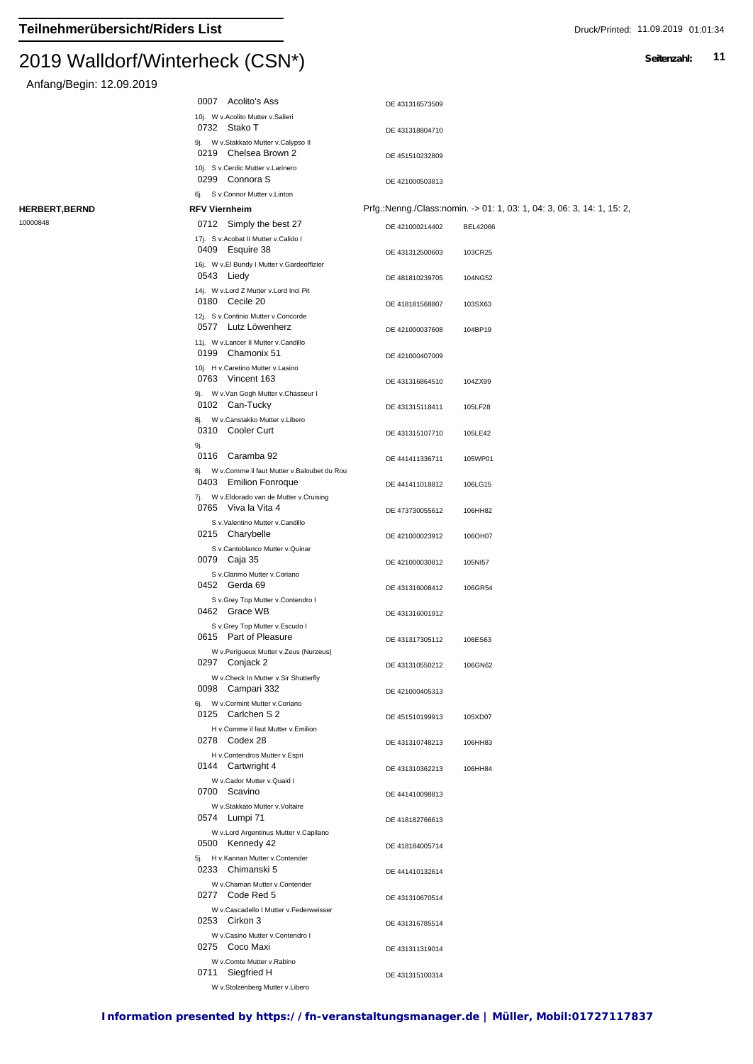Anfang/Begin: 12.09.2019

|                       |     | 0007 Acolito's Ass                                                                          | DE 431316573509 |                                                                        |
|-----------------------|-----|---------------------------------------------------------------------------------------------|-----------------|------------------------------------------------------------------------|
|                       |     | 10j. W v.Acolito Mutter v.Salieri<br>0732 Stako T<br>9j. W v.Stakkato Mutter v.Calypso II   | DE 431318804710 |                                                                        |
|                       |     | 0219 Chelsea Brown 2<br>10j. S v.Cerdic Mutter v.Larinero                                   | DE 451510232809 |                                                                        |
|                       |     | 0299 Connora S<br>6j. S v.Connor Mutter v.Linton                                            | DE 421000503813 |                                                                        |
| <b>HERBERT, BERND</b> |     | <b>RFV Viernheim</b>                                                                        |                 | Prfg.:Nenng./Class:nomin. -> 01: 1, 03: 1, 04: 3, 06: 3, 14: 1, 15: 2, |
| 10000848              |     | 0712 Simply the best 27                                                                     |                 |                                                                        |
|                       |     |                                                                                             | DE 421000214402 | BEL42066                                                               |
|                       |     | 17j. S v.Acobat II Mutter v.Calido I<br>0409 Esquire 38                                     | DE 431312500603 | 103CR25                                                                |
|                       |     | 16j. W v.El Bundy I Mutter v.Gardeoffizier<br>0543 Liedy                                    | DE 481810239705 | 104NG52                                                                |
|                       |     | 14j. W v.Lord Z Mutter v.Lord Inci Pit<br>0180 Cecile 20                                    | DE 418181568807 | 103SX63                                                                |
|                       |     | 12j. S v.Continio Mutter v.Concorde                                                         |                 |                                                                        |
|                       |     | 0577 Lutz Löwenherz                                                                         | DE 421000037608 | 104BP19                                                                |
|                       |     | 11j. W v.Lancer II Mutter v.Candillo<br>0199 Chamonix 51                                    | DE 421000407009 |                                                                        |
|                       |     | 10j. H v.Caretino Mutter v.Lasino<br>0763 Vincent 163                                       | DE 431316864510 | 104ZX99                                                                |
|                       |     | 9j. W v.Van Gogh Mutter v.Chasseur I<br>0102 Can-Tucky<br>8j. W v.Canstakko Mutter v.Libero | DE 431315118411 | 105LF28                                                                |
|                       | 9j. | 0310 Cooler Curt                                                                            | DE 431315107710 | 105LE42                                                                |
|                       |     | 0116 Caramba 92<br>8j. W v.Comme il faut Mutter v.Baloubet du Rou                           | DE 441411336711 | 105WP01                                                                |
|                       |     | 0403 Emilion Fonroque<br>7j. W v.Eldorado van de Mutter v.Cruising                          | DE 441411018812 | 106LG15                                                                |
|                       |     | 0765 Viva la Vita 4<br>S v.Valentino Mutter v.Candillo                                      | DE 473730055612 | 106HH82                                                                |
|                       |     | 0215 Charybelle<br>S v.Cantoblanco Mutter v.Quinar                                          | DE 421000023912 | 106OH07                                                                |
|                       |     | 0079 Caja 35<br>S v.Clarimo Mutter v.Coriano                                                | DE 421000030812 | 105NI57                                                                |
|                       |     | 0452 Gerda 69<br>S v.Grey Top Mutter v.Contendro I                                          | DE 431316008412 | 106GR54                                                                |
|                       |     | 0462 Grace WB<br>S v.Grey Top Mutter v.Escudo I                                             | DE 431316001912 |                                                                        |
|                       |     | 0615 Part of Pleasure<br>W v.Perigueux Mutter v.Zeus (Nurzeus)                              | DE 431317305112 | 106ES63                                                                |
|                       |     | 0297 Conjack 2<br>W v.Check In Mutter v.Sir Shutterfly                                      | DE 431310550212 | 106GN62                                                                |
|                       |     | 0098 Campari 332<br>6j. W v.Cormint Mutter v.Coriano                                        | DE 421000405313 |                                                                        |
|                       |     | 0125 Carlchen S 2<br>H v.Comme il faut Mutter v.Emilion                                     | DE 451510199913 | 105XD07                                                                |
|                       |     | 0278 Codex 28<br>H v.Contendros Mutter v.Espri                                              | DE 431310748213 | 106HH83                                                                |
|                       |     | 0144 Cartwright 4<br>W v.Cador Mutter v.Quaid I                                             | DE 431310362213 | 106HH84                                                                |
|                       |     | 0700 Scavino<br>W v.Stakkato Mutter v.Voltaire                                              | DE 441410098813 |                                                                        |
|                       |     | 0574 Lumpi 71<br>W v.Lord Argentinus Mutter v.Capilano                                      | DE 418182766613 |                                                                        |
|                       |     | 0500 Kennedy 42<br>5j. H v.Kannan Mutter v.Contender                                        | DE 418184005714 |                                                                        |
|                       |     | 0233 Chimanski 5<br>W v.Chaman Mutter v.Contender                                           | DE 441410132614 |                                                                        |
|                       |     | 0277 Code Red 5<br>W v.Cascadello I Mutter v.Federweisser                                   | DE 431310670514 |                                                                        |
|                       |     | 0253 Cirkon 3<br>W v.Casino Mutter v.Contendro I                                            | DE 431316785514 |                                                                        |
|                       |     | 0275 Coco Maxi<br>W v.Comte Mutter v.Rabino                                                 | DE 431311319014 |                                                                        |
|                       |     | 0711 Siegfried H<br>W v.Stolzenberg Mutter v.Libero                                         | DE 431315100314 |                                                                        |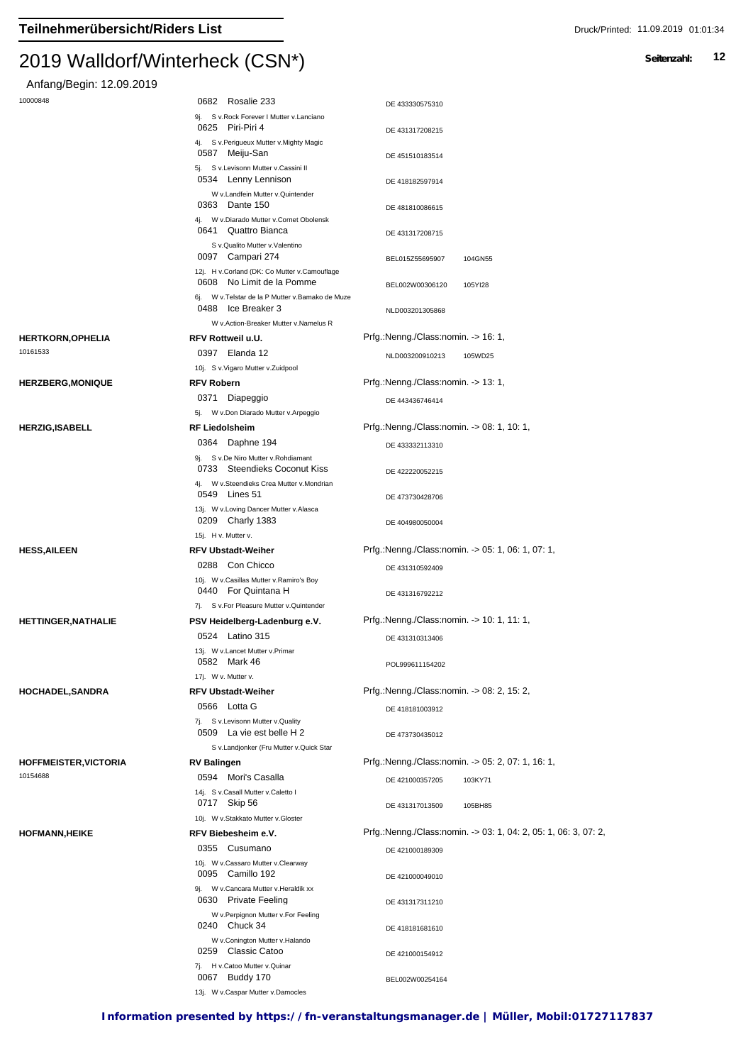| Anfang/Begin: 12.09.2019     |                                                                                                                  |                                                                 |
|------------------------------|------------------------------------------------------------------------------------------------------------------|-----------------------------------------------------------------|
| 10000848                     | 0682 Rosalie 233                                                                                                 | DE 433330575310                                                 |
|                              | 9j. S v.Rock Forever I Mutter v.Lanciano                                                                         |                                                                 |
|                              | 0625 Piri-Piri 4<br>4j. S v.Perigueux Mutter v.Mighty Magic                                                      | DE 431317208215                                                 |
|                              | 0587 Meiju-San                                                                                                   | DE 451510183514                                                 |
|                              | 5j. S v.Levisonn Mutter v.Cassini II                                                                             |                                                                 |
|                              | 0534 Lenny Lennison<br>W v.Landfein Mutter v.Quintender                                                          | DE 418182597914                                                 |
|                              | 0363 Dante 150                                                                                                   | DE 481810086615                                                 |
|                              | 4j. W v.Diarado Mutter v.Cornet Obolensk                                                                         |                                                                 |
|                              | 0641 Quattro Bianca<br>S v.Qualito Mutter v.Valentino                                                            | DE 431317208715                                                 |
|                              | 0097 Campari 274                                                                                                 | 104GN55<br>BEL015Z55695907                                      |
|                              | 12j. H v.Corland (DK: Co Mutter v.Camouflage<br>0608 No Limit de la Pomme                                        | BEL002W00306120<br>105YI28                                      |
|                              | 6j. W v. Telstar de la P Mutter v. Bamako de Muze<br>0488 Ice Breaker 3                                          |                                                                 |
|                              | W v.Action-Breaker Mutter v.Namelus R                                                                            | NLD003201305868                                                 |
| <b>HERTKORN, OPHELIA</b>     | <b>RFV Rottweil u.U.</b>                                                                                         | Prfg.:Nenng./Class:nomin. -> 16: 1,                             |
| 10161533                     | 0397 Elanda 12                                                                                                   | NLD003200910213<br>105WD25                                      |
|                              | 10j. S v. Vigaro Mutter v. Zuidpool                                                                              |                                                                 |
| <b>HERZBERG, MONIQUE</b>     | <b>RFV Robern</b>                                                                                                | Prfg.:Nenng./Class:nomin. -> 13: 1,                             |
|                              | 0371 Diapeggio                                                                                                   | DE 443436746414                                                 |
|                              | W v.Don Diarado Mutter v.Arpeggio<br>5j.                                                                         |                                                                 |
| <b>HERZIG, ISABELL</b>       | <b>RF Liedolsheim</b>                                                                                            | Prfg.:Nenng./Class:nomin. -> 08: 1, 10: 1,                      |
|                              | 0364 Daphne 194                                                                                                  | DE 433332113310                                                 |
|                              | 9j. S v.De Niro Mutter v.Rohdiamant<br>0733 Steendieks Coconut Kiss<br>4j. W v.Steendieks Crea Mutter v.Mondrian | DE 422220052215                                                 |
|                              | 0549 Lines 51                                                                                                    | DE 473730428706                                                 |
|                              | 13j. W v. Loving Dancer Mutter v. Alasca<br>0209 Charly 1383                                                     | DE 404980050004                                                 |
|                              | 15j. H v. Mutter v.                                                                                              |                                                                 |
| <b>HESS, AILEEN</b>          | <b>RFV Ubstadt-Weiher</b>                                                                                        | Prfg.:Nenng./Class:nomin. -> 05: 1, 06: 1, 07: 1,               |
|                              | 0288 Con Chicco                                                                                                  | DE 431310592409                                                 |
|                              | 10j. W v.Casillas Mutter v.Ramiro's Boy<br>0440 For Quintana H                                                   | DE 431316792212                                                 |
|                              | 7j. S v.For Pleasure Mutter v.Quintender                                                                         |                                                                 |
| <b>HETTINGER, NATHALIE</b>   | PSV Heidelberg-Ladenburg e.V.                                                                                    | Prfg.:Nenng./Class:nomin. -> 10: 1, 11: 1,                      |
|                              | 0524 Latino 315                                                                                                  | DE 431310313406                                                 |
|                              | 13j. W v.Lancet Mutter v.Primar<br>0582 Mark 46                                                                  | POL999611154202                                                 |
|                              | 17j. W v. Mutter v.                                                                                              |                                                                 |
| <b>HOCHADEL,SANDRA</b>       | <b>RFV Ubstadt-Weiher</b>                                                                                        | Prfg.:Nenng./Class:nomin. -> 08: 2, 15: 2,                      |
|                              | 0566 Lotta G                                                                                                     | DE 418181003912                                                 |
|                              | 7j. S v.Levisonn Mutter v.Quality<br>0509 La vie est belle H 2                                                   | DE 473730435012                                                 |
|                              | S v.Landjonker (Fru Mutter v.Quick Star                                                                          |                                                                 |
| <b>HOFFMEISTER, VICTORIA</b> | <b>RV Balingen</b>                                                                                               | Prfg.:Nenng./Class:nomin. -> 05: 2, 07: 1, 16: 1,               |
| 10154688                     | 0594 Mori's Casalla                                                                                              | DE 421000357205<br>103KY71                                      |
|                              | 14j. S v.Casall Mutter v.Caletto I                                                                               |                                                                 |
|                              | 0717 Skip 56                                                                                                     | DE 431317013509<br>105BH85                                      |
|                              | 10j. W v.Stakkato Mutter v.Gloster                                                                               | Prfg.:Nenng./Class:nomin. -> 03: 1, 04: 2, 05: 1, 06: 3, 07: 2, |
| <b>HOFMANN, HEIKE</b>        | RFV Biebesheim e.V.<br>0355 Cusumano                                                                             |                                                                 |
|                              | 10j. W v.Cassaro Mutter v.Clearway                                                                               | DE 421000189309                                                 |
|                              | 0095 Camillo 192                                                                                                 | DE 421000049010                                                 |
|                              | 9j. W v.Cancara Mutter v.Heraldik xx<br>0630 Private Feeling                                                     | DE 431317311210                                                 |
|                              | W v.Perpignon Mutter v.For Feeling<br>0240 Chuck 34                                                              | DE 418181681610                                                 |
|                              | W v.Conington Mutter v.Halando                                                                                   |                                                                 |
|                              | 0259 Classic Catoo                                                                                               | DE 421000154912                                                 |
|                              | 7j. H v.Catoo Mutter v.Quinar<br>0067 Buddy 170                                                                  | BEL002W00254164                                                 |
|                              | 13j. W v.Caspar Mutter v.Damocles                                                                                |                                                                 |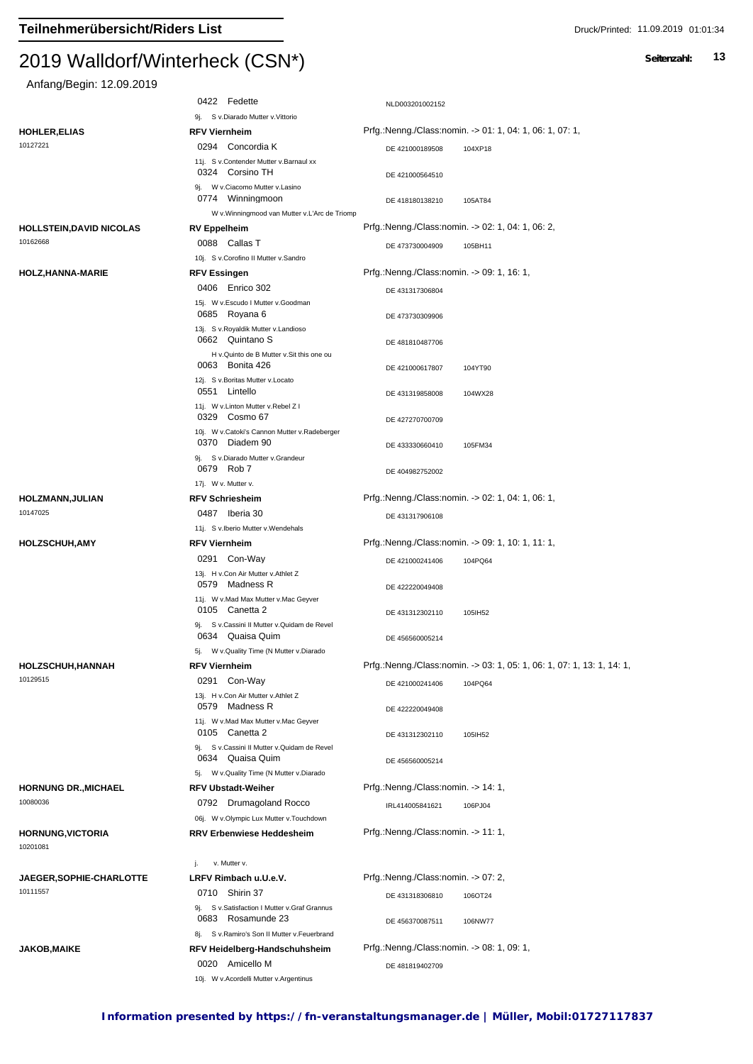#### $2019$  Walldon Winterheck (CSN $\gamma$ )

Anfang/Begin: 12.09.2019

| $1.41$ and $.97$ bogm. $12.00$ . Eventually |                                                                                                       |                                                               |                                                                        |
|---------------------------------------------|-------------------------------------------------------------------------------------------------------|---------------------------------------------------------------|------------------------------------------------------------------------|
|                                             | 0422 Fedette                                                                                          | NLD003201002152                                               |                                                                        |
|                                             | 9j. S v.Diarado Mutter v.Vittorio                                                                     |                                                               |                                                                        |
| <b>HOHLER, ELIAS</b>                        | <b>RFV Viernheim</b>                                                                                  |                                                               | Prfg.:Nenng./Class:nomin. -> 01: 1, 04: 1, 06: 1, 07: 1,               |
| 10127221                                    | 0294 Concordia K                                                                                      | DE 421000189508                                               | 104XP18                                                                |
|                                             | 11j. S v.Contender Mutter v.Barnaul xx<br>0324 Corsino TH                                             | DE 421000564510                                               |                                                                        |
|                                             | 9j. W v.Ciacomo Mutter v.Lasino<br>0774 Winningmoon<br>W v. Winningmood van Mutter v. L'Arc de Triomp | DE 418180138210                                               | 105AT84                                                                |
| <b>HOLLSTEIN, DAVID NICOLAS</b>             | <b>RV Eppelheim</b>                                                                                   |                                                               | Prfg.:Nenng./Class:nomin. -> 02: 1, 04: 1, 06: 2,                      |
| 10162668                                    | 0088 Callas T                                                                                         |                                                               |                                                                        |
|                                             | 10j. S v.Corofino II Mutter v.Sandro                                                                  | DE 473730004909                                               | 105BH11                                                                |
| HOLZ, HANNA-MARIE                           | <b>RFV Essingen</b>                                                                                   | Prfg.:Nenng./Class:nomin. -> 09: 1, 16: 1,                    |                                                                        |
|                                             | 0406 Enrico 302                                                                                       | DE 431317306804                                               |                                                                        |
|                                             | 15j. W v.Escudo I Mutter v.Goodman                                                                    |                                                               |                                                                        |
|                                             | 0685 Royana 6                                                                                         | DE 473730309906                                               |                                                                        |
|                                             | 13j. S v.Royaldik Mutter v.Landioso<br>0662 Quintano S                                                | DE 481810487706                                               |                                                                        |
|                                             | H v.Quinto de B Mutter v.Sit this one ou<br>0063 Bonita 426                                           | DE 421000617807                                               | 104YT90                                                                |
|                                             | 12j. S v.Boritas Mutter v.Locato                                                                      |                                                               |                                                                        |
|                                             | 0551 Lintello<br>11j. W v.Linton Mutter v.Rebel Z I                                                   | DE 431319858008                                               | 104WX28                                                                |
|                                             | 0329 Cosmo 67<br>10j. W v.Catoki's Cannon Mutter v.Radeberger                                         | DE 427270700709                                               |                                                                        |
|                                             | 0370 Diadem 90<br>9j. S v.Diarado Mutter v.Grandeur                                                   | DE 433330660410                                               | 105FM34                                                                |
|                                             | 0679 Rob 7<br>17j. W v. Mutter v.                                                                     | DE 404982752002                                               |                                                                        |
| <b>HOLZMANN, JULIAN</b>                     | <b>RFV Schriesheim</b>                                                                                |                                                               | Prfg.:Nenng./Class:nomin. -> 02: 1, 04: 1, 06: 1,                      |
| 10147025                                    | 0487 Iberia 30                                                                                        | DE 431317906108                                               |                                                                        |
|                                             | 11j. S v.Iberio Mutter v.Wendehals                                                                    |                                                               |                                                                        |
| <b>HOLZSCHUH, AMY</b>                       | <b>RFV Viernheim</b>                                                                                  |                                                               | Prfg.:Nenng./Class:nomin. -> 09: 1, 10: 1, 11: 1,                      |
|                                             | 0291 Con-Way                                                                                          | DE 421000241406                                               | 104PQ64                                                                |
|                                             | 13j. H v.Con Air Mutter v.Athlet Z<br>0579 Madness R                                                  | DE 422220049408                                               |                                                                        |
|                                             | 11j. W v.Mad Max Mutter v.Mac Geyver<br>0105 Canetta 2                                                | DE 431312302110                                               | 105IH52                                                                |
|                                             | 9j. S v.Cassini II Mutter v.Quidam de Revel<br>0634 Quaisa Quim                                       | DE 456560005214                                               |                                                                        |
|                                             | 5j. W v. Quality Time (N Mutter v. Diarado                                                            |                                                               |                                                                        |
| HOLZSCHUH, HANNAH<br>10129515               | <b>RFV Viernheim</b>                                                                                  |                                                               | Prfg.:Nenng./Class:nomin. -> 03: 1, 05: 1, 06: 1, 07: 1, 13: 1, 14: 1, |
|                                             | 0291 Con-Way                                                                                          | DE 421000241406                                               | 104PQ64                                                                |
|                                             | 13j. H v.Con Air Mutter v.Athlet Z<br>0579 Madness R<br>11j. W v.Mad Max Mutter v.Mac Geyver          | DE 422220049408                                               |                                                                        |
|                                             | 0105 Canetta 2<br>9j. S v.Cassini II Mutter v.Quidam de Revel                                         | DE 431312302110                                               | 105IH52                                                                |
|                                             | 0634 Quaisa Quim<br>5j. W v. Quality Time (N Mutter v. Diarado                                        | DE 456560005214                                               |                                                                        |
| <b>HORNUNG DR., MICHAEL</b>                 | <b>RFV Ubstadt-Weiher</b>                                                                             | Prfg.:Nenng./Class:nomin. -> 14: 1,                           |                                                                        |
| 10080036                                    | 0792 Drumagoland Rocco<br>06j. W v.Olympic Lux Mutter v.Touchdown                                     | IRL414005841621                                               | 106PJ04                                                                |
| <b>HORNUNG, VICTORIA</b><br>10201081        | <b>RRV Erbenwiese Heddesheim</b>                                                                      | Prfg.:Nenng./Class:nomin. -> 11: 1,                           |                                                                        |
|                                             | v. Mutter v.<br>j.                                                                                    |                                                               |                                                                        |
| <b>JAEGER, SOPHIE-CHARLOTTE</b>             | LRFV Rimbach u.U.e.V.                                                                                 | Prfg.:Nenng./Class:nomin. -> 07: 2,                           |                                                                        |
| 10111557                                    | 0710 Shirin 37                                                                                        | DE 431318306810                                               | 106OT24                                                                |
|                                             | 9j. S v.Satisfaction I Mutter v.Graf Grannus<br>0683 Rosamunde 23                                     | DE 456370087511                                               | 106NW77                                                                |
|                                             | 8j. S v.Ramiro's Son II Mutter v.Feuerbrand                                                           |                                                               |                                                                        |
| <b>JAKOB, MAIKE</b>                         | RFV Heidelberg-Handschuhsheim<br>0020 Amicello M                                                      | Prfg.:Nenng./Class:nomin. -> 08: 1, 09: 1,<br>DE 481819402709 |                                                                        |
|                                             | 10j. W v.Acordelli Mutter v.Argentinus                                                                |                                                               |                                                                        |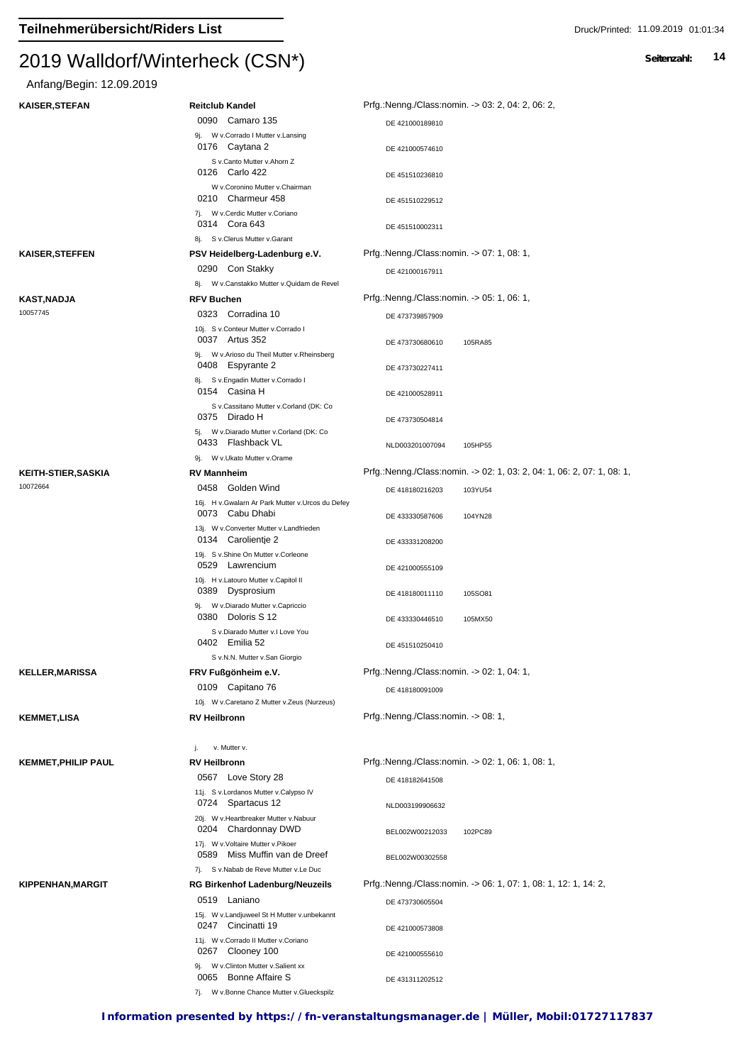# Anfang/Begin: 12.09.2019

| <b>KAISER, STEFAN</b>         | <b>Reitclub Kandel</b>                                                            | Prfg.:Nenng./Class:nomin. -> 03: 2, 04: 2, 06: 2,                      |
|-------------------------------|-----------------------------------------------------------------------------------|------------------------------------------------------------------------|
|                               | 0090 Camaro 135                                                                   | DE 421000189810                                                        |
|                               | 9j. W v.Corrado I Mutter v.Lansing<br>0176 Caytana 2                              | DE 421000574610                                                        |
|                               | S v.Canto Mutter v.Ahorn Z<br>0126 Carlo 422                                      |                                                                        |
|                               | W v.Coronino Mutter v.Chairman<br>0210 Charmeur 458                               | DE 451510236810<br>DE 451510229512                                     |
|                               | 7j. W v.Cerdic Mutter v.Coriano<br>0314 Cora 643                                  | DE 451510002311                                                        |
|                               | 8j. S v.Clerus Mutter v.Garant                                                    |                                                                        |
| <b>KAISER, STEFFEN</b>        | PSV Heidelberg-Ladenburg e.V.                                                     | Prfg.:Nenng./Class:nomin. -> 07: 1, 08: 1,                             |
|                               | 0290 Con Stakky                                                                   | DE 421000167911                                                        |
|                               | 8j. W v.Canstakko Mutter v.Quidam de Revel                                        | Prfg.:Nenng./Class:nomin. -> 05: 1, 06: 1,                             |
| <b>KAST,NADJA</b><br>10057745 | <b>RFV Buchen</b><br>0323 Corradina 10                                            |                                                                        |
|                               | 10j. S v.Conteur Mutter v.Corrado I<br>0037 Artus 352                             | DE 473739857909<br>DE 473730680610<br>105RA85                          |
|                               | 9j. W v.Arioso du Theil Mutter v.Rheinsberg                                       |                                                                        |
|                               | 0408 Espyrante 2<br>8j. S v.Engadin Mutter v.Corrado I<br>0154 Casina H           | DE 473730227411                                                        |
|                               | S v.Cassitano Mutter v.Corland (DK: Co                                            | DE 421000528911                                                        |
|                               | 0375 Dirado H<br>5j. W v.Diarado Mutter v.Corland (DK: Co                         | DE 473730504814                                                        |
|                               | 0433 Flashback VL<br>9j. W v.Ukato Mutter v.Orame                                 | NLD003201007094<br>105HP55                                             |
| <b>KEITH-STIER, SASKIA</b>    | <b>RV Mannheim</b>                                                                | Prfg.:Nenng./Class:nomin. -> 02: 1, 03: 2, 04: 1, 06: 2, 07: 1, 08: 1, |
| 10072664                      | 0458 Golden Wind                                                                  | 103YU54<br>DE 418180216203                                             |
|                               | 16j. H v. Gwalarn Ar Park Mutter v. Urcos du Defey<br>0073 Cabu Dhabi             | DE 433330587606<br>104YN28                                             |
|                               | 13j. W v.Converter Mutter v.Landfrieden<br>0134 Carolientie 2                     | DE 433331208200                                                        |
|                               | 19j. S v.Shine On Mutter v.Corleone<br>0529 Lawrencium                            | DE 421000555109                                                        |
|                               | 10j. H v.Latouro Mutter v.Capitol II<br>0389 Dysprosium                           | DE 418180011110<br>105SO81                                             |
|                               | 9j. W v.Diarado Mutter v.Capriccio<br>0380 Doloris S 12                           | DE 433330446510<br>105MX50                                             |
|                               | S v.Diarado Mutter v.I Love You<br>0402 Emilia 52                                 | DE 451510250410                                                        |
|                               | S v.N.N. Mutter v.San Giorgio                                                     |                                                                        |
| <b>KELLER, MARISSA</b>        | FRV Fußgönheim e.V.                                                               | Prfg.:Nenng./Class:nomin. -> 02: 1, 04: 1,                             |
|                               | 0109 Capitano 76<br>10j. W v.Caretano Z Mutter v.Zeus (Nurzeus)                   | DE 418180091009                                                        |
| <b>KEMMET,LISA</b>            | <b>RV Heilbronn</b>                                                               | Prfg.:Nenng./Class:nomin. -> 08: 1,                                    |
|                               | v. Mutter v.<br>j.                                                                |                                                                        |
| <b>KEMMET, PHILIP PAUL</b>    | <b>RV Heilbronn</b>                                                               | Prfg.:Nenng./Class:nomin. -> 02: 1, 06: 1, 08: 1,                      |
|                               | 0567 Love Story 28                                                                |                                                                        |
|                               | 11j. S v.Lordanos Mutter v.Calypso IV<br>0724 Spartacus 12                        | DE 418182641508<br>NLD003199906632                                     |
|                               | 20j. W v.Heartbreaker Mutter v.Nabuur<br>0204 Chardonnay DWD                      | BEL002W00212033<br>102PC89                                             |
|                               | 17j. W v. Voltaire Mutter v. Pikoer<br>0589 Miss Muffin van de Dreef              | BEL002W00302558                                                        |
|                               | 7j. S v. Nabab de Reve Mutter v. Le Duc                                           |                                                                        |
| <b>KIPPENHAN, MARGIT</b>      | <b>RG Birkenhof Ladenburg/Neuzeils</b>                                            | Prfg.:Nenng./Class:nomin. -> 06: 1, 07: 1, 08: 1, 12: 1, 14: 2,        |
|                               | 0519 Laniano<br>15j. W v.Landjuweel St H Mutter v.unbekannt<br>0247 Cincinatti 19 | DE 473730605504                                                        |
|                               | 11j. W v.Corrado II Mutter v.Coriano<br>0267 Clooney 100                          | DE 421000573808<br>DE 421000555610                                     |
|                               | 9j. W v.Clinton Mutter v.Salient xx<br>0065 Bonne Affaire S                       | DE 431311202512                                                        |
|                               | 7j. W v.Bonne Chance Mutter v.Glueckspilz                                         |                                                                        |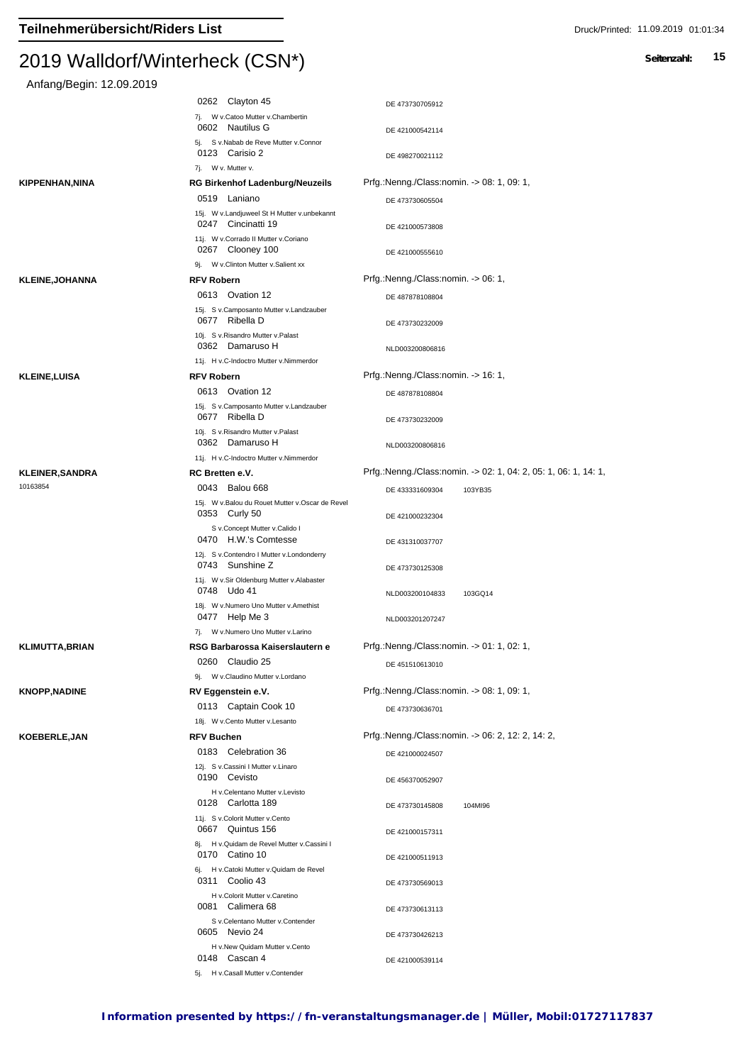| Anfang/Begin: 12.09.2019   |                                                                                                   |                                                                 |
|----------------------------|---------------------------------------------------------------------------------------------------|-----------------------------------------------------------------|
|                            | 0262 Clayton 45                                                                                   | DE 473730705912                                                 |
|                            | 7j. W v.Catoo Mutter v.Chambertin<br>0602 Nautilus G                                              | DE 421000542114                                                 |
|                            | 5j. S v.Nabab de Reve Mutter v.Connor                                                             |                                                                 |
|                            | 0123 Carisio 2                                                                                    | DE 498270021112                                                 |
|                            | 7j. W v. Mutter v.                                                                                |                                                                 |
| KIPPENHAN,NINA             | <b>RG Birkenhof Ladenburg/Neuzeils</b>                                                            | Prfg.:Nenng./Class:nomin. -> 08: 1, 09: 1,                      |
|                            | 0519 Laniano<br>15j. W v.Landjuweel St H Mutter v.unbekannt<br>0247 Cincinatti 19                 | DE 473730605504<br>DE 421000573808                              |
|                            | 11j. W v.Corrado II Mutter v.Coriano<br>0267 Clooney 100                                          | DE 421000555610                                                 |
|                            | 9j. W v.Clinton Mutter v.Salient xx                                                               |                                                                 |
| <b>KLEINE,JOHANNA</b>      | <b>RFV Robern</b>                                                                                 | Prfg.:Nenng./Class:nomin. -> 06: 1,                             |
|                            | 0613 Ovation 12                                                                                   | DE 487878108804                                                 |
|                            | 15j. S v.Camposanto Mutter v.Landzauber<br>0677 Ribella D                                         | DE 473730232009                                                 |
|                            | 10j. S v. Risandro Mutter v. Palast                                                               |                                                                 |
|                            | 0362 Damaruso H<br>11j. H v.C-Indoctro Mutter v.Nimmerdor                                         | NLD003200806816                                                 |
| <b>KLEINE,LUISA</b>        | <b>RFV Robern</b>                                                                                 | Prfg.:Nenng./Class:nomin. -> 16: 1,                             |
|                            | 0613 Ovation 12                                                                                   | DE 487878108804                                                 |
|                            | 15j. S v.Camposanto Mutter v.Landzauber                                                           |                                                                 |
|                            | 0677 Ribella D                                                                                    | DE 473730232009                                                 |
|                            | 10j. S v.Risandro Mutter v.Palast<br>0362 Damaruso H                                              | NLD003200806816                                                 |
|                            | 11j. H v.C-Indoctro Mutter v.Nimmerdor                                                            |                                                                 |
| KLEINER,SANDRA<br>10163854 | RC Bretten e.V.                                                                                   | Prfg.:Nenng./Class:nomin. -> 02: 1, 04: 2, 05: 1, 06: 1, 14: 1, |
|                            | 0043<br>Balou 668                                                                                 | DE 433331609304<br>103YB35                                      |
|                            | 15j. W v.Balou du Rouet Mutter v.Oscar de Revel<br>0353 Curly 50<br>S v.Concept Mutter v.Calido I | DE 421000232304                                                 |
|                            | 0470 H.W.'s Comtesse<br>12j. S v.Contendro I Mutter v.Londonderry                                 | DE 431310037707                                                 |
|                            | 0743 Sunshine Z                                                                                   | DE 473730125308                                                 |
|                            | 11j. W v.Sir Oldenburg Mutter v.Alabaster<br>0748 Udo 41                                          | NLD003200104833<br>103GQ14                                      |
|                            | 18j. W v.Numero Uno Mutter v.Amethist<br>0477 Help Me 3                                           | NLD003201207247                                                 |
|                            | 7j. W v.Numero Uno Mutter v.Larino                                                                |                                                                 |
| KLIMUTTA,BRIAN             | RSG Barbarossa Kaiserslautern e                                                                   | Prfg.:Nenng./Class:nomin. -> 01: 1, 02: 1,                      |
|                            | 0260 Claudio 25                                                                                   | DE 451510613010                                                 |
| <b>KNOPP,NADINE</b>        | 9j. W v.Claudino Mutter v.Lordano                                                                 | Prfg.:Nenng./Class:nomin. -> 08: 1, 09: 1,                      |
|                            | RV Eggenstein e.V.<br>0113 Captain Cook 10                                                        |                                                                 |
|                            | 18j. W v.Cento Mutter v.Lesanto                                                                   | DE 473730636701                                                 |
| <b>KOEBERLE,JAN</b>        | RFV Buchen                                                                                        | Prfg.:Nenng./Class:nomin. -> 06: 2, 12: 2, 14: 2,               |
|                            | 0183 Celebration 36                                                                               | DE 421000024507                                                 |
|                            | 12j. S v.Cassini I Mutter v.Linaro                                                                |                                                                 |
|                            | 0190 Cevisto                                                                                      | DE 456370052907                                                 |
|                            | H v.Celentano Mutter v.Levisto<br>0128 Carlotta 189                                               | DE 473730145808<br>104MI96                                      |
|                            | 11j. S v.Colorit Mutter v.Cento<br>0667 Quintus 156                                               |                                                                 |
|                            | 8j. H v. Quidam de Revel Mutter v. Cassini I                                                      | DE 421000157311                                                 |
|                            | 0170 Catino 10                                                                                    | DE 421000511913                                                 |
|                            | 6j. H v.Catoki Mutter v.Quidam de Revel<br>0311 Coolio 43                                         | DE 473730569013                                                 |
|                            | H v.Colorit Mutter v.Caretino<br>0081 Calimera 68                                                 |                                                                 |
|                            | S v.Celentano Mutter v.Contender                                                                  | DE 473730613113                                                 |
|                            | 0605 Nevio 24<br>H v.New Quidam Mutter v.Cento                                                    | DE 473730426213                                                 |
|                            | 0148 Cascan 4                                                                                     | DE 421000539114                                                 |
|                            | 5j. H v.Casall Mutter v.Contender                                                                 |                                                                 |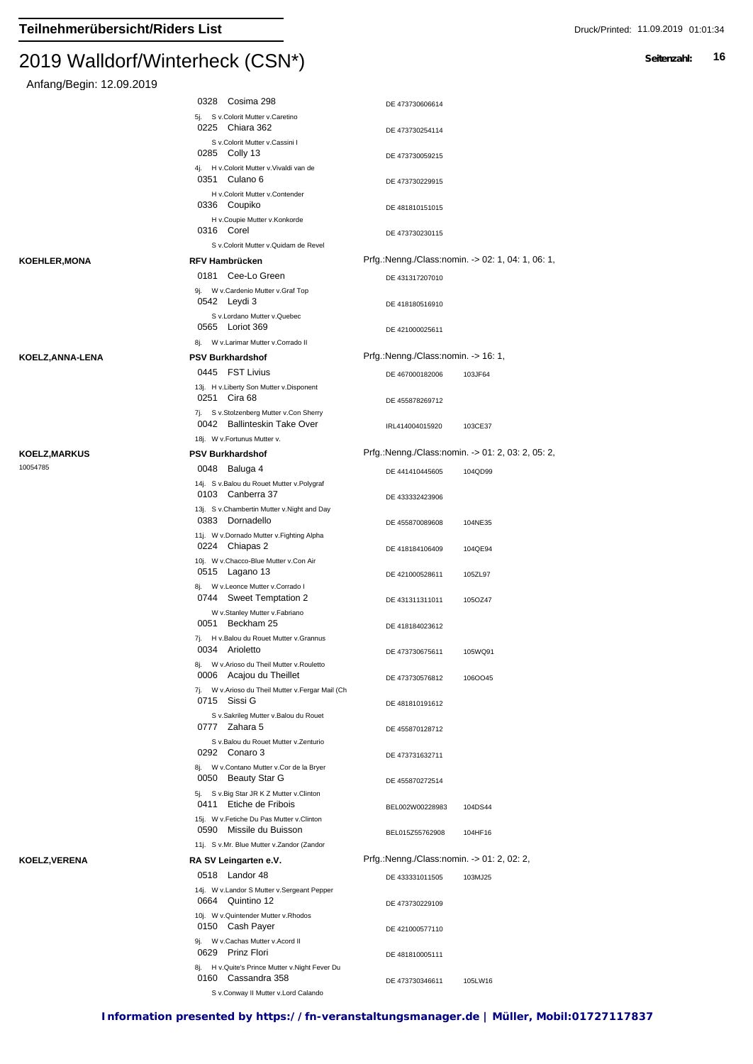| Anfang/Begin: 12.09.2019 |                                                                                    |                                                   |
|--------------------------|------------------------------------------------------------------------------------|---------------------------------------------------|
|                          | 0328 Cosima 298                                                                    | DE 473730606614                                   |
|                          | 5j. S v.Colorit Mutter v.Caretino<br>0225 Chiara 362                               | DE 473730254114                                   |
|                          | S v.Colorit Mutter v.Cassini I<br>0285 Colly 13                                    | DE 473730059215                                   |
|                          | 4j. H v.Colorit Mutter v.Vivaldi van de<br>0351 Culano 6                           | DE 473730229915                                   |
|                          | H v.Colorit Mutter v.Contender<br>0336 Coupiko                                     | DE 481810151015                                   |
|                          | H v.Coupie Mutter v.Konkorde<br>0316 Corel<br>S v.Colorit Mutter v.Quidam de Revel | DE 473730230115                                   |
| KOEHLER,MONA             | <b>RFV Hambrücken</b>                                                              | Prfg.:Nenng./Class:nomin. -> 02: 1, 04: 1, 06: 1, |
|                          | 0181 Cee-Lo Green                                                                  | DE 431317207010                                   |
|                          | 9j. W v.Cardenio Mutter v.Graf Top<br>0542 Leydi 3                                 | DE 418180516910                                   |
|                          | S v.Lordano Mutter v.Quebec<br>0565 Loriot 369                                     | DE 421000025611                                   |
|                          | 8j. W v.Larimar Mutter v.Corrado II<br><b>PSV Burkhardshof</b>                     | Prfg.:Nenng./Class:nomin. -> 16: 1,               |
| KOELZ,ANNA-LENA          | 0445 FST Livius                                                                    |                                                   |
|                          | 13j. H v.Liberty Son Mutter v.Disponent<br>0251 Cira 68                            | DE 467000182006<br>103JF64<br>DE 455878269712     |
|                          | 7j. S v.Stolzenberg Mutter v.Con Sherry<br>0042 Ballinteskin Take Over             | IRL414004015920<br>103CE37                        |
|                          | 18j. W v. Fortunus Mutter v.                                                       |                                                   |
| KOELZ,MARKUS             | <b>PSV Burkhardshof</b>                                                            | Prfg.:Nenng./Class:nomin. -> 01: 2, 03: 2, 05: 2, |
| 10054785                 | 0048 Baluga 4<br>14j. S v.Balou du Rouet Mutter v.Polygraf                         | DE 441410445605<br>104QD99                        |
|                          | 0103 Canberra 37<br>13j. S v.Chambertin Mutter v.Night and Day                     | DE 433332423906                                   |
|                          | 0383 Dornadello<br>11j. W v.Dornado Mutter v.Fighting Alpha                        | DE 455870089608<br>104NE35                        |
|                          | 0224 Chiapas 2<br>10j. W v.Chacco-Blue Mutter v.Con Air                            | DE 418184106409<br>104QE94                        |
|                          | 0515 Lagano 13<br>8j. W v.Leonce Mutter v.Corrado I                                | DE 421000528611<br>105ZL97                        |
|                          | 0744 Sweet Temptation 2<br>W v.Stanley Mutter v.Fabriano<br>0051<br>Beckham 25     | DE 431311311011<br>105OZ47                        |
|                          | 7į.<br>H v.Balou du Rouet Mutter v.Grannus                                         | DE 418184023612                                   |
|                          | 0034<br>Arioletto<br>8j. W v.Arioso du Theil Mutter v.Rouletto                     | DE 473730675611<br>105WQ91                        |
|                          | 0006 Acajou du Theillet<br>7j. W v.Arioso du Theil Mutter v.Fergar Mail (Ch        | DE 473730576812<br>106OO45                        |
|                          | 0715 Sissi G<br>S v.Sakrileg Mutter v.Balou du Rouet<br>0777 Zahara 5              | DE 481810191612                                   |
|                          | S v.Balou du Rouet Mutter v.Zenturio<br>0292 Conaro 3                              | DE 455870128712                                   |
|                          | 8j. W v.Contano Mutter v.Cor de la Bryer<br>0050 Beauty Star G                     | DE 473731632711<br>DE 455870272514                |
|                          | 5j. S v.Big Star JR K Z Mutter v.Clinton<br>0411 Etiche de Fribois                 | BEL002W00228983<br>104DS44                        |
|                          | 15j. W v.Fetiche Du Pas Mutter v.Clinton<br>0590 Missile du Buisson                | BEL015Z55762908<br>104HF16                        |
|                          | 11j. S v.Mr. Blue Mutter v.Zandor (Zandor                                          |                                                   |
| KOELZ,VERENA             | RA SV Leingarten e.V.                                                              | Prfg.:Nenng./Class:nomin. -> 01: 2, 02: 2,        |
|                          | 0518 Landor 48<br>14j. W v.Landor S Mutter v.Sergeant Pepper                       | DE 433331011505<br>103MJ25                        |
|                          | 0664 Quintino 12<br>10j. W v. Quintender Mutter v. Rhodos<br>0150 Cash Payer       | DE 473730229109                                   |
|                          | 9j. W v.Cachas Mutter v.Acord II                                                   | DE 421000577110                                   |
|                          | 0629 Prinz Flori<br>8j. H v. Quite's Prince Mutter v. Night Fever Du               | DE 481810005111                                   |
|                          | 0160 Cassandra 358                                                                 | DE 473730346611<br>105LW16                        |

S v.Conway II Mutter v.Lord Calando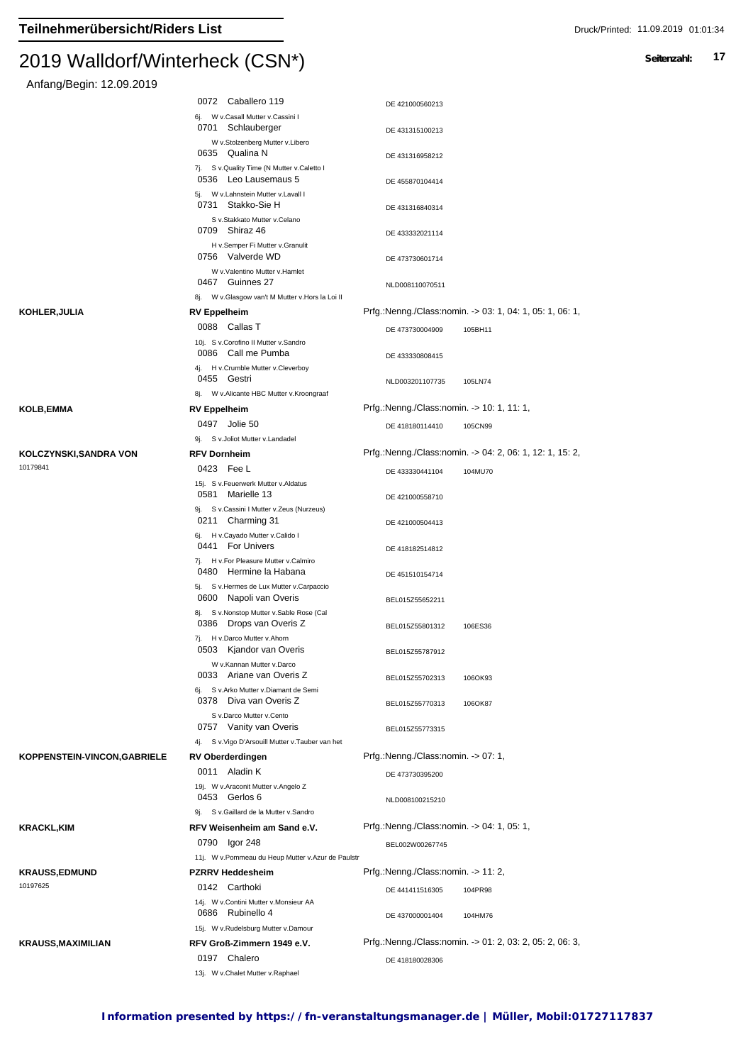#### $2019$  Walldon Winterheck (CSN $\gamma$ )

Anfang/Begin: 12.09.2019

|                                   | 0072 Caballero 119                                                    | DE 421000560213                            |                                                          |
|-----------------------------------|-----------------------------------------------------------------------|--------------------------------------------|----------------------------------------------------------|
|                                   | 6j. W v.Casall Mutter v.Cassini I<br>0701 Schlauberger                | DE 431315100213                            |                                                          |
|                                   | W v.Stolzenberg Mutter v.Libero<br>0635 Qualina N                     | DE 431316958212                            |                                                          |
|                                   | 7j. S v.Quality Time (N Mutter v.Caletto I<br>0536 Leo Lausemaus 5    | DE 455870104414                            |                                                          |
|                                   | 5j. W v.Lahnstein Mutter v.Lavall I<br>0731 Stakko-Sie H              | DE 431316840314                            |                                                          |
|                                   | S v.Stakkato Mutter v.Celano<br>0709 Shiraz 46                        | DE 433332021114                            |                                                          |
|                                   | H v.Semper Fi Mutter v.Granulit<br>0756 Valverde WD                   | DE 473730601714                            |                                                          |
|                                   | W v.Valentino Mutter v.Hamlet<br>0467 Guinnes 27                      | NLD008110070511                            |                                                          |
|                                   | 8j. W v.Glasgow van't M Mutter v.Hors la Loi II                       |                                            |                                                          |
| KOHLER,JULIA                      | <b>RV Eppelheim</b>                                                   |                                            | Prfg.:Nenng./Class:nomin. -> 03: 1, 04: 1, 05: 1, 06: 1, |
|                                   | 0088 Callas T<br>10j. S v.Corofino II Mutter v.Sandro                 | DE 473730004909                            | 105BH11                                                  |
|                                   | 0086 Call me Pumba<br>4j. H v.Crumble Mutter v.Cleverboy              | DE 433330808415                            |                                                          |
|                                   | 0455 Gestri<br>8j. W v. Alicante HBC Mutter v. Kroongraaf             | NLD003201107735                            | 105LN74                                                  |
| KOLB,EMMA                         | <b>RV Eppelheim</b>                                                   | Prfg.:Nenng./Class:nomin. -> 10: 1, 11: 1, |                                                          |
|                                   | 0497 Jolie 50                                                         | DE 418180114410                            | 105CN99                                                  |
|                                   | 9j. S v. Joliot Mutter v. Landadel                                    |                                            |                                                          |
|                                   | <b>RFV Dornheim</b>                                                   |                                            | Prfg.:Nenng./Class:nomin. -> 04: 2, 06: 1, 12: 1, 15: 2, |
| KOLCZYNSKI,SANDRA VON<br>10179841 |                                                                       |                                            |                                                          |
|                                   | 0423 Fee L<br>15j. S v.Feuerwerk Mutter v.Aldatus<br>0581 Marielle 13 | DE 433330441104                            | 104MU70                                                  |
|                                   | 9j. S v.Cassini I Mutter v.Zeus (Nurzeus)<br>0211 Charming 31         | DE 421000558710                            |                                                          |
|                                   | 6j. H v.Cayado Mutter v.Calido I<br>0441 For Univers                  | DE 421000504413                            |                                                          |
|                                   | 7j. H v.For Pleasure Mutter v.Calmiro<br>0480 Hermine la Habana       | DE 418182514812                            |                                                          |
|                                   | 5j. S v.Hermes de Lux Mutter v.Carpaccio<br>0600 Napoli van Overis    | DE 451510154714<br>BEL015Z55652211         |                                                          |
|                                   | 8j. S v.Nonstop Mutter v.Sable Rose (Cal<br>0386 Drops van Overis Z   | BEL015Z55801312                            | 106ES36                                                  |
|                                   | 7j. H v.Darco Mutter v.Ahorn<br>0503 Kjandor van Overis               | BEL015Z55787912                            |                                                          |
|                                   | W v.Kannan Mutter v.Darco<br>0033 Ariane van Overis Z                 | BEL015Z55702313                            | 106OK93                                                  |
|                                   | 6j. S v.Arko Mutter v.Diamant de Semi<br>0378 Diva van Overis Z       | BEL015Z55770313                            | 106OK87                                                  |
|                                   | S v.Darco Mutter v.Cento<br>0757 Vanity van Overis                    | BEL015Z55773315                            |                                                          |
|                                   | 4j. S v. Vigo D'Arsouill Mutter v. Tauber van het                     |                                            |                                                          |
| KOPPENSTEIN-VINCON, GABRIELE      | <b>RV Oberderdingen</b>                                               | Prfg.:Nenng./Class:nomin. -> 07: 1,        |                                                          |
|                                   | 0011 Aladin K<br>19j. W v. Araconit Mutter v. Angelo Z                | DE 473730395200                            |                                                          |
|                                   | 0453 Gerlos 6<br>9j. S v. Gaillard de la Mutter v. Sandro             | NLD008100215210                            |                                                          |
|                                   |                                                                       | Prfg.:Nenng./Class:nomin. -> 04: 1, 05: 1, |                                                          |
| KRACKL,KIM                        | RFV Weisenheim am Sand e.V.                                           |                                            |                                                          |
|                                   | 0790 Igor 248                                                         | BEL002W00267745                            |                                                          |
|                                   | 11j. W v.Pommeau du Heup Mutter v.Azur de Paulstr                     |                                            |                                                          |
| <b>KRAUSS,EDMUND</b>              | <b>PZRRV Heddesheim</b>                                               | Prfg.:Nenng./Class:nomin. -> 11: 2,        |                                                          |
| 10197625                          | 0142 Carthoki                                                         | DE 441411516305                            | 104PR98                                                  |
|                                   | 14j. W v.Contini Mutter v.Monsieur AA                                 |                                            |                                                          |
|                                   | 0686 Rubinello 4                                                      | DE 437000001404                            | 104HM76                                                  |
|                                   | 15j. W v.Rudelsburg Mutter v.Damour                                   |                                            |                                                          |
| KRAUSS,MAXIMILIAN                 | RFV Groß-Zimmern 1949 e.V.                                            |                                            | Prfg.:Nenng./Class:nomin. -> 01: 2, 03: 2, 05: 2, 06: 3, |
|                                   | 0197 Chalero                                                          | DE 418180028306                            |                                                          |
|                                   | 13j. W v.Chalet Mutter v.Raphael                                      |                                            |                                                          |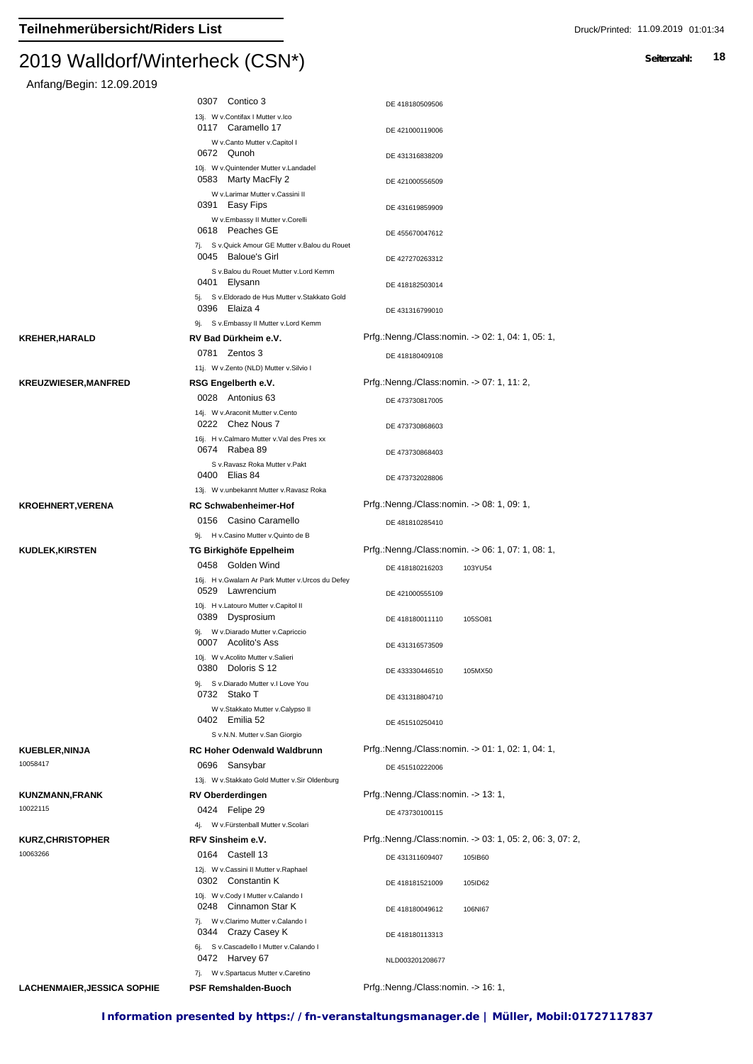| Anfang/Begin: 12.09.2019 |  |
|--------------------------|--|
|                          |  |

|                            | 0307 Contico 3                                                         | DE 418180509506                                          |
|----------------------------|------------------------------------------------------------------------|----------------------------------------------------------|
|                            | 13j. W v.Contifax I Mutter v.Ico<br>0117 Caramello 17                  |                                                          |
|                            | W v.Canto Mutter v.Capitol I                                           | DE 421000119006                                          |
|                            | 0672 Qunoh<br>10j. W v. Quintender Mutter v. Landadel                  | DE 431316838209                                          |
|                            | 0583 Marty MacFly 2                                                    | DE 421000556509                                          |
|                            | W v.Larimar Mutter v.Cassini II<br>0391 Easy Fips                      | DE 431619859909                                          |
|                            | W v.Embassy II Mutter v.Corelli<br>0618 Peaches GE                     | DE 455670047612                                          |
|                            | 7j. S v. Quick Amour GE Mutter v. Balou du Rouet<br>0045 Baloue's Girl |                                                          |
|                            | S v.Balou du Rouet Mutter v.Lord Kemm                                  | DE 427270263312                                          |
|                            | 0401 Elysann<br>5j. S v.Eldorado de Hus Mutter v.Stakkato Gold         | DE 418182503014                                          |
|                            | 0396 Elaiza 4                                                          | DE 431316799010                                          |
|                            | 9j. S v.Embassy II Mutter v.Lord Kemm                                  |                                                          |
| KREHER,HARALD              | RV Bad Dürkheim e.V.                                                   | Prfg.:Nenng./Class:nomin. -> 02: 1, 04: 1, 05: 1,        |
|                            | 0781 Zentos 3                                                          | DE 418180409108                                          |
|                            | 11j. W v.Zento (NLD) Mutter v.Silvio I                                 |                                                          |
| <b>KREUZWIESER,MANFRED</b> | RSG Engelberth e.V.                                                    | Prfg.:Nenng./Class:nomin. -> 07: 1, 11: 2,               |
|                            | 0028 Antonius 63                                                       | DE 473730817005                                          |
|                            | 14j. W v.Araconit Mutter v.Cento<br>0222 Chez Nous 7                   | DE 473730868603                                          |
|                            | 16j. H v.Calmaro Mutter v.Val des Pres xx<br>0674 Rabea 89             | DE 473730868403                                          |
|                            | S v.Ravasz Roka Mutter v.Pakt                                          |                                                          |
|                            | 0400 Elias 84                                                          | DE 473732028806                                          |
|                            | 13j. W v.unbekannt Mutter v. Ravasz Roka                               |                                                          |
| <b>KROEHNERT,VERENA</b>    | <b>RC Schwabenheimer-Hof</b>                                           | Prfg.:Nenng./Class:nomin. -> 08: 1, 09: 1,               |
|                            | 0156 Casino Caramello                                                  | DE 481810285410                                          |
|                            | 9j. H v.Casino Mutter v.Quinto de B                                    |                                                          |
| <b>KUDLEK,KIRSTEN</b>      | TG Birkighöfe Eppelheim                                                | Prfg.:Nenng./Class:nomin. -> 06: 1, 07: 1, 08: 1,        |
|                            |                                                                        |                                                          |
|                            | 0458 Golden Wind                                                       | DE 418180216203<br>103YU54                               |
|                            | 16j. H v. Gwalarn Ar Park Mutter v. Urcos du Defey<br>0529 Lawrencium  | DE 421000555109                                          |
|                            | 10j. H v.Latouro Mutter v.Capitol II<br>0389 Dysprosium                | 105SO81<br>DE 418180011110                               |
|                            | 9j. W v.Diarado Mutter v.Capriccio<br>0007 Acolito's Ass               | DE 431316573509                                          |
|                            | 10j. W v.Acolito Mutter v.Salieri<br>0380 Doloris S 12                 | DE 433330446510<br>105MX50                               |
|                            | 9j. S v.Diarado Mutter v.I Love You                                    |                                                          |
|                            | 0732 Stako T<br>W v.Stakkato Mutter v.Calypso II                       | DE 431318804710                                          |
|                            | 0402 Emilia 52                                                         | DE 451510250410                                          |
|                            | S v.N.N. Mutter v.San Giorgio                                          |                                                          |
| <b>KUEBLER,NINJA</b>       | <b>RC Hoher Odenwald Waldbrunn</b>                                     | Prfg.:Nenng./Class:nomin. -> 01: 1, 02: 1, 04: 1,        |
| 10058417                   | 0696 Sansybar                                                          | DE 451510222006                                          |
|                            | 13j. W v.Stakkato Gold Mutter v.Sir Oldenburg                          |                                                          |
| KUNZMANN,FRANK             | <b>RV Oberderdingen</b>                                                | Prfg.:Nenng./Class:nomin. -> 13: 1,                      |
| 10022115                   | 0424 Felipe 29                                                         | DE 473730100115                                          |
|                            | 4j. W v. Fürstenball Mutter v. Scolari                                 |                                                          |
| <b>KURZ,CHRISTOPHER</b>    | RFV Sinsheim e.V.                                                      | Prfg.:Nenng./Class:nomin. -> 03: 1, 05: 2, 06: 3, 07: 2, |
| 10063266                   | 0164 Castell 13                                                        | DE 431311609407<br>105IB60                               |
|                            | 12j. W v.Cassini II Mutter v.Raphael<br>0302 Constantin K              | DE 418181521009<br>105ID62                               |
|                            | 10j. W v.Cody I Mutter v.Calando I<br>0248 Cinnamon Star K             |                                                          |
|                            |                                                                        | DE 418180049612<br>106NI67                               |
|                            | 7j. W v.Clarimo Mutter v.Calando I                                     |                                                          |
|                            | 0344 Crazy Casey K                                                     | DE 418180113313                                          |
|                            | 6j. S v.Cascadello I Mutter v.Calando I<br>0472 Harvey 67              | NLD003201208677                                          |
| LACHENMAIER,JESSICA SOPHIE | 7j. W v.Spartacus Mutter v.Caretino<br>PSF Remshalden-Buoch            | Prfg.:Nenng./Class:nomin. -> 16: 1,                      |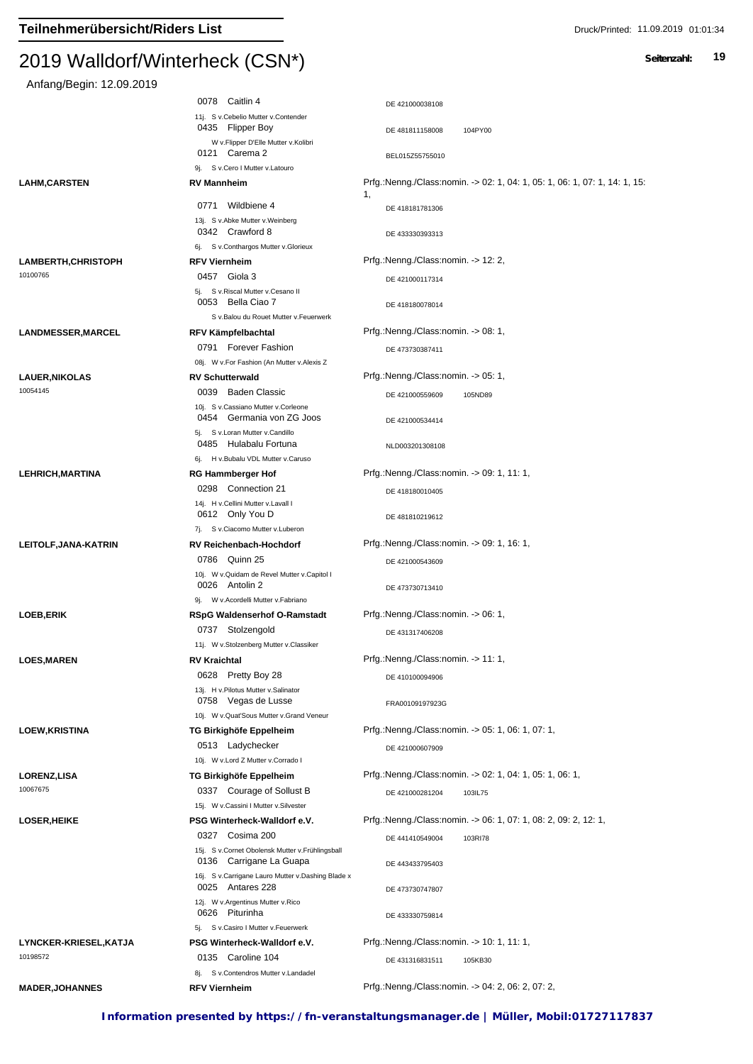| Anfang/Begin: 12.09.2019                 |                                                                                        |                                                                                  |
|------------------------------------------|----------------------------------------------------------------------------------------|----------------------------------------------------------------------------------|
|                                          | 0078 Caitlin 4                                                                         | DE 421000038108                                                                  |
|                                          | 11j. S v.Cebelio Mutter v.Contender<br>0435 Flipper Boy                                | 104PY00<br>DE 481811158008                                                       |
|                                          | W v.Flipper D'Elle Mutter v.Kolibri<br>0121 Carema 2                                   | BEL015Z55755010                                                                  |
|                                          | 9j. S v.Cero I Mutter v.Latouro                                                        |                                                                                  |
| <b>LAHM,CARSTEN</b>                      | <b>RV Mannheim</b>                                                                     | Prfg.:Nenng./Class:nomin. -> 02: 1, 04: 1, 05: 1, 06: 1, 07: 1, 14: 1, 15:<br>1, |
|                                          | 0771 Wildbiene 4                                                                       | DE 418181781306                                                                  |
|                                          | 13j. S v.Abke Mutter v.Weinberg<br>0342 Crawford 8                                     |                                                                                  |
|                                          | 6j. S v.Conthargos Mutter v.Glorieux                                                   | DE 433330393313                                                                  |
| <b>LAMBERTH, CHRISTOPH</b>               | <b>RFV Viernheim</b>                                                                   | Prfg.:Nenng./Class:nomin. -> 12: 2,                                              |
| 10100765                                 | 0457 Giola 3                                                                           | DE 421000117314                                                                  |
|                                          | 5j. S v.Riscal Mutter v.Cesano II<br>0053 Bella Ciao 7                                 | DE 418180078014                                                                  |
|                                          | S v.Balou du Rouet Mutter v.Feuerwerk                                                  |                                                                                  |
| LANDMESSER, MARCEL                       | RFV Kämpfelbachtal                                                                     | Prfg.:Nenng./Class:nomin. -> 08: 1,                                              |
|                                          | 0791 Forever Fashion                                                                   | DE 473730387411                                                                  |
|                                          | 08j. W v.For Fashion (An Mutter v.Alexis Z                                             |                                                                                  |
| <b>LAUER, NIKOLAS</b><br>10054145        | <b>RV Schutterwald</b>                                                                 | Prfg.:Nenng./Class:nomin. -> 05: 1,                                              |
|                                          | 0039 Baden Classic<br>10j. S v.Cassiano Mutter v.Corleone<br>0454 Germania von ZG Joos | DE 421000559609<br>105ND89                                                       |
|                                          | 5j. S v.Loran Mutter v.Candillo                                                        | DE 421000534414                                                                  |
|                                          | 0485 Hulabalu Fortuna<br>6j. H v.Bubalu VDL Mutter v.Caruso                            | NLD003201308108                                                                  |
| <b>LEHRICH, MARTINA</b>                  | <b>RG Hammberger Hof</b>                                                               | Prfg.:Nenng./Class:nomin. -> 09: 1, 11: 1,                                       |
|                                          | 0298 Connection 21                                                                     | DE 418180010405                                                                  |
|                                          | 14j. H v.Cellini Mutter v.Lavall I<br>0612 Only You D                                  | DE 481810219612                                                                  |
|                                          | 7j. S v.Ciacomo Mutter v.Luberon                                                       |                                                                                  |
| LEITOLF, JANA-KATRIN                     | <b>RV Reichenbach-Hochdorf</b>                                                         | Prfg.:Nenng./Class:nomin. -> 09: 1, 16: 1,                                       |
|                                          | 0786 Quinn 25                                                                          | DE 421000543609                                                                  |
|                                          | 10j. W v. Quidam de Revel Mutter v. Capitol I<br>0026 Antolin 2                        | DE 473730713410                                                                  |
| <b>LOEB,ERIK</b>                         | 9j. W v. Acordelli Mutter v. Fabriano<br><b>RSpG Waldenserhof O-Ramstadt</b>           | Prfg.:Nenng./Class:nomin. -> 06: 1,                                              |
|                                          | 0737 Stolzengold                                                                       | DE 431317406208                                                                  |
|                                          | 11j. W v.Stolzenberg Mutter v.Classiker                                                |                                                                                  |
| <b>LOES,MAREN</b>                        | <b>RV Kraichtal</b>                                                                    | Prfg.:Nenng./Class:nomin. -> 11: 1,                                              |
|                                          | 0628 Pretty Boy 28<br>13j. H v. Pilotus Mutter v. Salinator<br>0758 Vegas de Lusse     | DE 410100094906<br>FRA00109197923G                                               |
|                                          | 10j. W v. Quat'Sous Mutter v. Grand Veneur                                             |                                                                                  |
| <b>LOEW,KRISTINA</b>                     | TG Birkighöfe Eppelheim                                                                | Prfg.:Nenng./Class:nomin. -> 05: 1, 06: 1, 07: 1,                                |
|                                          | 0513 Ladychecker                                                                       | DE 421000607909                                                                  |
|                                          | 10j. W v.Lord Z Mutter v.Corrado I                                                     |                                                                                  |
| <b>LORENZ,LISA</b><br>10067675           | TG Birkighöfe Eppelheim                                                                | Prfg.:Nenng./Class:nomin. -> 02: 1, 04: 1, 05: 1, 06: 1,                         |
|                                          | 0337 Courage of Sollust B<br>15j. W v.Cassini I Mutter v.Silvester                     | DE 421000281204<br>103IL75                                                       |
| <b>LOSER,HEIKE</b>                       | PSG Winterheck-Walldorf e.V.                                                           | Prfg.:Nenng./Class:nomin. -> 06: 1, 07: 1, 08: 2, 09: 2, 12: 1,                  |
|                                          | 0327 Cosima 200                                                                        | DE 441410549004<br>103RI78                                                       |
|                                          | 15j. S v.Cornet Obolensk Mutter v.Frühlingsball<br>0136 Carrigane La Guapa             | DE 443433795403                                                                  |
|                                          | 16j. S v.Carrigane Lauro Mutter v.Dashing Blade x                                      |                                                                                  |
|                                          | 0025 Antares 228<br>12j. W v.Argentinus Mutter v.Rico                                  | DE 473730747807                                                                  |
|                                          | 0626 Piturinha                                                                         | DE 433330759814                                                                  |
|                                          | 5j. S v.Casiro I Mutter v.Feuerwerk                                                    |                                                                                  |
| <b>LYNCKER-KRIESEL,KATJA</b><br>10198572 | PSG Winterheck-Walldorf e.V.<br>0135 Caroline 104                                      | Prfg.:Nenng./Class:nomin. -> 10: 1, 11: 1,                                       |
|                                          |                                                                                        | DE 431316831511<br>105KB30                                                       |
|                                          | 8j. Sv.Contendros Mutter v.Landadel                                                    |                                                                                  |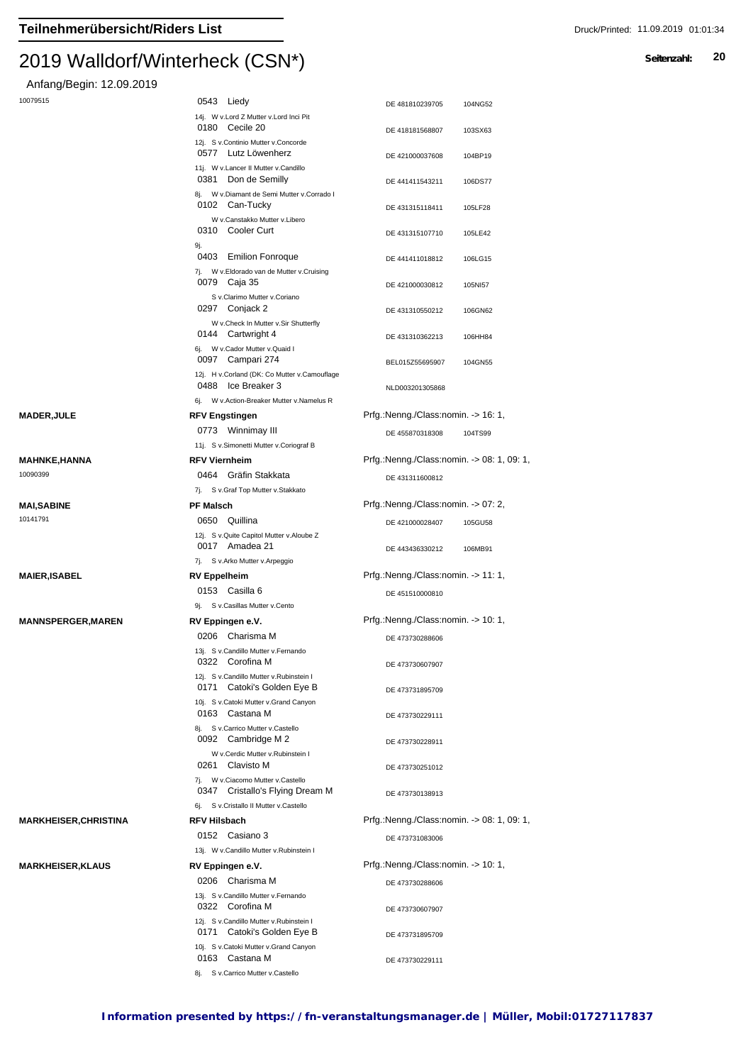#### $2013$  Walldon Vinterheck (CSN<sup>\*</sup>)

Anfang/Begin: 12.09.2019

| 10079515                 | 0543 Liedy                                                                                                        | DE 481810239705<br>104NG52                               |
|--------------------------|-------------------------------------------------------------------------------------------------------------------|----------------------------------------------------------|
|                          | 14j. W v.Lord Z Mutter v.Lord Inci Pit<br>0180 Cecile 20                                                          | DE 418181568807<br>103SX63                               |
|                          | 12j. S v.Continio Mutter v.Concorde<br>0577 Lutz Löwenherz                                                        | DE 421000037608<br>104BP19                               |
|                          | 11j. W v.Lancer II Mutter v.Candillo<br>0381 Don de Semilly                                                       | DE 441411543211<br>106DS77                               |
|                          | 8j. W v.Diamant de Semi Mutter v.Corrado I<br>0102 Can-Tucky<br>W v.Canstakko Mutter v.Libero                     | DE 431315118411<br>105LF28                               |
|                          | 0310<br>Cooler Curt<br>9j.                                                                                        | DE 431315107710<br>105LE42                               |
|                          | 0403 Emilion Fonroque<br>7j. W v. Eldorado van de Mutter v. Cruising                                              | DE 441411018812<br>106LG15                               |
|                          | 0079 Caja 35                                                                                                      | DE 421000030812<br>105NI57                               |
|                          | S v.Clarimo Mutter v.Coriano<br>0297 Conjack 2                                                                    | DE 431310550212<br>106GN62                               |
|                          | W v.Check In Mutter v.Sir Shutterfly<br>0144 Cartwright 4                                                         | DE 431310362213<br>106HH84                               |
|                          | 6j. W v.Cador Mutter v.Quaid I<br>0097 Campari 274                                                                | BEL015Z55695907<br>104GN55                               |
|                          | 12j. H v.Corland (DK: Co Mutter v.Camouflage<br>0488 Ice Breaker 3<br>6i. W v. Action-Breaker Mutter v. Namelus R | NLD003201305868                                          |
| <b>MADER,JULE</b>        | <b>RFV Engstingen</b>                                                                                             | Prfg.:Nenng./Class:nomin. -> 16: 1,                      |
|                          | 0773 Winnimay III                                                                                                 | DE 455870318308<br>104TS99                               |
|                          | 11j. S v.Simonetti Mutter v.Coriograf B                                                                           |                                                          |
| MAHNKE,HANNA             | <b>RFV Viernheim</b>                                                                                              | Prfg.:Nenng./Class:nomin. -> 08: 1, 09: 1,               |
| 10090399                 | 0464 Gräfin Stakkata                                                                                              | DE 431311600812                                          |
|                          | 7j. S v.Graf Top Mutter v.Stakkato                                                                                |                                                          |
| <b>MAI,SABINE</b>        | <b>PF Malsch</b>                                                                                                  | Prfg.:Nenng./Class:nomin. -> 07: 2,                      |
| 10141791                 | 0650<br>Quillina<br>12j. S v.Quite Capitol Mutter v.Aloube Z<br>0017 Amadea 21                                    | DE 421000028407<br>105GU58<br>DE 443436330212<br>106MB91 |
|                          | 7j. S v.Arko Mutter v.Arpeggio                                                                                    |                                                          |
| <b>MAIER,ISABEL</b>      | <b>RV Eppelheim</b>                                                                                               | Prfg.:Nenng./Class:nomin. -> 11: 1,                      |
|                          | 0153 Casilla 6                                                                                                    | DE 451510000810                                          |
|                          | 9j. S v.Casillas Mutter v.Cento                                                                                   |                                                          |
| <b>MANNSPERGER,MAREN</b> | RV Eppingen e.V.                                                                                                  | Prfg.:Nenng./Class:nomin. -> 10: 1,                      |
|                          | 0206 Charisma M                                                                                                   | DE 473730288606                                          |
|                          | 13j. S v.Candillo Mutter v.Fernando<br>0322 Corofina M                                                            | DE 473730607907                                          |
|                          | 12j. S v.Candillo Mutter v.Rubinstein I<br>0171<br>Catoki's Golden Eye B<br>10j. S v.Catoki Mutter v.Grand Canyon | DE 473731895709                                          |
|                          | 0163 Castana M                                                                                                    | DE 473730229111                                          |
|                          | 8j. S v.Carrico Mutter v.Castello<br>0092 Cambridge M 2<br>W v.Cerdic Mutter v.Rubinstein I                       | DE 473730228911                                          |
|                          | 0261<br>Clavisto M<br>7j. W v.Ciacomo Mutter v.Castello                                                           | DE 473730251012                                          |
|                          | 0347 Cristallo's Flying Dream M<br>6j. S v.Cristallo II Mutter v.Castello                                         | DE 473730138913                                          |
| MARKHEISER,CHRISTINA     | <b>RFV Hilsbach</b>                                                                                               | Prfg.:Nenng./Class:nomin. -> 08: 1, 09: 1,               |
|                          | 0152 Casiano 3                                                                                                    | DE 473731083006                                          |
|                          | 13j. W v.Candillo Mutter v.Rubinstein I                                                                           |                                                          |
| <b>MARKHEISER,KLAUS</b>  | RV Eppingen e.V.                                                                                                  | Prfg.:Nenng./Class:nomin. -> 10: 1,                      |
|                          | 0206 Charisma M                                                                                                   | DE 473730288606                                          |
|                          | 13j. S v.Candillo Mutter v.Fernando<br>0322 Corofina M                                                            | DE 473730607907                                          |
|                          | 12j. S v.Candillo Mutter v.Rubinstein I<br>0171 Catoki's Golden Eye B                                             | DE 473731895709                                          |
|                          | 10j. S v.Catoki Mutter v.Grand Canyon<br>0163 Castana M                                                           | DE 473730229111                                          |

8j. S v.Carrico Mutter v.Castello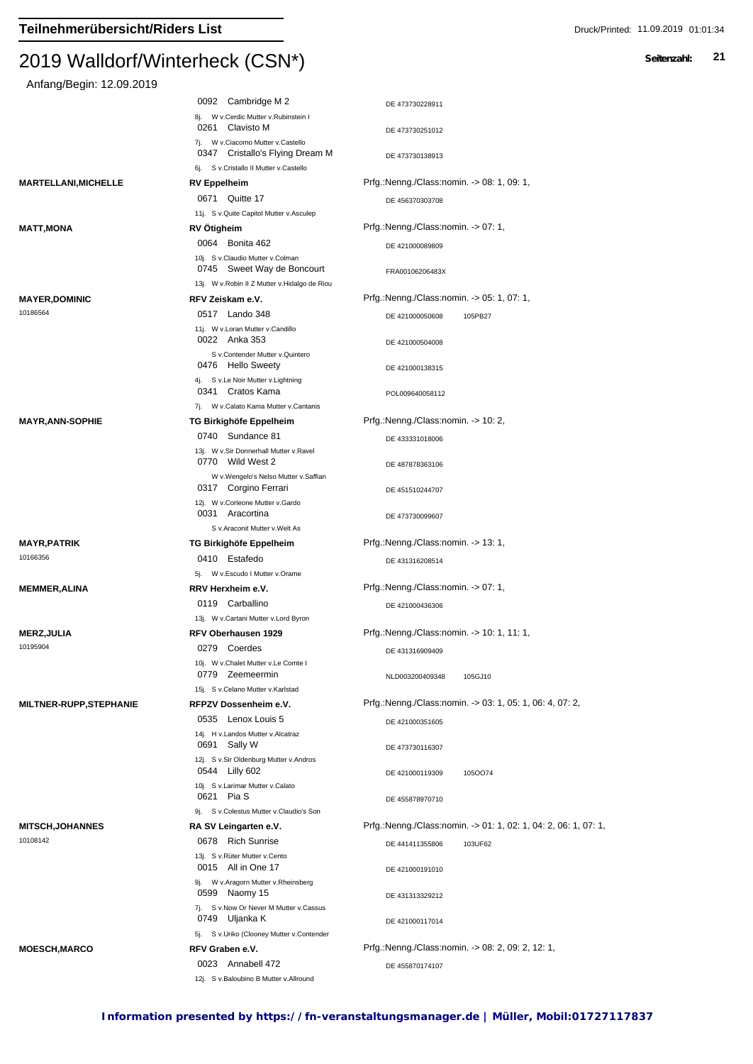| Anfang/Begin: 12.09.2019      |                                                                                  |                                                                 |
|-------------------------------|----------------------------------------------------------------------------------|-----------------------------------------------------------------|
|                               | 0092 Cambridge M 2                                                               | DE 473730228911                                                 |
|                               | 8j. W v.Cerdic Mutter v.Rubinstein I                                             |                                                                 |
|                               | Clavisto M<br>0261<br>7j. W v.Ciacomo Mutter v.Castello                          | DE 473730251012                                                 |
|                               | 0347 Cristallo's Flying Dream M                                                  | DE 473730138913                                                 |
|                               | 6j. S v.Cristallo II Mutter v.Castello                                           | Prfg.:Nenng./Class:nomin. -> 08: 1, 09: 1,                      |
| MARTELLANI,MICHELLE           | <b>RV Eppelheim</b><br>0671 Quitte 17                                            |                                                                 |
|                               | 11j. S v. Quite Capitol Mutter v. Asculep                                        | DE 456370303708                                                 |
| MATT,MONA                     | <b>RV Otigheim</b>                                                               | Prfg.:Nenng./Class:nomin. -> 07: 1,                             |
|                               | 0064 Bonita 462                                                                  | DE 421000089809                                                 |
|                               | 10j. S v.Claudio Mutter v.Colman<br>0745 Sweet Way de Boncourt                   | FRA00106206483X                                                 |
|                               | 13j. W v.Robin II Z Mutter v.Hidalgo de Riou                                     |                                                                 |
| <b>MAYER,DOMINIC</b>          | RFV Zeiskam e.V.                                                                 | Prfg.:Nenng./Class:nomin. -> 05: 1, 07: 1,                      |
| 10186564                      | 0517 Lando 348<br>11j. W v.Loran Mutter v.Candillo<br>0022 Anka 353              | DE 421000050608<br>105PB27                                      |
|                               | S v.Contender Mutter v.Quintero<br>0476 Hello Sweety                             | DE 421000504008<br>DE 421000138315                              |
|                               | 4j. S v.Le Noir Mutter v.Lightning                                               |                                                                 |
|                               | 0341 Cratos Kama<br>7j. W v.Calato Kama Mutter v.Cantanis                        | POL009640058112                                                 |
| <b>MAYR,ANN-SOPHIE</b>        | TG Birkighöfe Eppelheim                                                          | Prfg.:Nenng./Class:nomin. -> 10: 2,                             |
|                               | 0740 Sundance 81                                                                 | DE 433331018006                                                 |
|                               | 13j. W v.Sir Donnerhall Mutter v.Ravel                                           |                                                                 |
|                               | 0770 Wild West 2<br>W v.Wengelo's Nelso Mutter v.Saffian<br>0317 Corgino Ferrari | DE 487878363106                                                 |
|                               | 12j. W v.Corleone Mutter v.Gardo<br>0031 Aracortina                              | DE 451510244707                                                 |
|                               | S v.Araconit Mutter v.Welt As                                                    | DE 473730099607                                                 |
| MAYR,PATRIK                   | TG Birkighöfe Eppelheim                                                          | Prfg.:Nenng./Class:nomin. -> 13: 1,                             |
| 10166356                      | 0410 Estafedo                                                                    | DE 431316208514                                                 |
|                               | 5j. W v.Escudo I Mutter v.Orame                                                  |                                                                 |
| <b>MEMMER,ALINA</b>           | RRV Herxheim e.V.                                                                | Prfg.:Nenng./Class:nomin. -> 07: 1,                             |
|                               | 0119 Carballino<br>13j. W v.Cartani Mutter v.Lord Byron                          | DE 421000436306                                                 |
| MERZ,JULIA                    | RFV Oberhausen 1929                                                              | Prfg.:Nenng./Class:nomin. -> 10: 1, 11: 1,                      |
| 10195904                      | 0279<br>Coerdes                                                                  | DE 431316909409                                                 |
|                               | 10j. W v.Chalet Mutter v.Le Comte I<br>0779 Zeemeermin                           | NLD003200409348<br>105GJ10                                      |
|                               | 15j. S v.Celano Mutter v.Karlstad                                                | Prfg.:Nenng./Class:nomin. -> 03: 1, 05: 1, 06: 4, 07: 2,        |
| <b>MILTNER-RUPP,STEPHANIE</b> | RFPZV Dossenheim e.V.<br>0535 Lenox Louis 5                                      |                                                                 |
|                               | 14j. H v.Landos Mutter v.Alcatraz<br>0691 Sally W                                | DE 421000351605<br>DE 473730116307                              |
|                               | 12j. S v.Sir Oldenburg Mutter v.Andros                                           |                                                                 |
|                               | 0544 Lilly 602<br>10j. S v.Larimar Mutter v.Calato                               | DE 421000119309<br>1050074                                      |
|                               | 0621 Pia S                                                                       | DE 455878970710                                                 |
| <b>MITSCH,JOHANNES</b>        | 9j. S v.Colestus Mutter v.Claudio's Son<br>RA SV Leingarten e.V.                 | Prfg.:Nenng./Class:nomin. -> 01: 1, 02: 1, 04: 2, 06: 1, 07: 1, |
| 10108142                      | 0678 Rich Sunrise                                                                | DE 441411355806                                                 |
|                               | 13j. S v.Rüter Mutter v.Cento                                                    | 103UF62                                                         |
|                               | 0015 All in One 17                                                               | DE 421000191010                                                 |
|                               | 9j. W v.Aragorn Mutter v.Rheinsberg<br>0599 Naomy 15                             | DE 431313329212                                                 |
|                               | 7j. S v.Now Or Never M Mutter v.Cassus<br>0749 Uljanka K                         | DE 421000117014                                                 |
|                               | 5j. S v.Uriko (Clooney Mutter v.Contender<br>RFV Graben e.V.                     | Prfg.:Nenng./Class:nomin. -> 08: 2, 09: 2, 12: 1,               |
| <b>MOESCH,MARCO</b>           | 0023 Annabell 472                                                                |                                                                 |
|                               | 12j. S v.Baloubino B Mutter v.Allround                                           | DE 455870174107                                                 |
|                               |                                                                                  |                                                                 |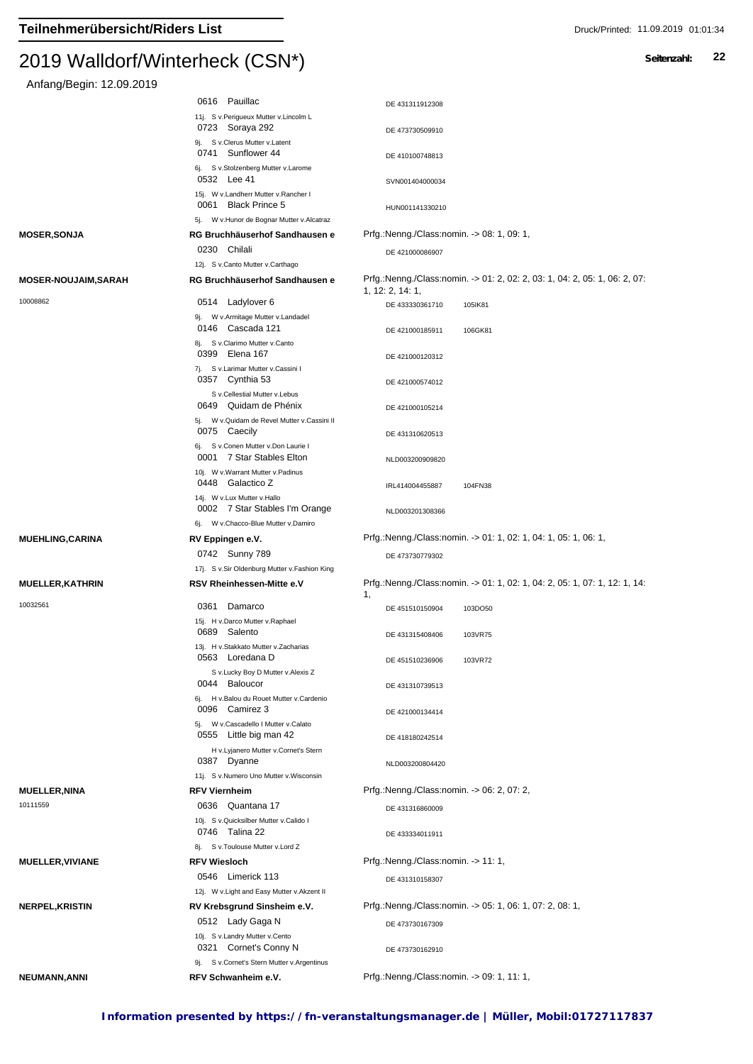| Anfang/Begin: 12.09.2019                |                                                                                  |                                                                                                |
|-----------------------------------------|----------------------------------------------------------------------------------|------------------------------------------------------------------------------------------------|
|                                         | 0616 Pauillac                                                                    | DE 431311912308                                                                                |
|                                         | 11j. S v.Perigueux Mutter v.Lincolm L<br>0723 Soraya 292                         | DE 473730509910                                                                                |
|                                         | 9j. S v.Clerus Mutter v.Latent<br>0741 Sunflower 44                              | DE 410100748813                                                                                |
|                                         | 6j. S v.Stolzenberg Mutter v.Larome<br>0532 Lee 41                               | SVN001404000034                                                                                |
|                                         | 15j. W v.Landherr Mutter v.Rancher I<br>0061 Black Prince 5                      | HUN001141330210                                                                                |
|                                         | 5j. W v. Hunor de Bognar Mutter v. Alcatraz                                      |                                                                                                |
| <b>MOSER, SONJA</b>                     | RG Bruchhäuserhof Sandhausen e                                                   | Prfg.:Nenng./Class:nomin. -> 08: 1, 09: 1,                                                     |
|                                         | 0230 Chilali                                                                     | DE 421000086907                                                                                |
|                                         | 12j. S v.Canto Mutter v.Carthago                                                 |                                                                                                |
| <b>MOSER-NOUJAIM, SARAH</b><br>10008862 | RG Bruchhäuserhof Sandhausen e                                                   | Prfg.:Nenng./Class:nomin. -> 01: 2, 02: 2, 03: 1, 04: 2, 05: 1, 06: 2, 07:<br>1, 12: 2, 14: 1, |
|                                         | 0514 Ladylover 6                                                                 | DE 433330361710<br>105IK81                                                                     |
|                                         | W v.Armitage Mutter v.Landadel<br>9j.<br>0146 Cascada 121                        | DE 421000185911<br>106GK81                                                                     |
|                                         | 8j. S v.Clarimo Mutter v.Canto<br>Elena 167<br>0399                              | DE 421000120312                                                                                |
|                                         | 7j. Sv.Larimar Mutter v.Cassini I<br>0357 Cynthia 53                             |                                                                                                |
|                                         | S v.Cellestial Mutter v.Lebus                                                    | DE 421000574012                                                                                |
|                                         | 0649 Quidam de Phénix<br>5j. W v. Quidam de Revel Mutter v. Cassini II           | DE 421000105214                                                                                |
|                                         | 0075 Caecily<br>6j. Sv.Conen Mutter v.Don Laurie I                               | DE 431310620513                                                                                |
|                                         | 0001 7 Star Stables Elton<br>10j. W v. Warrant Mutter v. Padinus                 | NLD003200909820                                                                                |
|                                         | 0448 Galactico Z                                                                 | IRL414004455887<br>104FN38                                                                     |
|                                         | 14j. W v.Lux Mutter v.Hallo<br>0002 7 Star Stables I'm Orange                    | NLD003201308366                                                                                |
|                                         |                                                                                  |                                                                                                |
|                                         | 6j. W v.Chacco-Blue Mutter v.Damiro                                              |                                                                                                |
| <b>MUEHLING, CARINA</b>                 | RV Eppingen e.V.                                                                 | Prfg.:Nenng./Class:nomin. -> 01: 1, 02: 1, 04: 1, 05: 1, 06: 1,                                |
|                                         | 0742 Sunny 789                                                                   | DE 473730779302                                                                                |
| <b>MUELLER, KATHRIN</b>                 | 17j. S v.Sir Oldenburg Mutter v.Fashion King<br><b>RSV Rheinhessen-Mitte e.V</b> | Prfg.:Nenng./Class:nomin. -> 01: 1, 02: 1, 04: 2, 05: 1, 07: 1, 12: 1, 14:                     |
| 10032561                                | Damarco<br>0361                                                                  | 1,<br>DE 451510150904<br>103DO50                                                               |
|                                         | 15j. H v.Darco Mutter v.Raphael<br>0689 Salento                                  | DE 431315408406<br>103VR75                                                                     |
|                                         | 13j. H v.Stakkato Mutter v.Zacharias<br>0563 Loredana D                          | DE 451510236906<br>103VR72                                                                     |
|                                         | S v.Lucky Boy D Mutter v.Alexis Z                                                |                                                                                                |
|                                         | 0044 Baloucor<br>6j. H v.Balou du Rouet Mutter v.Cardenio                        | DE 431310739513                                                                                |
|                                         | 0096 Camirez 3<br>5j. W v.Cascadello I Mutter v.Calato                           | DE 421000134414                                                                                |
|                                         | 0555 Little big man 42<br>H v.Lyjanero Mutter v.Cornet's Stern                   | DE 418180242514                                                                                |
|                                         | 0387 Dyanne                                                                      | NLD003200804420                                                                                |
|                                         | 11j. S v.Numero Uno Mutter v.Wisconsin                                           |                                                                                                |
| <b>MUELLER, NINA</b><br>10111559        | <b>RFV Viernheim</b>                                                             | Prfg.:Nenng./Class:nomin. -> 06: 2, 07: 2,                                                     |
|                                         | 0636 Quantana 17<br>10j. S v.Quicksilber Mutter v.Calido I<br>0746 Talina 22     | DE 431316860009                                                                                |
|                                         | 8j. S v. Toulouse Mutter v. Lord Z                                               | DE 433334011911                                                                                |
| <b>MUELLER, VIVIANE</b>                 | <b>RFV Wiesloch</b>                                                              | Prfg.:Nenng./Class:nomin. -> 11: 1,                                                            |
|                                         | 0546 Limerick 113                                                                | DE 431310158307                                                                                |
|                                         | 12j. W v. Light and Easy Mutter v. Akzent II                                     |                                                                                                |
| <b>NERPEL, KRISTIN</b>                  | RV Krebsgrund Sinsheim e.V.                                                      | Prfg.:Nenng./Class:nomin. -> 05: 1, 06: 1, 07: 2, 08: 1,                                       |
|                                         | 0512 Lady Gaga N<br>10j. S v.Landry Mutter v.Cento                               | DE 473730167309                                                                                |
|                                         | 0321 Cornet's Conny N<br>9j. S v.Cornet's Stern Mutter v.Argentinus              | DE 473730162910                                                                                |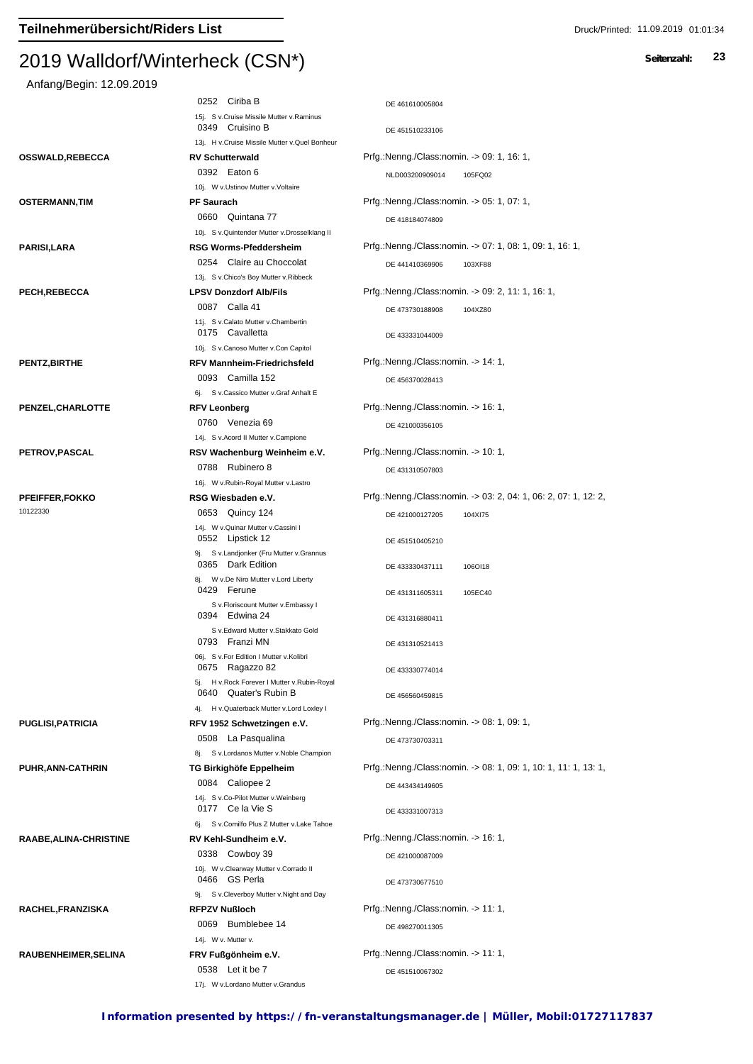| Anfang/Begin: 12.09.2019          |                                                                      |                                                                 |
|-----------------------------------|----------------------------------------------------------------------|-----------------------------------------------------------------|
|                                   | 0252 Ciriba B                                                        | DE 461610005804                                                 |
|                                   | 15j. S v.Cruise Missile Mutter v.Raminus<br>0349 Cruisino B          | DE 451510233106                                                 |
|                                   | 13j. H v.Cruise Missile Mutter v.Quel Bonheur                        |                                                                 |
| <b>OSSWALD,REBECCA</b>            | <b>RV Schutterwald</b>                                               | Prfg.:Nenng./Class:nomin. -> 09: 1, 16: 1,                      |
|                                   | 0392 Eaton 6<br>10j. W v.Ustinov Mutter v.Voltaire                   | NLD003200909014<br>105FQ02                                      |
| <b>OSTERMANN,TIM</b>              | <b>PF Saurach</b>                                                    | Prfg.:Nenng./Class:nomin. -> 05: 1, 07: 1,                      |
|                                   | 0660 Quintana 77<br>10j. S v. Quintender Mutter v. Drosselklang II   | DE 418184074809                                                 |
| PARISI,LARA                       | <b>RSG Worms-Pfeddersheim</b>                                        | Prfg.:Nenng./Class:nomin. -> 07: 1, 08: 1, 09: 1, 16: 1,        |
|                                   | 0254 Claire au Choccolat<br>13j. S v.Chico's Boy Mutter v.Ribbeck    | DE 441410369906<br>103XF88                                      |
| PECH, REBECCA                     | <b>LPSV Donzdorf Alb/Fils</b>                                        | Prfg.:Nenng./Class:nomin. -> 09: 2, 11: 1, 16: 1,               |
|                                   | 0087 Calla 41                                                        | DE 473730188908<br>104XZ80                                      |
|                                   | 11j. S v.Calato Mutter v.Chambertin<br>0175 Cavalletta               | DE 433331044009                                                 |
|                                   | 10j. S v.Canoso Mutter v.Con Capitol                                 |                                                                 |
| <b>PENTZ,BIRTHE</b>               | <b>RFV Mannheim-Friedrichsfeld</b><br>0093 Camilla 152               | Prfg.:Nenng./Class:nomin. -> 14: 1,                             |
|                                   | 6j. S v.Cassico Mutter v.Graf Anhalt E                               | DE 456370028413                                                 |
| PENZEL, CHARLOTTE                 | <b>RFV Leonberg</b>                                                  | Prfg.:Nenng./Class:nomin. -> 16: 1,                             |
|                                   | 0760 Venezia 69                                                      | DE 421000356105                                                 |
|                                   | 14j. S v.Acord II Mutter v.Campione                                  |                                                                 |
| <b>PETROV, PASCAL</b>             | RSV Wachenburg Weinheim e.V.                                         | Prfg.:Nenng./Class:nomin. -> 10: 1,                             |
|                                   | 0788 Rubinero 8                                                      | DE 431310507803                                                 |
|                                   | 16j. W v.Rubin-Royal Mutter v.Lastro                                 |                                                                 |
| <b>PFEIFFER,FOKKO</b><br>10122330 | RSG Wiesbaden e.V.                                                   | Prfg.:Nenng./Class:nomin. -> 03: 2, 04: 1, 06: 2, 07: 1, 12: 2, |
|                                   | 0653 Quincy 124<br>14j. W v. Quinar Mutter v. Cassini I              | DE 421000127205<br>104XI75                                      |
|                                   | 0552 Lipstick 12                                                     | DE 451510405210                                                 |
|                                   | 9j. Sv.Landjonker (Fru Mutter v.Grannus<br>0365 Dark Edition         | DE 433330437111<br>106OI18                                      |
|                                   | 8j. W v.De Niro Mutter v.Lord Liberty<br>0429 Ferune                 | DE 431311605311<br>105EC40                                      |
|                                   | S v.Floriscount Mutter v.Embassy I                                   |                                                                 |
|                                   | 0394<br>Edwina 24<br>S v.Edward Mutter v.Stakkato Gold               | DE 431316880411                                                 |
|                                   | 0793 Franzi MN<br>06j. S v.For Edition I Mutter v.Kolibri            | DE 431310521413                                                 |
|                                   | 0675<br>Ragazzo 82<br>5j. H v. Rock Forever I Mutter v. Rubin-Royal  | DE 433330774014                                                 |
|                                   | 0640 Quater's Rubin B<br>4j. H v. Quaterback Mutter v. Lord Loxley I | DE 456560459815                                                 |
| <b>PUGLISI, PATRICIA</b>          | RFV 1952 Schwetzingen e.V.                                           | Prfg.:Nenng./Class:nomin. -> 08: 1, 09: 1,                      |
|                                   | 0508 La Pasqualina<br>8j. S v.Lordanos Mutter v.Noble Champion       | DE 473730703311                                                 |
| PUHR, ANN-CATHRIN                 | TG Birkighöfe Eppelheim                                              | Prfg.:Nenng./Class:nomin. -> 08: 1, 09: 1, 10: 1, 11: 1, 13: 1, |
|                                   | 0084 Caliopee 2                                                      |                                                                 |
|                                   | 14j. S v.Co-Pilot Mutter v.Weinberg<br>0177 Ce la Vie S              | DE 443434149605<br>DE 433331007313                              |
|                                   | 6j. S v.Comilfo Plus Z Mutter v.Lake Tahoe                           |                                                                 |
| RAABE, ALINA-CHRISTINE            | RV Kehl-Sundheim e.V.                                                | Prfg.:Nenng./Class:nomin. -> 16: 1,                             |
|                                   | 0338 Cowboy 39                                                       | DE 421000087009                                                 |
|                                   | 10j. W v.Clearway Mutter v.Corrado II<br>0466 GS Perla               | DE 473730677510                                                 |
|                                   | 9j. S v.Cleverboy Mutter v.Night and Day                             |                                                                 |
| RACHEL, FRANZISKA                 | <b>RFPZV Nußloch</b>                                                 | Prfg.:Nenng./Class:nomin. -> 11: 1,                             |
|                                   | Bumblebee 14<br>0069<br>14j. W v. Mutter v.                          | DE 498270011305                                                 |
| RAUBENHEIMER, SELINA              | FRV Fußgönheim e.V.                                                  | Prfg.:Nenng./Class:nomin. -> 11: 1,                             |
|                                   | 0538 Let it be 7                                                     | DE 451510067302                                                 |
|                                   | 17j. W v.Lordano Mutter v.Grandus                                    |                                                                 |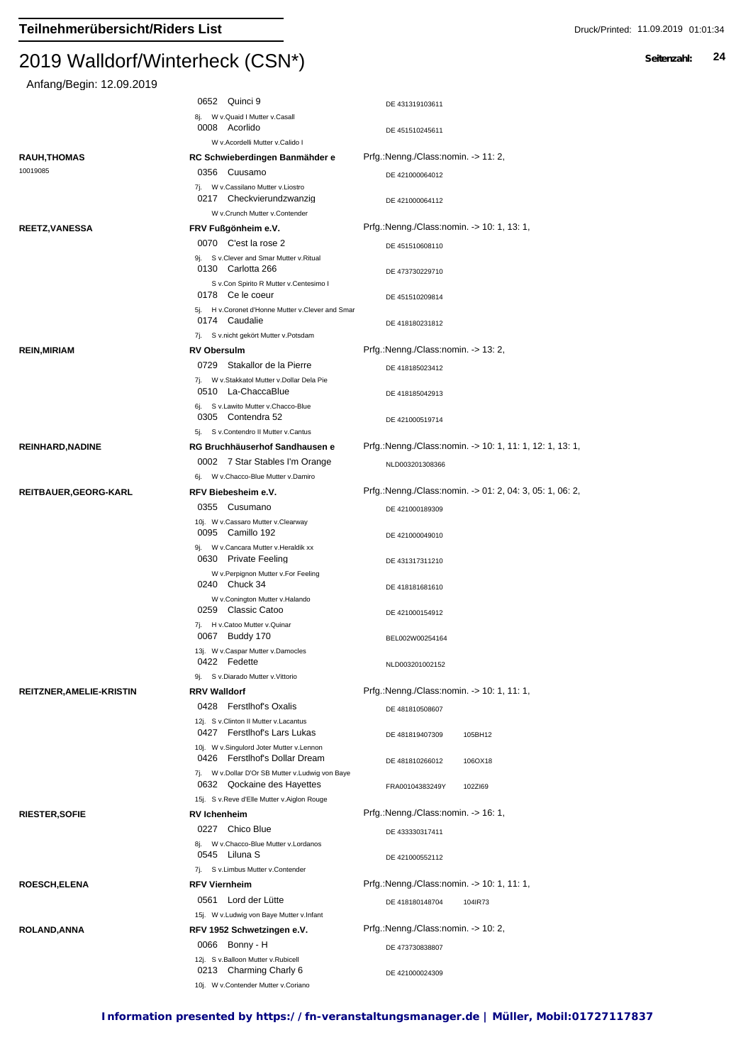| Anfang/Begin: 12.09.2019        |                                                                                                                              |                                                          |
|---------------------------------|------------------------------------------------------------------------------------------------------------------------------|----------------------------------------------------------|
|                                 | 0652 Quinci 9                                                                                                                | DE 431319103611                                          |
|                                 | 8j. W v. Quaid I Mutter v. Casall<br>0008 Acorlido                                                                           | DE 451510245611                                          |
|                                 | W v.Acordelli Mutter v.Calido I                                                                                              |                                                          |
| <b>RAUH, THOMAS</b>             | RC Schwieberdingen Banmähder e                                                                                               | Prfg.:Nenng./Class:nomin. -> 11: 2,                      |
| 10019085                        | 0356 Cuusamo                                                                                                                 | DE 421000064012                                          |
|                                 | 7j. W v.Cassilano Mutter v.Liostro<br>0217 Checkvierundzwanzig<br>W v.Crunch Mutter v.Contender                              | DE 421000064112                                          |
| <b>REETZ, VANESSA</b>           | FRV Fußgönheim e.V.                                                                                                          | Prfg.:Nenng./Class:nomin. -> 10: 1, 13: 1,               |
|                                 | 0070 C'est la rose 2                                                                                                         |                                                          |
|                                 | 9j. S v.Clever and Smar Mutter v.Ritual                                                                                      | DE 451510608110                                          |
|                                 | 0130 Carlotta 266<br>S v.Con Spirito R Mutter v.Centesimo I                                                                  | DE 473730229710                                          |
|                                 | 0178 Ce le coeur<br>5j. H v.Coronet d'Honne Mutter v.Clever and Smar                                                         | DE 451510209814                                          |
|                                 | 0174 Caudalie<br>7j. S v.nicht gekört Mutter v.Potsdam                                                                       | DE 418180231812                                          |
| <b>REIN, MIRIAM</b>             | <b>RV Obersulm</b>                                                                                                           | Prfg.:Nenng./Class:nomin. -> 13: 2,                      |
|                                 | Stakallor de la Pierre<br>0729                                                                                               | DE 418185023412                                          |
|                                 | 7j. W v.Stakkatol Mutter v.Dollar Dela Pie<br>0510 La-ChaccaBlue                                                             | DE 418185042913                                          |
|                                 | 6j. S v.Lawito Mutter v.Chacco-Blue<br>0305 Contendra 52                                                                     | DE 421000519714                                          |
|                                 | 5i. S v.Contendro II Mutter v.Cantus                                                                                         |                                                          |
| REINHARD, NADINE                | RG Bruchhäuserhof Sandhausen e<br>0002 7 Star Stables I'm Orange                                                             | Prfg.:Nenng./Class:nomin. -> 10: 1, 11: 1, 12: 1, 13: 1, |
|                                 | 6j. W v.Chacco-Blue Mutter v.Damiro                                                                                          | NLD003201308366                                          |
| REITBAUER, GEORG-KARL           | RFV Biebesheim e.V.                                                                                                          | Prfg.:Nenng./Class:nomin. -> 01: 2, 04: 3, 05: 1, 06: 2, |
|                                 | 0355 Cusumano                                                                                                                | DE 421000189309                                          |
|                                 | 10j. W v.Cassaro Mutter v.Clearway<br>0095 Camillo 192                                                                       | DE 421000049010                                          |
|                                 | 9j. W v.Cancara Mutter v.Heraldik xx<br>0630 Private Feeling                                                                 | DE 431317311210                                          |
|                                 | W v.Perpignon Mutter v.For Feeling<br>0240 Chuck 34                                                                          | DE 418181681610                                          |
|                                 | W v.Conington Mutter v.Halando<br>0259 Classic Catoo<br>7j. H v.Catoo Mutter v.Quinar                                        | DE 421000154912                                          |
|                                 | 0067 Buddy 170<br>13j. W v.Caspar Mutter v.Damocles                                                                          | BEL002W00254164                                          |
|                                 | 0422 Fedette<br>9j. S v.Diarado Mutter v.Vittorio                                                                            | NLD003201002152                                          |
| <b>REITZNER, AMELIE-KRISTIN</b> | <b>RRV Walldorf</b>                                                                                                          | Prfg.:Nenng./Class:nomin. -> 10: 1, 11: 1,               |
|                                 | 0428 Ferstlhof's Oxalis                                                                                                      | DE 481810508607                                          |
|                                 | 12j. S v.Clinton II Mutter v.Lacantus<br>0427 Ferstlhof's Lars Lukas                                                         | DE 481819407309<br>105BH12                               |
|                                 | 10j. W v.Singulord Joter Mutter v.Lennon<br>0426 Ferstlhof's Dollar Dream<br>7j. W v.Dollar D'Or SB Mutter v.Ludwig von Baye | DE 481810266012<br>106OX18                               |
|                                 | 0632 Qockaine des Hayettes<br>15j. S v.Reve d'Elle Mutter v.Aiglon Rouge                                                     | FRA00104383249Y<br>102ZI69                               |
| <b>RIESTER, SOFIE</b>           | <b>RV</b> Ichenheim                                                                                                          | Prfg.:Nenng./Class:nomin. -> 16: 1,                      |
|                                 | 0227 Chico Blue                                                                                                              | DE 433330317411                                          |
|                                 | 8j. W v.Chacco-Blue Mutter v.Lordanos<br>0545 Liluna S                                                                       | DE 421000552112                                          |
|                                 | 7j. S v.Limbus Mutter v.Contender                                                                                            |                                                          |
| <b>ROESCH, ELENA</b>            | <b>RFV Viernheim</b>                                                                                                         | Prfg.:Nenng./Class:nomin. -> 10: 1, 11: 1,               |
|                                 | 0561 Lord der Lütte                                                                                                          | DE 418180148704<br>104IR73                               |
|                                 | 15j. W v.Ludwig von Baye Mutter v.Infant                                                                                     |                                                          |
| <b>ROLAND, ANNA</b>             | RFV 1952 Schwetzingen e.V.<br>0066 Bonny - H                                                                                 | Prfg.:Nenng./Class:nomin. -> 10: 2,                      |
|                                 | 12j. S v.Balloon Mutter v.Rubicell<br>0213 Charming Charly 6                                                                 | DE 473730838807<br>DE 421000024309                       |
|                                 | 10j. W v.Contender Mutter v.Coriano                                                                                          |                                                          |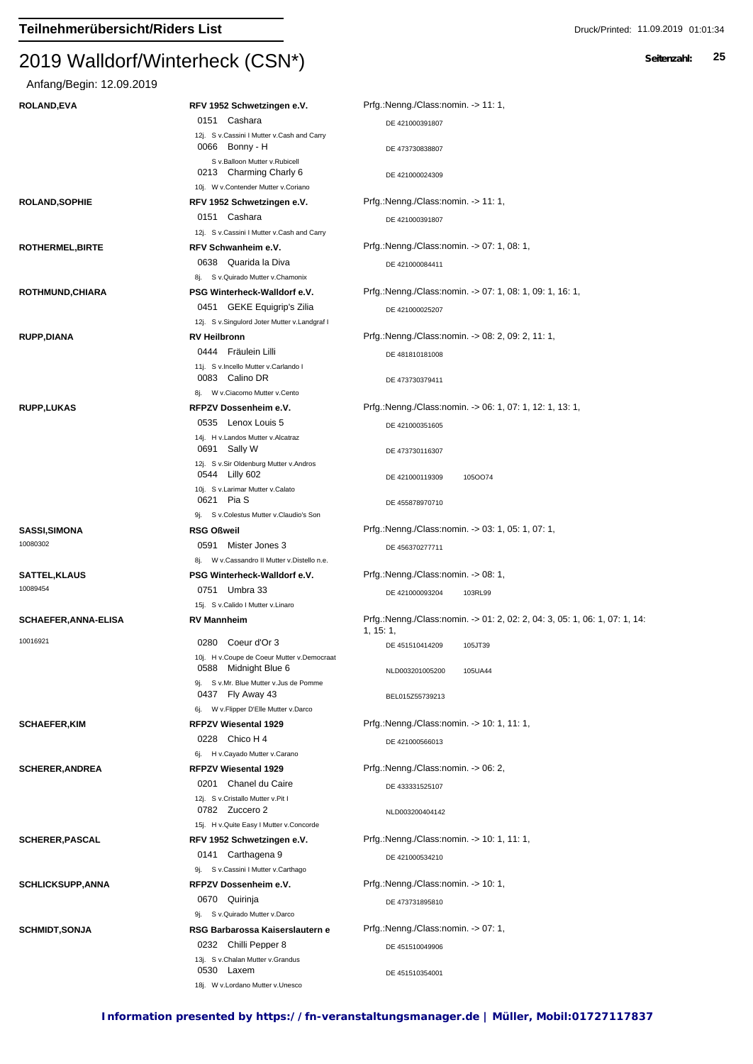| Anfang/Begin: 12.09.2019    |                                                                                                |                                                                            |
|-----------------------------|------------------------------------------------------------------------------------------------|----------------------------------------------------------------------------|
| <b>ROLAND, EVA</b>          | RFV 1952 Schwetzingen e.V.                                                                     | Prfg.:Nenng./Class:nomin. -> 11: 1,                                        |
|                             | 0151 Cashara                                                                                   | DE 421000391807                                                            |
|                             | 12j. S v.Cassini I Mutter v.Cash and Carry<br>0066 Bonny - H                                   | DE 473730838807                                                            |
|                             | S v.Balloon Mutter v.Rubicell<br>0213 Charming Charly 6<br>10j. W v.Contender Mutter v.Coriano | DE 421000024309                                                            |
| <b>ROLAND, SOPHIE</b>       | RFV 1952 Schwetzingen e.V.                                                                     | Prfg.:Nenng./Class:nomin. -> 11: 1,                                        |
|                             | 0151 Cashara                                                                                   | DE 421000391807                                                            |
| ROTHERMEL, BIRTE            | 12j. S v.Cassini I Mutter v.Cash and Carry<br>RFV Schwanheim e.V.                              | Prfg.:Nenng./Class:nomin. -> 07: 1, 08: 1,                                 |
|                             | 0638 Quarida la Diva                                                                           | DE 421000084411                                                            |
|                             | 8j. S v. Quirado Mutter v. Chamonix<br>PSG Winterheck-Walldorf e.V.                            | Prfg.:Nenng./Class:nomin. -> 07: 1, 08: 1, 09: 1, 16: 1,                   |
| ROTHMUND, CHIARA            | 0451 GEKE Equigrip's Zilia                                                                     |                                                                            |
|                             | 12j. S v.Singulord Joter Mutter v.Landgraf I                                                   | DE 421000025207                                                            |
| <b>RUPP,DIANA</b>           | <b>RV Heilbronn</b>                                                                            | Prfg.:Nenng./Class:nomin. -> 08: 2, 09: 2, 11: 1,                          |
|                             | 0444 Fräulein Lilli                                                                            | DE 481810181008                                                            |
|                             | 11j. S v.Incello Mutter v.Carlando I<br>0083 Calino DR                                         | DE 473730379411                                                            |
|                             | 8j. W v.Ciacomo Mutter v.Cento                                                                 |                                                                            |
| <b>RUPP,LUKAS</b>           | RFPZV Dossenheim e.V.                                                                          | Prfg.:Nenng./Class:nomin. -> 06: 1, 07: 1, 12: 1, 13: 1,                   |
|                             | 0535 Lenox Louis 5<br>14j. H v.Landos Mutter v.Alcatraz                                        | DE 421000351605                                                            |
|                             | 0691 Sally W<br>12j. S v.Sir Oldenburg Mutter v.Andros                                         | DE 473730116307                                                            |
|                             | 0544 Lilly 602<br>10j. S v.Larimar Mutter v.Calato                                             | DE 421000119309<br>1050074                                                 |
|                             | 0621 Pia S<br>9j. S v.Colestus Mutter v.Claudio's Son                                          | DE 455878970710                                                            |
| <b>SASSI, SIMONA</b>        | <b>RSG Oßweil</b>                                                                              | Prfg.:Nenng./Class:nomin. -> 03: 1, 05: 1, 07: 1,                          |
| 10080302                    | 0591 Mister Jones 3                                                                            | DE 456370277711                                                            |
|                             | 8j. W v.Cassandro II Mutter v.Distello n.e.                                                    |                                                                            |
| <b>SATTEL, KLAUS</b>        | PSG Winterheck-Walldorf e.V.                                                                   | Prfg.:Nenng./Class:nomin. -> 08: 1,                                        |
| 10089454                    | 0751 Umbra 33<br>15j. S v.Calido I Mutter v.Linaro                                             | DE 421000093204<br>103RL99                                                 |
| <b>SCHAEFER, ANNA-ELISA</b> | <b>RV Mannheim</b>                                                                             | Prfg.:Nenng./Class:nomin. -> 01: 2, 02: 2, 04: 3, 05: 1, 06: 1, 07: 1, 14: |
| 10016921                    | 0280 Coeur d'Or 3                                                                              | 1, 15:1,<br>DE 451510414209<br>105JT39                                     |
|                             | 10j. H v.Coupe de Coeur Mutter v.Democraat                                                     |                                                                            |
|                             | 0588 Midnight Blue 6                                                                           | NLD003201005200<br>105UA44                                                 |
|                             | 9j. S v.Mr. Blue Mutter v.Jus de Pomme<br>0437 Fly Away 43                                     | BEL015Z55739213                                                            |
| <b>SCHAEFER, KIM</b>        | 6j. W v. Flipper D'Elle Mutter v. Darco<br><b>RFPZV Wiesental 1929</b>                         | Prfg.:Nenng./Class:nomin. -> 10: 1, 11: 1,                                 |
|                             | 0228 Chico H 4                                                                                 |                                                                            |
|                             | 6j. H v.Cayado Mutter v.Carano                                                                 | DE 421000566013                                                            |
| <b>SCHERER, ANDREA</b>      | <b>RFPZV Wiesental 1929</b>                                                                    | Prfg.:Nenng./Class:nomin. -> 06: 2,                                        |
|                             | 0201 Chanel du Caire                                                                           | DE 433331525107                                                            |
|                             | 12j. S v.Cristallo Mutter v.Pit I<br>0782 Zuccero 2                                            | NLD003200404142                                                            |
|                             | 15j. H v. Quite Easy I Mutter v. Concorde                                                      |                                                                            |
| <b>SCHERER, PASCAL</b>      | RFV 1952 Schwetzingen e.V.                                                                     | Prfg.:Nenng./Class:nomin. -> 10: 1, 11: 1,                                 |
|                             | 0141 Carthagena 9<br>9j. S v.Cassini I Mutter v.Carthago                                       | DE 421000534210                                                            |
| <b>SCHLICKSUPP, ANNA</b>    | RFPZV Dossenheim e.V.                                                                          | Prfg.:Nenng./Class:nomin. -> 10: 1,                                        |
|                             | 0670 Quirinja                                                                                  | DE 473731895810                                                            |
|                             | 9j. S v. Quirado Mutter v. Darco                                                               |                                                                            |
| <b>SCHMIDT, SONJA</b>       | RSG Barbarossa Kaiserslautern e                                                                | Prfg.:Nenng./Class:nomin. -> 07: 1,                                        |
|                             | 0232 Chilli Pepper 8<br>13j. S v.Chalan Mutter v.Grandus                                       | DE 451510049906                                                            |
|                             | 0530 Laxem<br>18j. W v.Lordano Mutter v.Unesco                                                 | DE 451510354001                                                            |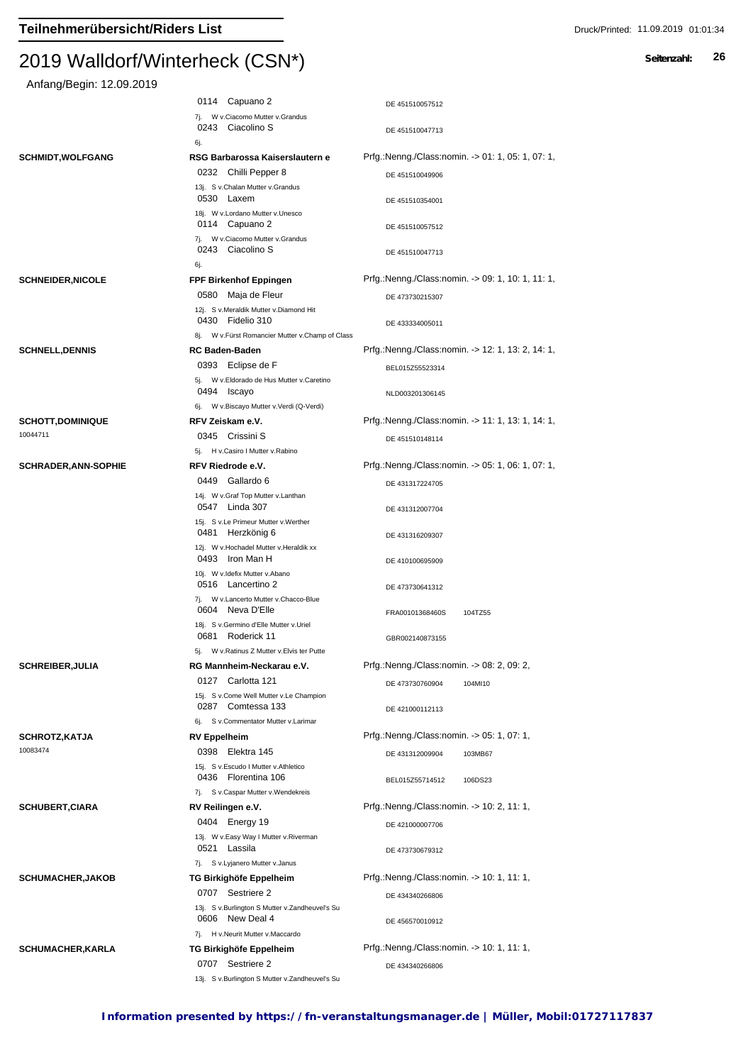| Anfang/Begin: 12.09.2019    |                                                                                   |                                                   |
|-----------------------------|-----------------------------------------------------------------------------------|---------------------------------------------------|
|                             | 0114 Capuano 2                                                                    | DE 451510057512                                   |
|                             | 7j. W v.Ciacomo Mutter v.Grandus<br>0243 Ciacolino S                              | DE 451510047713                                   |
|                             | 6j.                                                                               |                                                   |
| <b>SCHMIDT, WOLFGANG</b>    | RSG Barbarossa Kaiserslautern e                                                   | Prfg.:Nenng./Class:nomin. -> 01: 1, 05: 1, 07: 1, |
|                             | 0232 Chilli Pepper 8                                                              | DE 451510049906                                   |
|                             | 13j. S v.Chalan Mutter v.Grandus<br>0530 Laxem                                    | DE 451510354001                                   |
|                             | 18j. W v.Lordano Mutter v.Unesco<br>0114 Capuano 2                                | DE 451510057512                                   |
|                             | 7j. W v.Ciacomo Mutter v.Grandus<br>0243 Ciacolino S                              | DE 451510047713                                   |
|                             | 6j.                                                                               |                                                   |
| <b>SCHNEIDER, NICOLE</b>    | FPF Birkenhof Eppingen                                                            | Prfg.:Nenng./Class:nomin. -> 09: 1, 10: 1, 11: 1, |
|                             | 0580 Maja de Fleur                                                                | DE 473730215307                                   |
|                             | 12j. S v.Meraldik Mutter v.Diamond Hit<br>0430 Fidelio 310                        | DE 433334005011                                   |
|                             | 8j. W v. Fürst Romancier Mutter v. Champ of Class                                 |                                                   |
| <b>SCHNELL, DENNIS</b>      | <b>RC Baden-Baden</b>                                                             | Prfg.:Nenng./Class:nomin. -> 12: 1, 13: 2, 14: 1, |
|                             | 0393 Eclipse de F                                                                 | BEL015Z55523314                                   |
|                             | 5j. W v.Eldorado de Hus Mutter v.Caretino<br>0494 Iscayo                          | NLD003201306145                                   |
|                             | 6j. W v.Biscayo Mutter v.Verdi (Q-Verdi)                                          |                                                   |
| <b>SCHOTT,DOMINIQUE</b>     | RFV Zeiskam e.V.                                                                  | Prfg.:Nenng./Class:nomin. -> 11: 1, 13: 1, 14: 1, |
| 10044711                    | 0345 Crissini S                                                                   | DE 451510148114                                   |
|                             | 5j. H v.Casiro I Mutter v.Rabino                                                  |                                                   |
| <b>SCHRADER, ANN-SOPHIE</b> | RFV Riedrode e.V.                                                                 | Prfg.:Nenng./Class:nomin. -> 05: 1, 06: 1, 07: 1, |
|                             | 0449 Gallardo 6                                                                   | DE 431317224705                                   |
|                             | 14j. W v.Graf Top Mutter v.Lanthan<br>0547 Linda 307                              | DE 431312007704                                   |
|                             | 15j. S v.Le Primeur Mutter v.Werther<br>0481 Herzkönig 6                          | DE 431316209307                                   |
|                             | 12j. W v.Hochadel Mutter v.Heraldik xx<br>0493 Iron Man H                         | DE 410100695909                                   |
|                             | 10j. W v.Idefix Mutter v.Abano<br>0516 Lancertino 2                               | DE 473730641312                                   |
|                             | 7j. W v.Lancerto Mutter v.Chacco-Blue<br>0604 Neva D'Elle                         | FRA00101368460S<br>104TZ55                        |
|                             | 18j. S v.Germino d'Elle Mutter v.Uriel<br>0681 Roderick 11                        | GBR002140873155                                   |
|                             | 5j. W v.Ratinus Z Mutter v.Elvis ter Putte                                        |                                                   |
| <b>SCHREIBER, JULIA</b>     | RG Mannheim-Neckarau e.V.                                                         | Prfg.:Nenng./Class:nomin. -> 08: 2, 09: 2,        |
|                             | 0127 Carlotta 121<br>15j. S v.Come Well Mutter v.Le Champion<br>0287 Comtessa 133 | DE 473730760904<br>104MI10                        |
|                             | 6j. Sv.Commentator Mutter v.Larimar                                               | DE 421000112113                                   |
| <b>SCHROTZ, KATJA</b>       | <b>RV Eppelheim</b>                                                               | Prfg.:Nenng./Class:nomin. -> 05: 1, 07: 1,        |
| 10083474                    | 0398 Elektra 145                                                                  | DE 431312009904<br>103MB67                        |
|                             | 15j. S v.Escudo I Mutter v.Athletico<br>0436 Florentina 106                       | BEL015Z55714512<br>106DS23                        |
|                             | 7j. S v.Caspar Mutter v.Wendekreis                                                |                                                   |
| <b>SCHUBERT,CIARA</b>       | RV Reilingen e.V.                                                                 | Prfg.:Nenng./Class:nomin. -> 10: 2, 11: 1,        |
|                             | 0404 Energy 19                                                                    | DE 421000007706                                   |
|                             | 13j. W v.Easy Way I Mutter v.Riverman<br>0521 Lassila                             | DE 473730679312                                   |
|                             | 7j. S v.Lyjanero Mutter v.Janus                                                   |                                                   |
| <b>SCHUMACHER,JAKOB</b>     | TG Birkighöfe Eppelheim                                                           | Prfg.:Nenng./Class:nomin. -> 10: 1, 11: 1,        |
|                             | 0707 Sestriere 2<br>13j. S v.Burlington S Mutter v.Zandheuvel's Su                | DE 434340266806                                   |
|                             | 0606 New Deal 4<br>7j. H v.Neurit Mutter v.Maccardo                               | DE 456570010912                                   |
| <b>SCHUMACHER, KARLA</b>    | TG Birkighöfe Eppelheim                                                           | Prfg.:Nenng./Class:nomin. -> 10: 1, 11: 1,        |
|                             | 0707 Sestriere 2                                                                  | DE 434340266806                                   |
|                             | 13j. S v.Burlington S Mutter v.Zandheuvel's Su                                    |                                                   |
|                             |                                                                                   |                                                   |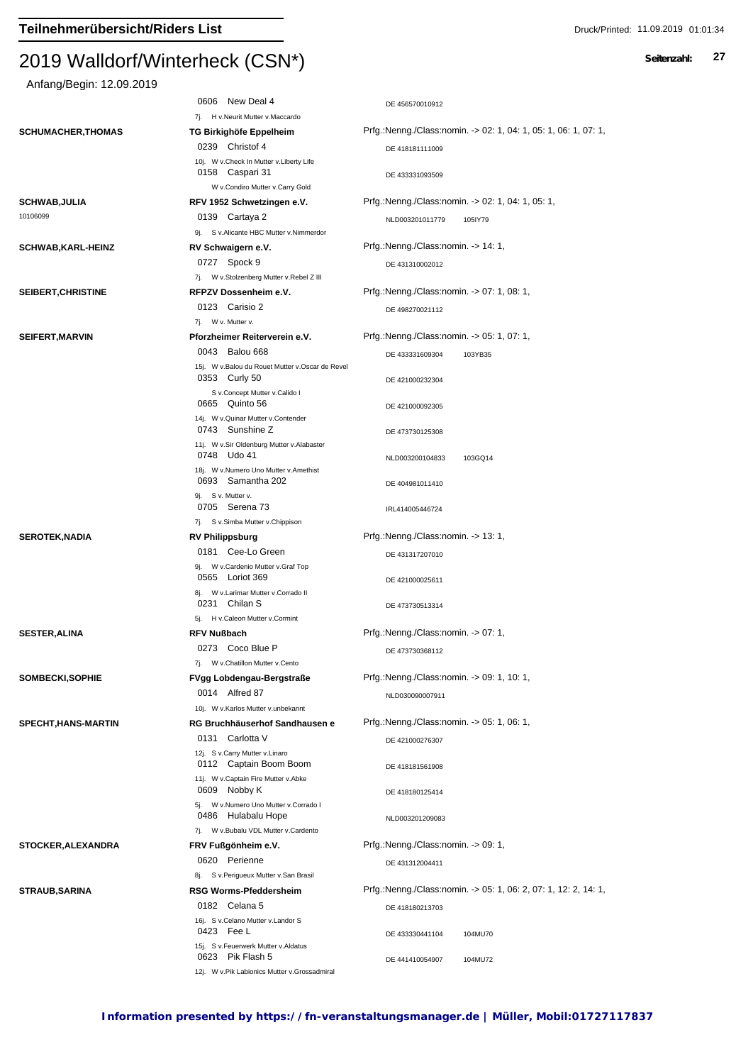| Anfang/Begin: 12.09.2019        |                                                            |                                                                 |
|---------------------------------|------------------------------------------------------------|-----------------------------------------------------------------|
|                                 | 0606 New Deal 4                                            | DE 456570010912                                                 |
|                                 | 7j. H v.Neurit Mutter v.Maccardo                           |                                                                 |
| <b>SCHUMACHER, THOMAS</b>       | TG Birkighöfe Eppelheim                                    | Prfg.:Nenng./Class:nomin. -> 02: 1, 04: 1, 05: 1, 06: 1, 07: 1, |
|                                 | 0239 Christof 4                                            | DE 418181111009                                                 |
|                                 | 10j. W v.Check In Mutter v.Liberty Life<br>0158 Caspari 31 | DE 433331093509                                                 |
|                                 | W v.Condiro Mutter v.Carry Gold                            |                                                                 |
| <b>SCHWAB,JULIA</b><br>10106099 | RFV 1952 Schwetzingen e.V.                                 | Prfg.:Nenng./Class:nomin. -> 02: 1, 04: 1, 05: 1,               |
|                                 | 0139 Cartaya 2<br>9j. S v.Alicante HBC Mutter v.Nimmerdor  | NLD003201011779<br>105IY79                                      |
| <b>SCHWAB,KARL-HEINZ</b>        | RV Schwaigern e.V.                                         | Prfg.:Nenng./Class:nomin. -> 14: 1,                             |
|                                 | 0727 Spock 9                                               |                                                                 |
|                                 | 7j. W v.Stolzenberg Mutter v.Rebel Z III                   | DE 431310002012                                                 |
| SEIBERT, CHRISTINE              | RFPZV Dossenheim e.V.                                      | Prfg.:Nenng./Class:nomin. -> 07: 1, 08: 1,                      |
|                                 | 0123 Carisio 2                                             | DE 498270021112                                                 |
|                                 | 7j. W v. Mutter v.                                         |                                                                 |
| <b>SEIFERT, MARVIN</b>          | Pforzheimer Reiterverein e.V.                              | Prfg.:Nenng./Class:nomin. -> 05: 1, 07: 1,                      |
|                                 | 0043 Balou 668                                             | DE 433331609304<br>103YB35                                      |
|                                 | 15j. W v.Balou du Rouet Mutter v.Oscar de Revel            |                                                                 |
|                                 | 0353 Curly 50<br>S v.Concept Mutter v.Calido I             | DE 421000232304                                                 |
|                                 | 0665 Quinto 56                                             | DE 421000092305                                                 |
|                                 | 14j. W v. Quinar Mutter v. Contender                       |                                                                 |
|                                 | 0743 Sunshine Z                                            | DE 473730125308                                                 |
|                                 | 11j. W v.Sir Oldenburg Mutter v.Alabaster<br>0748 Udo 41   |                                                                 |
|                                 | 18j. W v.Numero Uno Mutter v.Amethist                      | NLD003200104833<br>103GQ14                                      |
|                                 | 0693 Samantha 202                                          | DE 404981011410                                                 |
|                                 | 9j. S v. Mutter v.                                         |                                                                 |
|                                 | 0705 Serena 73                                             | IRL414005446724                                                 |
| <b>SEROTEK, NADIA</b>           | 7j. S v.Simba Mutter v.Chippison<br><b>RV Philippsburg</b> | Prfg.:Nenng./Class:nomin. -> 13: 1,                             |
|                                 | 0181 Cee-Lo Green                                          |                                                                 |
|                                 | 9j. W v.Cardenio Mutter v.Graf Top                         | DE 431317207010                                                 |
|                                 | 0565 Loriot 369                                            | DE 421000025611                                                 |
|                                 | 8j. W v.Larimar Mutter v.Corrado II                        |                                                                 |
|                                 | 0231 Chilan S<br>5j. H v.Caleon Mutter v.Cormint           | DE 473730513314                                                 |
| <b>SESTER, ALINA</b>            | <b>RFV Nußbach</b>                                         | Prfg.:Nenng./Class:nomin. -> 07: 1,                             |
|                                 | 0273 Coco Blue P                                           |                                                                 |
|                                 | 7j. W v.Chatillon Mutter v.Cento                           | DE 473730368112                                                 |
| SOMBECKI, SOPHIE                | FVgg Lobdengau-Bergstraße                                  | Prfg.:Nenng./Class:nomin. -> 09: 1, 10: 1,                      |
|                                 | 0014 Alfred 87                                             | NLD030090007911                                                 |
|                                 | 10j. W v.Karlos Mutter v.unbekannt                         |                                                                 |
| SPECHT, HANS-MARTIN             | RG Bruchhäuserhof Sandhausen e                             | Prfg.:Nenng./Class:nomin. -> 05: 1, 06: 1,                      |
|                                 | 0131 Carlotta V                                            | DE 421000276307                                                 |
|                                 | 12j. S v.Carry Mutter v.Linaro                             |                                                                 |
|                                 | 0112 Captain Boom Boom                                     | DE 418181561908                                                 |
|                                 | 11j. W v.Captain Fire Mutter v.Abke<br>0609 Nobby K        | DE 418180125414                                                 |
|                                 | 5j. W v.Numero Uno Mutter v.Corrado I                      |                                                                 |
|                                 | 0486 Hulabalu Hope                                         | NLD003201209083                                                 |
|                                 | 7j. W v.Bubalu VDL Mutter v.Cardento                       |                                                                 |
| <b>STOCKER, ALEXANDRA</b>       | FRV Fußgönheim e.V.                                        | Prfg.:Nenng./Class:nomin. -> 09: 1,                             |
|                                 | 0620 Perienne                                              | DE 431312004411                                                 |
|                                 | 8j. Sv.Perigueux Mutter v.San Brasil                       | Prfg.:Nenng./Class:nomin. -> 05: 1, 06: 2, 07: 1, 12: 2, 14: 1, |
| <b>STRAUB, SARINA</b>           | <b>RSG Worms-Pfeddersheim</b>                              |                                                                 |
|                                 | 0182 Celana 5<br>16j. S v.Celano Mutter v.Landor S         | DE 418180213703                                                 |
|                                 | 0423 Fee L                                                 | DE 433330441104<br>104MU70                                      |
|                                 | 15j. S v.Feuerwerk Mutter v.Aldatus                        |                                                                 |
|                                 | 0623 Pik Flash 5                                           | DE 441410054907<br>104MU72                                      |
|                                 | 12j. W v.Pik Labionics Mutter v.Grossadmiral               |                                                                 |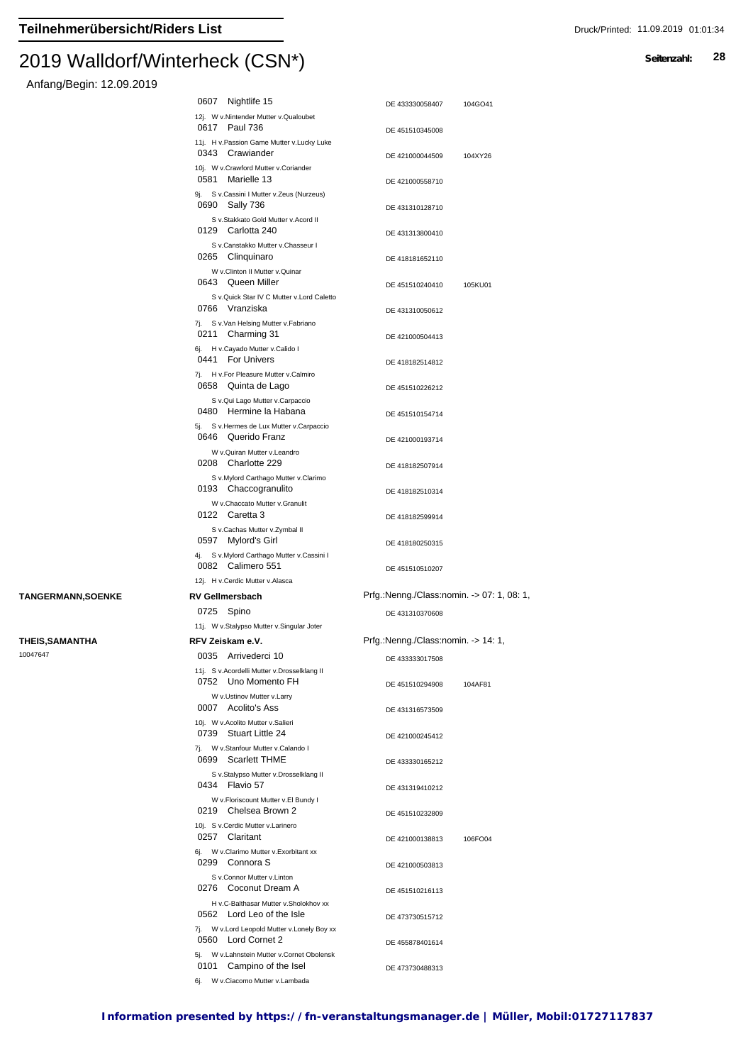#### $2019$  Walldon Winterheck (CSN $\gamma$ )

## Anfang/Begin: 12.09.2019

|                           | 0607                                                         | Nightlife 15                                                                                            | DE 433330058407                                               | 104GO41 |
|---------------------------|--------------------------------------------------------------|---------------------------------------------------------------------------------------------------------|---------------------------------------------------------------|---------|
|                           | 0617 Paul 736                                                | 12j. W v.Nintender Mutter v.Qualoubet                                                                   | DE 451510345008                                               |         |
|                           | 0343 Crawiander                                              | 11j. H v.Passion Game Mutter v.Lucky Luke                                                               | DE 421000044509                                               | 104XY26 |
|                           | 0581 Marielle 13                                             | 10j. W v.Crawford Mutter v.Coriander<br>9j. S v.Cassini I Mutter v.Zeus (Nurzeus)                       | DE 421000558710                                               |         |
|                           | 0690 Sally 736                                               |                                                                                                         | DE 431310128710                                               |         |
|                           | 0129 Carlotta 240                                            | S v.Stakkato Gold Mutter v.Acord II<br>S v.Canstakko Mutter v.Chasseur I                                | DE 431313800410                                               |         |
|                           | 0265 Clinguinaro                                             | W v.Clinton II Mutter v.Quinar                                                                          | DE 418181652110                                               |         |
|                           | 0643 Queen Miller                                            | S v.Quick Star IV C Mutter v.Lord Caletto                                                               | DE 451510240410                                               | 105KU01 |
|                           | 0766 Vranziska                                               |                                                                                                         | DE 431310050612                                               |         |
|                           | 0211 Charming 31                                             | 7j. S v.Van Helsing Mutter v.Fabriano                                                                   | DE 421000504413                                               |         |
|                           | 0441 For Univers                                             | 6j. H v.Cayado Mutter v.Calido I                                                                        | DE 418182514812                                               |         |
|                           | 0658 Quinta de Lago                                          | 7j. H v.For Pleasure Mutter v.Calmiro                                                                   | DE 451510226212                                               |         |
|                           |                                                              | S v.Qui Lago Mutter v.Carpaccio<br>0480 Hermine la Habana<br>5j. S v. Hermes de Lux Mutter v. Carpaccio | DE 451510154714                                               |         |
|                           | 0646 Querido Franz                                           |                                                                                                         | DE 421000193714                                               |         |
|                           | 0208 Charlotte 229                                           | W v.Quiran Mutter v.Leandro                                                                             | DE 418182507914                                               |         |
|                           | 0193 Chaccogranulito                                         | S v.Mylord Carthago Mutter v.Clarimo                                                                    | DE 418182510314                                               |         |
|                           | 0122 Caretta 3                                               | W v.Chaccato Mutter v.Granulit                                                                          | DE 418182599914                                               |         |
|                           | 0597 Mylord's Girl                                           | S v.Cachas Mutter v.Zymbal II                                                                           | DE 418180250315                                               |         |
|                           | 0082 Calimero 551                                            | 4j. S v.Mylord Carthago Mutter v.Cassini I                                                              | DE 451510510207                                               |         |
|                           | 12j. H v.Cerdic Mutter v.Alasca                              |                                                                                                         |                                                               |         |
| <b>TANGERMANN, SOENKE</b> | <b>RV Gellmersbach</b><br>0725 Spino                         |                                                                                                         | Prfg.:Nenng./Class:nomin. -> 07: 1, 08: 1,<br>DE 431310370608 |         |
|                           |                                                              | 11j. W v.Stalypso Mutter v.Singular Joter                                                               |                                                               |         |
| <b>THEIS, SAMANTHA</b>    | RFV Zeiskam e.V.                                             |                                                                                                         | Prfg.:Nenng./Class:nomin. -> 14: 1,                           |         |
| 10047647                  | 0035 Arrivederci 10                                          |                                                                                                         | DE 433333017508                                               |         |
|                           |                                                              | 11j. S v.Acordelli Mutter v.Drosselklang II<br>0752 Uno Momento FH                                      | DE 451510294908                                               | 104AF81 |
|                           | 0007 Acolito's Ass                                           | W v.Ustinov Mutter v.Larry                                                                              | DE 431316573509                                               |         |
|                           | 10j. W v. Acolito Mutter v. Salieri<br>0739 Stuart Little 24 |                                                                                                         | DE 421000245412                                               |         |
|                           | 0699 Scarlett THME                                           | 7j. W v.Stanfour Mutter v.Calando I                                                                     | DE 433330165212                                               |         |
|                           | 0434 Flavio 57                                               | S v.Stalypso Mutter v.Drosselklang II                                                                   | DE 431319410212                                               |         |
|                           |                                                              | W v.Floriscount Mutter v.El Bundy I<br>0219 Chelsea Brown 2<br>10j. S v.Cerdic Mutter v.Larinero        | DE 451510232809                                               |         |
|                           | 0257 Claritant                                               |                                                                                                         | DE 421000138813                                               | 106FO04 |
|                           | 0299 Connora S                                               | 6j. W v.Clarimo Mutter v.Exorbitant xx                                                                  | DE 421000503813                                               |         |
|                           |                                                              | S v.Connor Mutter v.Linton<br>0276 Coconut Dream A                                                      | DE 451510216113                                               |         |
|                           |                                                              | H v.C-Balthasar Mutter v.Sholokhov xx<br>0562 Lord Leo of the Isle                                      | DE 473730515712                                               |         |
|                           | 0560 Lord Cornet 2                                           | 7j. W v.Lord Leopold Mutter v.Lonely Boy xx                                                             | DE 455878401614                                               |         |
|                           | 0101                                                         | 5j. W v.Lahnstein Mutter v.Cornet Obolensk<br>Campino of the Isel                                       | DE 473730488313                                               |         |
|                           |                                                              | 6j. W v.Ciacomo Mutter v.Lambada                                                                        |                                                               |         |

|  | ____ |  |  |  |
|--|------|--|--|--|
|  |      |  |  |  |
|  |      |  |  |  |
|  |      |  |  |  |
|  |      |  |  |  |
|  |      |  |  |  |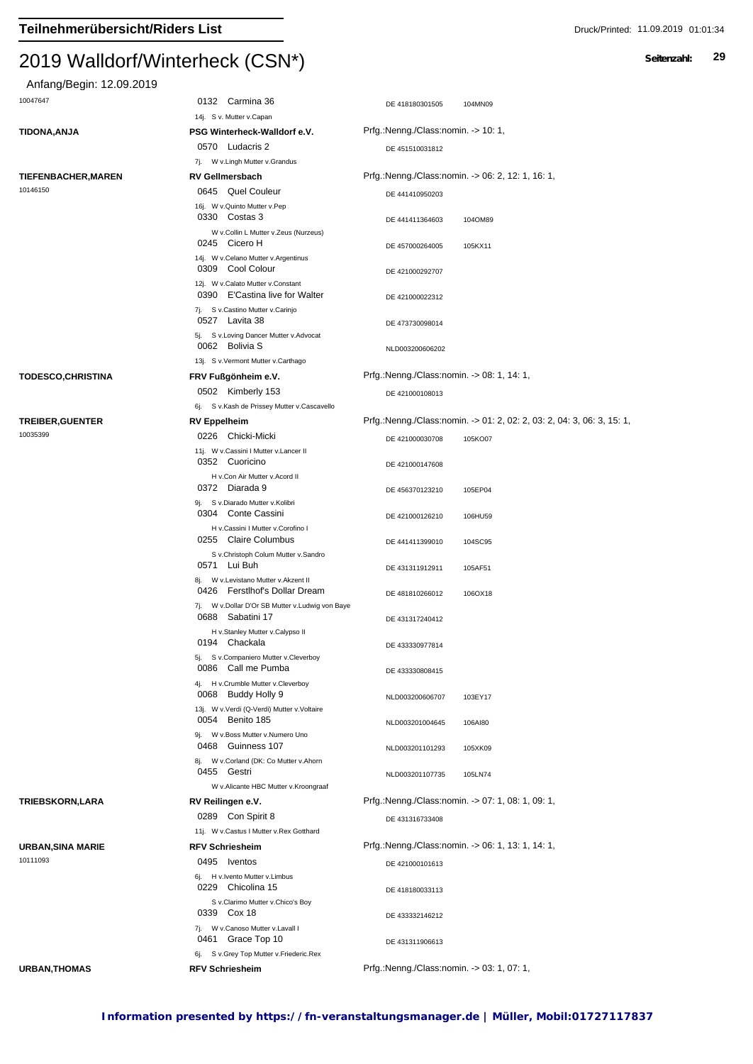#### $2013$  *Walldorff*

### Anfang/Begin: 12.09.2019

| $2013$ <i>Walluuti/Witherheu</i> x (כווע |                              |                                     |  |
|------------------------------------------|------------------------------|-------------------------------------|--|
| Anfang/Begin: 12.09.2019                 |                              |                                     |  |
| 10047647                                 | Carmina 36<br>0132           | DE 418180301505<br>104MN09          |  |
|                                          | 14j. S v. Mutter v.Capan     |                                     |  |
| TIDONA.ANJA                              | PSG Winterheck-Walldorf e.V. | Prfg.:Nenng./Class:nomin. -> 10: 1. |  |
|                                          |                              |                                     |  |

DE 457000264005 105KX11

DE 473730098014

DE 451510031812 7j. W v.Lingh Mutter v.Grandus 0570 Ludacris 2 **TIEFENBACHER,MAREN RV Gellmersbach** Prfg.:Nenng./Class:nomin. -> 06: 2, 12: 1, 16: 1, DE 441410950203 16j. W v.Quinto Mutter v.Pep 10146150 0645 Quel Couleur DE 441411364603 104OM89 0330 Costas 3

> W v.Collin L Mutter v.Zeus (Nurzeus) 14j. W v.Celano Mutter v.Argentinus 0245 Cicero H 0309 Cool Colour DE 421000292707 12j. W v.Calato Mutter v.Constant 0390 E'Castina live for Walter DE 421000022312 7j. S v.Castino Mutter v.Carinjo 5j. S v.Loving Dancer Mutter v.Advocat 0527 Lavita 38

NLD003200606202 13j. S v.Vermont Mutter v.Carthago 0062 Bolivia S **TODESCO,CHRISTINA FRV Fußgönheim e.V.** Prfg.:Nenng./Class:nomin. -> 08: 1, 14: 1, DE 421000108013 6j. S v.Kash de Prissey Mutter v.Cascavello 0502 Kimberly 153 **TREIBER,GUENTER RV Eppelheim** Prfg.:Nenng./Class:nomin. -> 01: 2, 02: 2, 03: 2, 04: 3, 06: 3, 15: 1, Chicki-Micki DE 421000030708 105KO07 10035399 0226 Chicki-Micki<br>11j. W v.Cassini I Mutter v.Lancer II 0352 Cuoricino DE 421000147608 H v.Con Air Mutter v.Acord II 0372 Diarada 9 DE 456370123210 105EP04 9j. S v.Diarado Mutter v.Kolibri 0304 Conte Cassini DE 421000126210 106HU59 H v.Cassini I Mutter v.Corofino I <sup>0304</sup> 0255 Claire Columbus **DE 441411399010** 104SC95 S v.Christoph Colum Mutter v.Sandro 0571 Lui Buh DE 431311912911 105AF51 8j. W v.Levistano Mutter v.Akzent II 0426 Ferstlhof's Dollar Dream DE 481810266012 1060X18 7j. W v.Dollar D'Or SB Mutter v.Ludwig von Baye DE 431317240412 H v.Stanley Mutter v.Calypso II 0688 Sabatini 17 Chackala DE 433330977814 5j. S v.Companiero Mutter v.Cleverboy 0194 Chackala 0086 Call me Pumba DE 433330808415 4j. H v.Crumble Mutter v.Cleverboy NLD003200606707 103EY17 13j. W v.Verdi (Q-Verdi) Mutter v.Voltaire 0068 Buddy Holly 9 0054 Benito 185 and 1980 mLD003201004645 106AI80 9i. W v. Boss Mutter v. Numero Uno 0468 Guinness 107 MLD003201101293 105XK09 8j. W v.Corland (DK: Co Mutter v.Ahorn NLD003201107735 105LN74 W v.Alicante HBC Mutter v.Kroongraaf 0455 Gestri **TRIEBSKORN,LARA RV Reilingen e.V.** Prfg.:Nenng./Class:nomin. -> 07: 1, 08: 1, 09: 1, 0289 Con Spirit 8 DE 431316733408 11j. W v.Castus I Mutter v.Rex Gotthard **URBAN,SINA MARIE RFV Schriesheim** Prfg.:Nenng./Class:nomin. -> 06: 1, 13: 1, 14: 1, 0495 **Iventos DE 421000101613** 6j. H v.Ivento Mutter v.Limbus 10111093<br>16j. H v.Ivento Mutter v.Limbus DE 418180033113 S v.Clarimo Mutter v.Chico's Boy 0229 Chicolina 15

0339 Cox 18 DE 433332146212

0461 Grace Top 10 DE 431311906613

7j. W v.Canoso Mutter v.Lavall I

6j. S v.Grey Top Mutter v.Friederic.Rex

**URBAN,THOMAS RFV Schriesheim** Prfg.:Nenng./Class:nomin. -> 03: 1, 07: 1,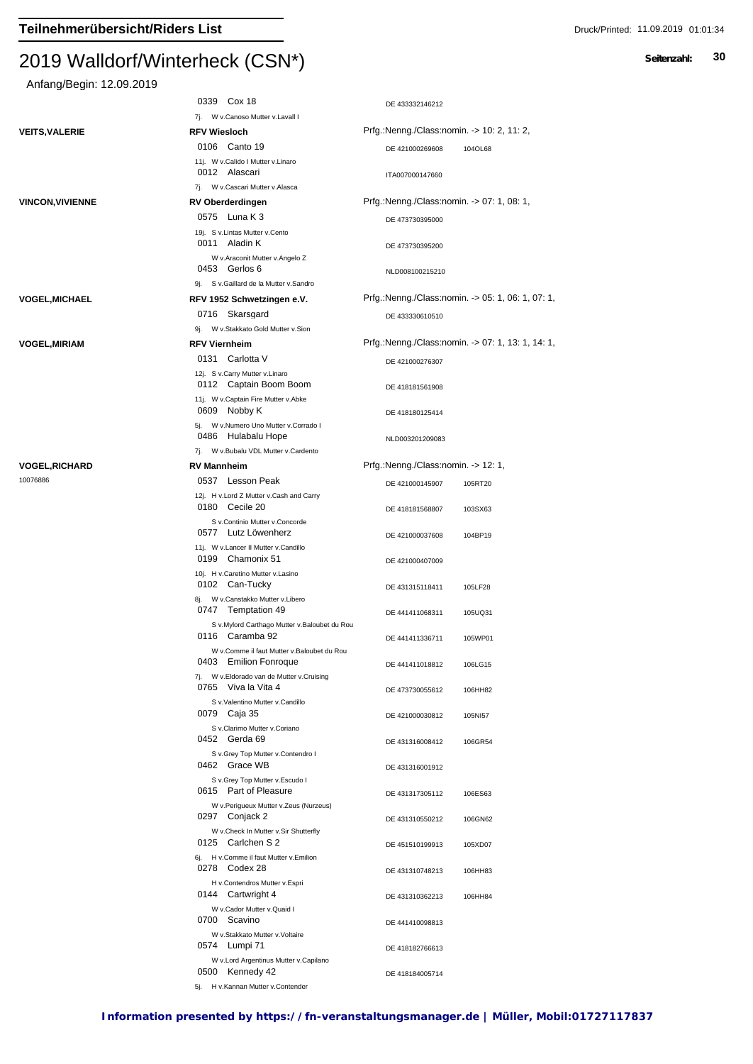| Anfang/Begin: 12.09.2019 |  |
|--------------------------|--|
|--------------------------|--|

| Anfang/Begin: 12.09.2019         |                                                                     |                                                   |
|----------------------------------|---------------------------------------------------------------------|---------------------------------------------------|
|                                  | 0339 Cox 18                                                         | DE 433332146212                                   |
|                                  | 7j. W v.Canoso Mutter v.Lavall I                                    | Prfg.:Nenng./Class:nomin. -> 10: 2, 11: 2,        |
| <b>VEITS, VALERIE</b>            | <b>RFV Wiesloch</b><br>0106 Canto 19                                | DE 421000269608<br>104OL68                        |
|                                  | 11j. W v.Calido I Mutter v.Linaro                                   |                                                   |
|                                  | 0012 Alascari                                                       | ITA007000147660                                   |
| <b>VINCON, VIVIENNE</b>          | 7j. W v.Cascari Mutter v.Alasca<br><b>RV Oberderdingen</b>          | Prfg.:Nenng./Class:nomin. -> 07: 1, 08: 1,        |
|                                  | 0575 Luna K 3                                                       | DE 473730395000                                   |
|                                  | 19j. S v.Lintas Mutter v.Cento<br>0011 Aladin K                     |                                                   |
|                                  | W v.Araconit Mutter v.Angelo Z                                      | DE 473730395200                                   |
|                                  | 0453 Gerlos 6                                                       | NLD008100215210                                   |
|                                  | 9j. S v.Gaillard de la Mutter v.Sandro                              |                                                   |
| <b>VOGEL, MICHAEL</b>            | RFV 1952 Schwetzingen e.V.                                          | Prfg.:Nenng./Class:nomin. -> 05: 1, 06: 1, 07: 1, |
|                                  | 0716 Skarsgard<br>9j. W v.Stakkato Gold Mutter v.Sion               | DE 433330610510                                   |
| <b>VOGEL, MIRIAM</b>             | <b>RFV Viernheim</b>                                                | Prfg.:Nenng./Class:nomin. -> 07: 1, 13: 1, 14: 1, |
|                                  | 0131 Carlotta V                                                     | DE 421000276307                                   |
|                                  | 12j. S v.Carry Mutter v.Linaro                                      |                                                   |
|                                  | 0112 Captain Boom Boom<br>11j. W v.Captain Fire Mutter v.Abke       | DE 418181561908                                   |
|                                  | 0609 Nobby K<br>5j. W v.Numero Uno Mutter v.Corrado I               | DE 418180125414                                   |
|                                  | 0486 Hulabalu Hope                                                  | NLD003201209083                                   |
|                                  | 7j. W v.Bubalu VDL Mutter v.Cardento                                | Prfg.:Nenng./Class:nomin. -> 12: 1,               |
| <b>VOGEL,RICHARD</b><br>10076886 | <b>RV Mannheim</b><br>0537 Lesson Peak                              |                                                   |
|                                  | 12j. H v.Lord Z Mutter v.Cash and Carry                             | DE 421000145907<br>105RT20                        |
|                                  | 0180 Cecile 20<br>S v.Continio Mutter v.Concorde                    | DE 418181568807<br>103SX63                        |
|                                  | 0577 Lutz Löwenherz                                                 | DE 421000037608<br>104BP19                        |
|                                  | 11j. W v.Lancer II Mutter v.Candillo<br>0199 Chamonix 51            | DE 421000407009                                   |
|                                  | 10j. H v.Caretino Mutter v.Lasino<br>0102 Can-Tucky                 | DE 431315118411<br>105LF28                        |
|                                  | 8j. W v.Canstakko Mutter v.Libero<br>0747 Temptation 49             | DE 441411068311<br>105UQ31                        |
|                                  | S v.Mylord Carthago Mutter v.Baloubet du Rou<br>0116 Caramba 92     | DE 441411336711<br>105WP01                        |
|                                  | W v.Comme il faut Mutter v.Baloubet du Rou<br>0403 Emilion Fonroque | DE 441411018812                                   |
|                                  | 7j. W v.Eldorado van de Mutter v.Cruising                           | 106LG15                                           |
|                                  | 0765 Viva la Vita 4<br>S v.Valentino Mutter v.Candillo              | DE 473730055612<br>106HH82                        |
|                                  | 0079 Caja 35<br>S v.Clarimo Mutter v.Coriano                        | DE 421000030812<br>105NI57                        |
|                                  | 0452 Gerda 69                                                       | DE 431316008412<br>106GR54                        |
|                                  | S v.Grey Top Mutter v.Contendro I<br>0462 Grace WB                  | DE 431316001912                                   |
|                                  | S v.Grey Top Mutter v.Escudo I<br>0615 Part of Pleasure             | DE 431317305112<br>106ES63                        |
|                                  | W v.Perigueux Mutter v.Zeus (Nurzeus)<br>0297 Conjack 2             | DE 431310550212<br>106GN62                        |
|                                  | W v.Check In Mutter v.Sir Shutterfly<br>0125 Carlchen S 2           | DE 451510199913<br>105XD07                        |
|                                  | 6j. H v.Comme il faut Mutter v.Emilion<br>0278 Codex 28             | DE 431310748213<br>106HH83                        |
|                                  | H v.Contendros Mutter v.Espri<br>0144 Cartwright 4                  | DE 431310362213<br>106HH84                        |
|                                  | W v.Cador Mutter v.Quaid I                                          |                                                   |
|                                  | 0700 Scavino                                                        | DE 441410098813                                   |
|                                  | W v.Stakkato Mutter v.Voltaire<br>0574 Lumpi 71                     | DE 418182766613                                   |
|                                  | W v.Lord Argentinus Mutter v.Capilano<br>0500 Kennedy 42            | DE 418184005714                                   |

0500 **Nemnedy 42**<br>5j. H v.Kannan Mutter v.Contender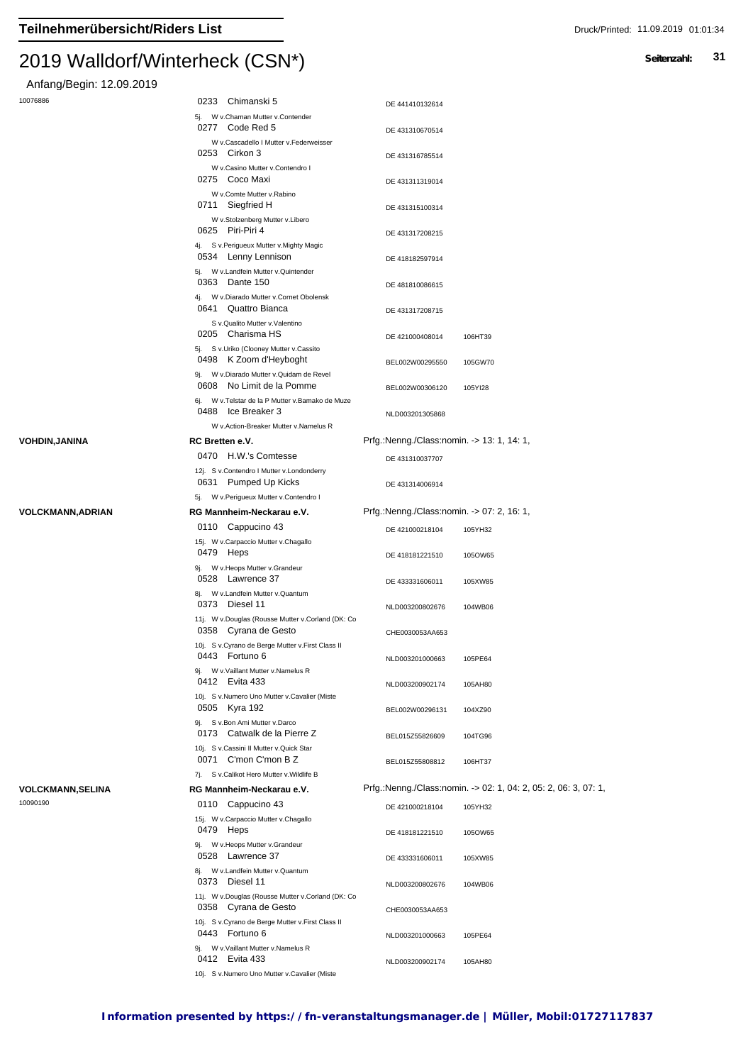Anfang/Begin: 12.09.2019

| 10076886 |  |
|----------|--|
|          |  |

| $1.11$ and $1.97$ Dogins $1.21$ . $2.03$ . $2.01$ |                                                                                                                  |                                            |                                                                 |
|---------------------------------------------------|------------------------------------------------------------------------------------------------------------------|--------------------------------------------|-----------------------------------------------------------------|
| 10076886                                          | Chimanski 5<br>0233                                                                                              | DE 441410132614                            |                                                                 |
|                                                   | 5j. W v.Chaman Mutter v.Contender<br>Code Red 5<br>0277                                                          | DE 431310670514                            |                                                                 |
|                                                   | W v.Cascadello I Mutter v.Federweisser<br>0253 Cirkon 3                                                          | DE 431316785514                            |                                                                 |
|                                                   | W v.Casino Mutter v.Contendro I<br>0275 Coco Maxi                                                                | DE 431311319014                            |                                                                 |
|                                                   | W v.Comte Mutter v.Rabino<br>0711<br>Siegfried H                                                                 | DE 431315100314                            |                                                                 |
|                                                   | W v.Stolzenberg Mutter v.Libero<br>0625 Piri-Piri 4                                                              | DE 431317208215                            |                                                                 |
|                                                   | 4j. Sv. Perigueux Mutter v. Mighty Magic<br>0534 Lenny Lennison                                                  | DE 418182597914                            |                                                                 |
|                                                   | 5j. W v.Landfein Mutter v.Quintender<br>0363<br>Dante 150                                                        | DE 481810086615                            |                                                                 |
|                                                   | 4j. W v.Diarado Mutter v.Cornet Obolensk<br>Quattro Bianca<br>0641                                               | DE 431317208715                            |                                                                 |
|                                                   | S v.Qualito Mutter v.Valentino<br>0205 Charisma HS                                                               | DE 421000408014                            | 106HT39                                                         |
|                                                   | 5j. S v.Uriko (Clooney Mutter v.Cassito<br>0498 K Zoom d'Heyboght                                                | BEL002W00295550                            | 105GW70                                                         |
|                                                   | 9j. W v.Diarado Mutter v.Quidam de Revel<br>0608 No Limit de la Pomme                                            | BEL002W00306120                            | 105YI28                                                         |
|                                                   | 6j. W v. Telstar de la P Mutter v. Bamako de Muze<br>0488 Ice Breaker 3<br>W v.Action-Breaker Mutter v.Namelus R | NLD003201305868                            |                                                                 |
| VOHDIN,JANINA                                     | RC Bretten e.V.                                                                                                  | Prfg.:Nenng./Class:nomin. -> 13: 1, 14: 1, |                                                                 |
|                                                   | 0470 H.W.'s Comtesse                                                                                             | DE 431310037707                            |                                                                 |
|                                                   | 12j. S v.Contendro I Mutter v.Londonderry<br>0631<br><b>Pumped Up Kicks</b>                                      | DE 431314006914                            |                                                                 |
|                                                   | 5j. W v.Perigueux Mutter v.Contendro I                                                                           |                                            |                                                                 |
| VOLCKMANN,ADRIAN                                  | RG Mannheim-Neckarau e.V.<br>0110 Cappucino 43                                                                   | Prfg.:Nenng./Class:nomin. -> 07: 2, 16: 1, |                                                                 |
|                                                   | 15j. W v.Carpaccio Mutter v.Chagallo                                                                             | DE 421000218104                            | 105YH32                                                         |
|                                                   | 0479 Heps                                                                                                        | DE 418181221510                            | 105OW65                                                         |
|                                                   | 9j. W v. Heops Mutter v. Grandeur<br>0528 Lawrence 37<br>8j. W v.Landfein Mutter v.Quantum                       | DE 433331606011                            | 105XW85                                                         |
|                                                   | 0373 Diesel 11<br>11j. W v.Douglas (Rousse Mutter v.Corland (DK: Co                                              | NLD003200802676                            | 104WB06                                                         |
|                                                   | 0358 Cyrana de Gesto                                                                                             | CHE0030053AA653                            |                                                                 |
|                                                   | 10j. S v.Cyrano de Berge Mutter v.First Class II<br>0443 Fortuno 6<br>9j. W v. Vaillant Mutter v. Namelus R      | NLD003201000663                            | 105PE64                                                         |
|                                                   | 0412 Evita 433<br>10j. S v.Numero Uno Mutter v.Cavalier (Miste                                                   | NLD003200902174                            | 105AH80                                                         |
|                                                   | 0505 Kyra 192<br>9j. S v.Bon Ami Mutter v.Darco                                                                  | BEL002W00296131                            | 104XZ90                                                         |
|                                                   | Catwalk de la Pierre Z<br>0173                                                                                   | BEL015Z55826609                            | 104TG96                                                         |
|                                                   | 10j. S v.Cassini II Mutter v.Quick Star<br>0071 C'mon C'mon B Z                                                  | BEL015Z55808812                            | 106HT37                                                         |
| VOLCKMANN,SELINA                                  | 7j. S v.Calikot Hero Mutter v.Wildlife B<br>RG Mannheim-Neckarau e.V.                                            |                                            | Prfg.:Nenng./Class:nomin. -> 02: 1, 04: 2, 05: 2, 06: 3, 07: 1, |
| 10090190                                          | 0110 Cappucino 43                                                                                                | DE 421000218104                            |                                                                 |
|                                                   | 15j. W v.Carpaccio Mutter v.Chagallo                                                                             |                                            | 105YH32                                                         |
|                                                   | 0479 Heps<br>9j. W v. Heops Mutter v. Grandeur                                                                   | DE 418181221510                            | 105OW65                                                         |
|                                                   | 0528 Lawrence 37<br>8j. W v.Landfein Mutter v.Quantum                                                            | DE 433331606011                            | 105XW85                                                         |
|                                                   | 0373<br>Diesel 11                                                                                                | NLD003200802676                            | 104WB06                                                         |
|                                                   | 11j. W v.Douglas (Rousse Mutter v.Corland (DK: Co<br>0358 Cyrana de Gesto                                        | CHE0030053AA653                            |                                                                 |
|                                                   | 10j. S v.Cyrano de Berge Mutter v.First Class II<br>0443 Fortuno 6                                               | NLD003201000663                            | 105PE64                                                         |
|                                                   | 9j. W v. Vaillant Mutter v. Namelus R<br>0412 Evita 433                                                          | NLD003200902174                            | 105AH80                                                         |

10j. S v.Numero Uno Mutter v.Cavalier (Miste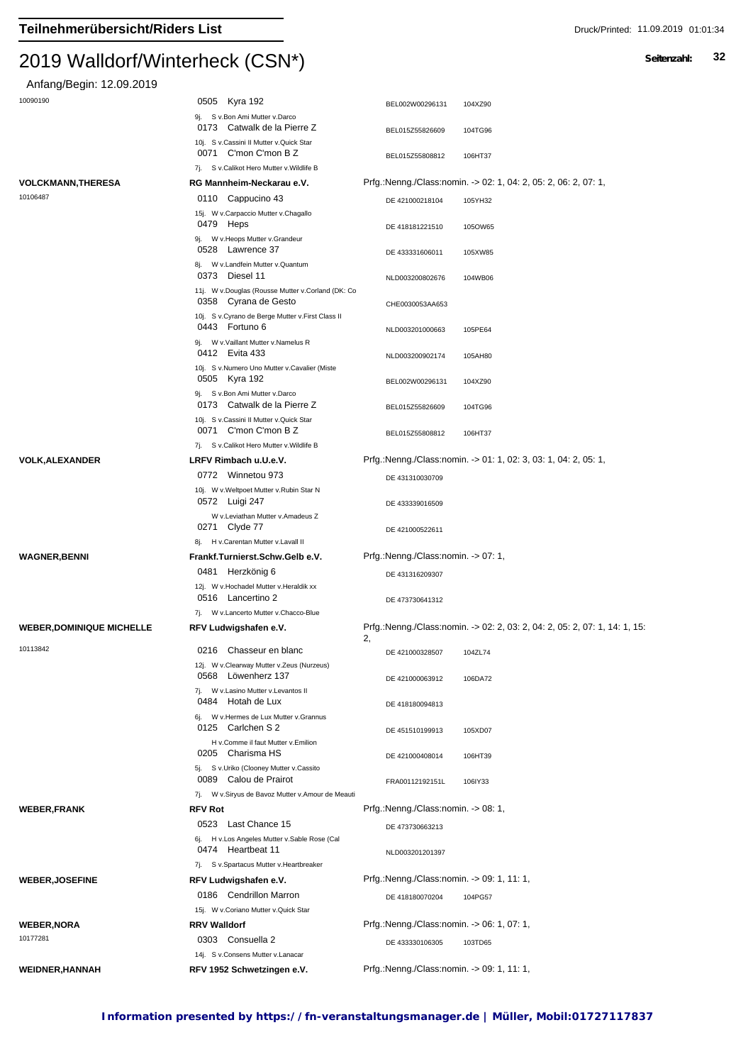| Anfang/Begin: 12.09.2019         |                                                                                  |                                                                                  |
|----------------------------------|----------------------------------------------------------------------------------|----------------------------------------------------------------------------------|
| 10090190                         | 0505 Kyra 192                                                                    | BEL002W00296131<br>104XZ90                                                       |
|                                  | 9j. S v.Bon Ami Mutter v.Darco<br>0173 Catwalk de la Pierre Z                    | BEL015Z55826609<br>104TG96                                                       |
|                                  | 10j. S v.Cassini II Mutter v.Quick Star<br>0071 C'mon C'mon B Z                  | BEL015Z55808812<br>106HT37                                                       |
|                                  | 7j. S v.Calikot Hero Mutter v.Wildlife B                                         |                                                                                  |
| <b>VOLCKMANN,THERESA</b>         | RG Mannheim-Neckarau e.V.                                                        | Prfg.:Nenng./Class:nomin. -> 02: 1, 04: 2, 05: 2, 06: 2, 07: 1,                  |
| 10106487                         | 0110 Cappucino 43<br>15j. W v.Carpaccio Mutter v.Chagallo<br>0479 Heps           | DE 421000218104<br>105YH32<br>DE 418181221510<br>105OW65                         |
|                                  | 9j. W v. Heops Mutter v. Grandeur<br>0528 Lawrence 37                            | DE 433331606011<br>105XW85                                                       |
|                                  | 8j. W v.Landfein Mutter v.Quantum<br>0373 Diesel 11                              | NLD003200802676<br>104WB06                                                       |
|                                  | 11j. W v.Douglas (Rousse Mutter v.Corland (DK: Co<br>0358 Cyrana de Gesto        | CHE0030053AA653                                                                  |
|                                  | 10j. S v.Cyrano de Berge Mutter v.First Class II<br>0443 Fortuno 6               | NLD003201000663<br>105PE64                                                       |
|                                  | 9j. W v. Vaillant Mutter v. Namelus R<br>0412 Evita 433                          | NLD003200902174<br>105AH80                                                       |
|                                  | 10j. S v.Numero Uno Mutter v.Cavalier (Miste<br>0505 Kyra 192                    | BEL002W00296131<br>104XZ90                                                       |
|                                  | 9j. S v.Bon Ami Mutter v.Darco<br>0173 Catwalk de la Pierre Z                    | BEL015Z55826609<br>104TG96                                                       |
|                                  | 10j. S v.Cassini II Mutter v.Quick Star<br>0071 C'mon C'mon B Z                  | BEL015Z55808812<br>106HT37                                                       |
|                                  | 7j. S v.Calikot Hero Mutter v. Wildlife B                                        |                                                                                  |
| <b>VOLK, ALEXANDER</b>           | LRFV Rimbach u.U.e.V.                                                            | Prfg.:Nenng./Class:nomin. -> 01: 1, 02: 3, 03: 1, 04: 2, 05: 1,                  |
|                                  | 0772 Winnetou 973<br>10j. W v. Weltpoet Mutter v. Rubin Star N<br>0572 Luigi 247 | DE 431310030709                                                                  |
|                                  | W v.Leviathan Mutter v.Amadeus Z<br>0271 Clyde 77                                | DE 433339016509<br>DE 421000522611                                               |
|                                  | 8j. H v.Carentan Mutter v.Lavall II                                              |                                                                                  |
| <b>WAGNER, BENNI</b>             | Frankf.Turnierst.Schw.Gelb e.V.                                                  | Prfg.:Nenng./Class:nomin. -> 07: 1,                                              |
|                                  | 0481 Herzkönig 6                                                                 | DE 431316209307                                                                  |
|                                  | 12j. W v.Hochadel Mutter v.Heraldik xx<br>0516 Lancertino 2                      | DE 473730641312                                                                  |
|                                  | 7j. W v.Lancerto Mutter v.Chacco-Blue                                            |                                                                                  |
| <b>WEBER, DOMINIQUE MICHELLE</b> | RFV Ludwigshafen e.V.                                                            | Prfg.:Nenng./Class:nomin. -> 02: 2, 03: 2, 04: 2, 05: 2, 07: 1, 14: 1, 15:<br>2, |
| 10113842                         | 0216 Chasseur en blanc<br>12j. W v.Clearway Mutter v.Zeus (Nurzeus)              | DE 421000328507<br>104ZL74                                                       |
|                                  | 0568 Löwenherz 137<br>7j. W v.Lasino Mutter v.Levantos II                        | 106DA72<br>DE 421000063912                                                       |
|                                  | 0484<br>Hotah de Lux<br>6j. W v.Hermes de Lux Mutter v.Grannus                   | DE 418180094813                                                                  |
|                                  | 0125 Carlchen S 2<br>H v.Comme il faut Mutter v.Emilion<br>0205 Charisma HS      | DE 451510199913<br>105XD07                                                       |
|                                  | 5j. S v.Uriko (Clooney Mutter v.Cassito<br>0089 Calou de Prairot                 | DE 421000408014<br>106HT39<br>FRA00112192151L<br>106IY33                         |
|                                  | 7j. W v.Siryus de Bavoz Mutter v.Amour de Meauti                                 | Prfg.:Nenng./Class:nomin. -> 08: 1,                                              |
| <b>WEBER,FRANK</b>               | <b>RFV Rot</b><br>Last Chance 15<br>0523                                         |                                                                                  |
|                                  | 6j. H v.Los Angeles Mutter v.Sable Rose (Cal                                     | DE 473730663213                                                                  |
|                                  | Heartbeat 11<br>0474<br>S v.Spartacus Mutter v.Heartbreaker<br>7j.               | NLD003201201397                                                                  |
| <b>WEBER, JOSEFINE</b>           | RFV Ludwigshafen e.V.                                                            | Prfg.:Nenng./Class:nomin. -> 09: 1, 11: 1,                                       |
|                                  | 0186 Cendrillon Marron<br>15j. W v.Coriano Mutter v.Quick Star                   | DE 418180070204<br>104PG57                                                       |
| <b>WEBER, NORA</b>               | <b>RRV Walldorf</b>                                                              | Prfg.:Nenng./Class:nomin. -> 06: 1, 07: 1,                                       |
| 10177281                         | 0303 Consuella 2                                                                 | DE 433330106305<br>103TD65                                                       |
|                                  | 14j. S v.Consens Mutter v.Lanacar                                                |                                                                                  |
| <b>WEIDNER, HANNAH</b>           | RFV 1952 Schwetzingen e.V.                                                       | Prfg.:Nenng./Class:nomin. -> 09: 1, 11: 1,                                       |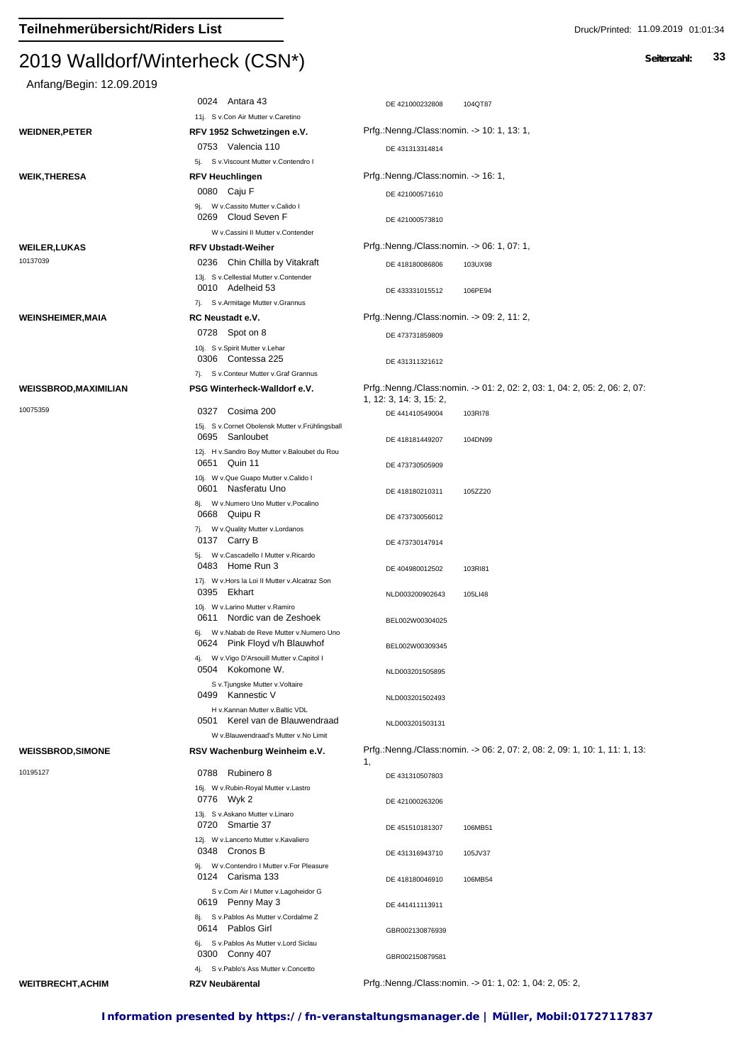### Anfang/E

|                             | ן זוטטן <i>הפוויסווויזייוווט</i> וווער (עוטוי                             |                                                                                                       |
|-----------------------------|---------------------------------------------------------------------------|-------------------------------------------------------------------------------------------------------|
| Anfang/Begin: 12.09.2019    |                                                                           |                                                                                                       |
|                             | 0024 Antara 43                                                            | DE 421000232808<br>104QT87                                                                            |
|                             | 11j. S v.Con Air Mutter v.Caretino                                        |                                                                                                       |
| <b>WEIDNER,PETER</b>        | RFV 1952 Schwetzingen e.V.                                                | Prfg.:Nenng./Class:nomin. -> 10: 1, 13: 1,                                                            |
|                             | 0753 Valencia 110                                                         | DE 431313314814                                                                                       |
|                             | 5j. S v.Viscount Mutter v.Contendro I                                     |                                                                                                       |
| WEIK,THERESA                | <b>RFV Heuchlingen</b>                                                    | Prfg.:Nenng./Class:nomin. -> 16: 1,                                                                   |
|                             | 0080 Caju F                                                               | DE 421000571610                                                                                       |
|                             | 9j. W v.Cassito Mutter v.Calido I<br>0269 Cloud Seven F                   | DE 421000573810                                                                                       |
|                             | W v.Cassini II Mutter v.Contender                                         |                                                                                                       |
| <b>WEILER,LUKAS</b>         | <b>RFV Ubstadt-Weiher</b>                                                 | Prfg.:Nenng./Class:nomin. -> 06: 1, 07: 1,                                                            |
| 10137039                    | 0236 Chin Chilla by Vitakraft                                             | 103UX98<br>DE 418180086806                                                                            |
|                             | 13j. S v.Cellestial Mutter v.Contender<br>0010 Adelheid 53                | DE 433331015512<br>106PE94                                                                            |
|                             | 7j. S v.Armitage Mutter v.Grannus                                         |                                                                                                       |
| WEINSHEIMER,MAIA            | RC Neustadt e.V.                                                          | Prfg.:Nenng./Class:nomin. -> 09: 2, 11: 2,                                                            |
|                             | 0728 Spot on 8                                                            | DE 473731859809                                                                                       |
|                             | 10j. S v.Spirit Mutter v.Lehar<br>0306 Contessa 225                       | DE 431311321612                                                                                       |
|                             | 7j. Sv.Conteur Mutter v.Graf Grannus                                      |                                                                                                       |
| <b>WEISSBROD,MAXIMILIAN</b> | PSG Winterheck-Walldorf e.V.                                              | Prfg.:Nenng./Class:nomin. -> 01: 2, 02: 2, 03: 1, 04: 2, 05: 2, 06: 2, 07:<br>1, 12: 3, 14: 3, 15: 2, |
| 10075359                    | 0327 Cosima 200                                                           | DE 441410549004<br>103RI78                                                                            |
|                             | 15j. S v.Cornet Obolensk Mutter v.Frühlingsball<br>0695 Sanloubet         | DE 418181449207<br>104DN99                                                                            |
|                             | 12j. H v.Sandro Boy Mutter v.Baloubet du Rou<br>0651 Quin 11              | DE 473730505909                                                                                       |
|                             | 10j. W v. Que Guapo Mutter v. Calido I<br>0601 Nasferatu Uno              | DE 418180210311<br>105ZZ20                                                                            |
|                             | 8j. W v.Numero Uno Mutter v.Pocalino<br>0668 Quipu R                      | DE 473730056012                                                                                       |
|                             | 7j. W v. Quality Mutter v. Lordanos<br>0137 Carry B                       | DE 473730147914                                                                                       |
|                             | 5j. W v.Cascadello I Mutter v.Ricardo                                     |                                                                                                       |
|                             | 0483 Home Run 3<br>17j. W v.Hors la Loi II Mutter v.Alcatraz Son          | DE 404980012502<br>103RI81                                                                            |
|                             | 0395 Ekhart<br>10j. W v.Larino Mutter v.Ramiro                            | NLD003200902643<br>105LI48                                                                            |
|                             | 0611 Nordic van de Zeshoek                                                | BEL002W00304025                                                                                       |
|                             | 6j. W v.Nabab de Reve Mutter v.Numero Uno<br>0624 Pink Floyd v/h Blauwhof | BEL002W00309345                                                                                       |
|                             | 4j. W v. Vigo D'Arsouill Mutter v. Capitol I<br>0504 Kokomone W.          | NLD003201505895                                                                                       |
|                             | S v. Tjungske Mutter v. Voltaire<br>0499 Kannestic V                      | NLD003201502493                                                                                       |
|                             | H v.Kannan Mutter v.Baltic VDL<br>0501 Kerel van de Blauwendraad          | NLD003201503131                                                                                       |
|                             | W v.Blauwendraad's Mutter v.No Limit                                      |                                                                                                       |
| <b>WEISSBROD,SIMONE</b>     | RSV Wachenburg Weinheim e.V.                                              | Prfg.:Nenng./Class:nomin. -> 06: 2, 07: 2, 08: 2, 09: 1, 10: 1, 11: 1, 13:<br>1,                      |
| 10195127                    | 0788 Rubinero 8                                                           | DE 431310507803                                                                                       |
|                             | 16j. W v.Rubin-Royal Mutter v.Lastro<br>0776 Wyk 2                        | DE 421000263206                                                                                       |
|                             | 13j. S v.Askano Mutter v.Linaro                                           |                                                                                                       |

**WEITBRECHT,ACHIM RZV Neubärental** Prfg.:Nenng./Class:nomin. -> 01: 1, 02: 1, 04: 2, 05: 2,

DE 418180046910 106MB54

ordination of the SM and the SM and the SM and the SM and the SM and the SM and the SM and the SM and the SM and the SM and the SM and the SM and the SM and the SM and the SM and the SM and the SM and the SM and the SM and

0348 Cronos B DE 431316943710 105JV37

0619 Penny May 3 DE 441411113911

0614 Pablos Girl GBR002130876939

0300 Conny 407 GBR002150879581

12j. W v.Lancerto Mutter v.Kavaliero

0124 Carisma 133

9j. W v.Contendro I Mutter v.For Pleasure

8j. S v.Pablos As Mutter v.Cordalme Z

6j. S v.Pablos As Mutter v.Lord Siclau

4j. S v.Pablo's Ass Mutter v.Concetto

S v.Com Air I Mutter v.Lagoheidor G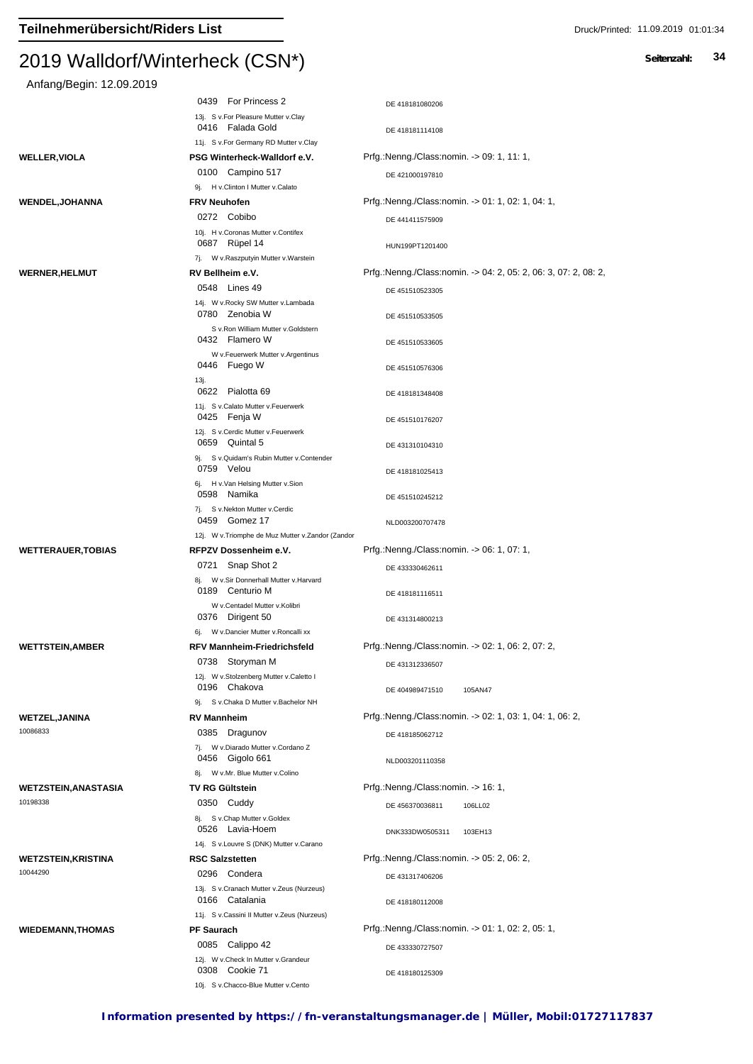| Anfang/Begin: 12.09.2019       |                                                                                    |                                                                 |
|--------------------------------|------------------------------------------------------------------------------------|-----------------------------------------------------------------|
|                                | 0439 For Princess 2                                                                | DE 418181080206                                                 |
|                                | 13j. S v.For Pleasure Mutter v.Clay<br>0416 Falada Gold                            | DE 418181114108                                                 |
|                                | 11j. S v.For Germany RD Mutter v.Clay                                              |                                                                 |
| WELLER,VIOLA                   | PSG Winterheck-Walldorf e.V.                                                       | Prfg.:Nenng./Class:nomin. -> 09: 1, 11: 1,                      |
|                                | 0100 Campino 517                                                                   | DE 421000197810                                                 |
|                                | 9j. H v.Clinton I Mutter v.Calato                                                  |                                                                 |
| WENDEL,JOHANNA                 | <b>FRV Neuhofen</b>                                                                | Prfg.:Nenng./Class:nomin. -> 01: 1, 02: 1, 04: 1,               |
|                                | 0272 Cobibo                                                                        | DE 441411575909                                                 |
|                                | 10j. H v.Coronas Mutter v.Contifex<br>0687 Rüpel 14                                | HUN199PT1201400                                                 |
|                                | 7j. W v.Raszputyin Mutter v.Warstein                                               |                                                                 |
| <b>WERNER,HELMUT</b>           | RV Bellheim e.V.                                                                   | Prfg.:Nenng./Class:nomin. -> 04: 2, 05: 2, 06: 3, 07: 2, 08: 2, |
|                                | 0548 Lines 49                                                                      | DE 451510523305                                                 |
|                                | 14j. W v.Rocky SW Mutter v.Lambada<br>0780 Zenobia W                               | DE 451510533505                                                 |
|                                | S v.Ron William Mutter v.Goldstern<br>0432 Flamero W                               | DE 451510533605                                                 |
|                                | W v.Feuerwerk Mutter v.Argentinus                                                  |                                                                 |
|                                | 0446 Fuego W<br>13j.                                                               | DE 451510576306                                                 |
|                                | 0622 Pialotta 69<br>11j. S v.Calato Mutter v.Feuerwerk                             | DE 418181348408                                                 |
|                                | 0425 Fenja W                                                                       | DE 451510176207                                                 |
|                                | 12j. S v.Cerdic Mutter v.Feuerwerk<br>0659 Quintal 5                               | DE 431310104310                                                 |
|                                | 9j. S v. Quidam's Rubin Mutter v. Contender<br>0759 Velou                          | DE 418181025413                                                 |
|                                | 6j. H v.Van Helsing Mutter v.Sion<br>0598 Namika<br>7j. S v.Nekton Mutter v.Cerdic | DE 451510245212                                                 |
|                                | 0459 Gomez 17<br>12j. W v. Triomphe de Muz Mutter v. Zandor (Zandor                | NLD003200707478                                                 |
| <b>WETTERAUER,TOBIAS</b>       | RFPZV Dossenheim e.V.                                                              | Prfg.:Nenng./Class:nomin. -> 06: 1, 07: 1,                      |
|                                | 0721 Snap Shot 2                                                                   |                                                                 |
|                                | 8j. W v.Sir Donnerhall Mutter v.Harvard<br>0189 Centurio M                         | DE 433330462611<br>DE 418181116511                              |
|                                | W v.Centadel Mutter v.Kolibri                                                      |                                                                 |
|                                | 0376 Dirigent 50                                                                   | DE 431314800213                                                 |
|                                | 6j. W v.Dancier Mutter v.Roncalli xx                                               |                                                                 |
| WETTSTEIN,AMBER                | <b>RFV Mannheim-Friedrichsfeld</b>                                                 | Prfg.:Nenng./Class:nomin. - > 02: 1, 06: 2, 07: 2,              |
|                                | 0738 Storyman M<br>12j. W v.Stolzenberg Mutter v.Caletto I                         | DE 431312336507                                                 |
|                                | 0196 Chakova                                                                       | DE 404989471510<br>105AN47                                      |
|                                | 9j. S v.Chaka D Mutter v.Bachelor NH                                               |                                                                 |
| WETZEL,JANINA                  | <b>RV Mannheim</b>                                                                 | Prfg.:Nenng./Class:nomin. -> 02: 1, 03: 1, 04: 1, 06: 2,        |
| 10086833                       | 0385 Dragunov                                                                      | DE 418185062712                                                 |
|                                | 7j. W v.Diarado Mutter v.Cordano Z<br>0456 Gigolo 661                              | NLD003201110358                                                 |
|                                | 8j. W v.Mr. Blue Mutter v.Colino                                                   |                                                                 |
| WETZSTEIN,ANASTASIA            | <b>TV RG Gültstein</b>                                                             | Prfg.:Nenng./Class:nomin. -> 16: 1,                             |
| 10198338                       | 0350 Cuddy                                                                         | DE 456370036811<br>106LL02                                      |
|                                | 8j. S v.Chap Mutter v.Goldex<br>0526 Lavia-Hoem                                    | DNK333DW0505311<br>103EH13                                      |
|                                | 14j. S v.Louvre S (DNK) Mutter v.Carano                                            |                                                                 |
| WETZSTEIN,KRISTINA<br>10044290 | <b>RSC Salzstetten</b>                                                             | Prfg.:Nenng./Class:nomin. -> 05: 2, 06: 2,                      |
|                                | 0296 Condera                                                                       | DE 431317406206                                                 |
|                                | 13j. S v.Cranach Mutter v.Zeus (Nurzeus)<br>0166 Catalania                         |                                                                 |
|                                | 11j. S v.Cassini II Mutter v.Zeus (Nurzeus)                                        | DE 418180112008                                                 |
| <b>WIEDEMANN,THOMAS</b>        | <b>PF Saurach</b>                                                                  | Prfg.:Nenng./Class:nomin. -> 01: 1, 02: 2, 05: 1,               |
|                                | 0085 Calippo 42                                                                    | DE 433330727507                                                 |
|                                | 12j. W v.Check In Mutter v.Grandeur<br>0308 Cookie 71                              | DE 418180125309                                                 |
|                                | 10j. S v.Chacco-Blue Mutter v.Cento                                                |                                                                 |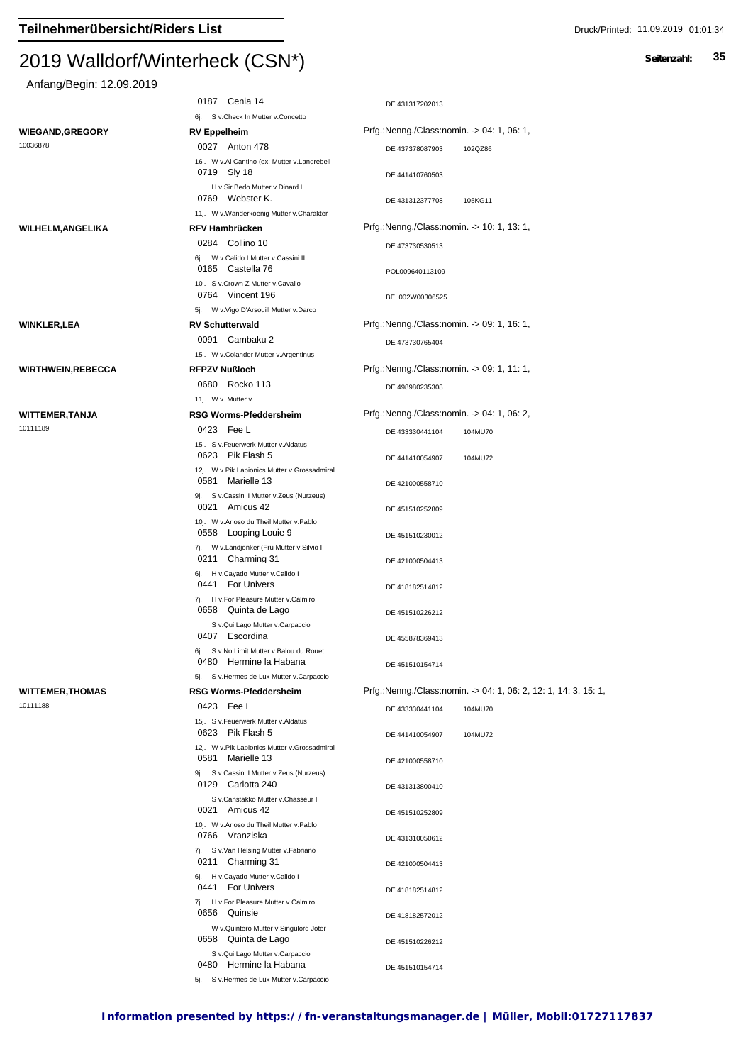| Anfang/Begin: 12.09.2019 |  |
|--------------------------|--|
|--------------------------|--|

| $7.0001$ graded $1.0001$ and $1.0001$ and $1.0001$ and $1.0001$ and $1.0001$ and $1.0001$ and $1.0001$ and $1.0001$ and $1.0001$ and $1.0001$ and $1.0001$ and $1.0001$ and $1.0001$ and $1.0001$ and $1.0001$ and $1.0001$ a |                                                                                                       |                                                                 |
|-------------------------------------------------------------------------------------------------------------------------------------------------------------------------------------------------------------------------------|-------------------------------------------------------------------------------------------------------|-----------------------------------------------------------------|
|                                                                                                                                                                                                                               | 0187 Cenia 14                                                                                         | DE 431317202013                                                 |
|                                                                                                                                                                                                                               | 6j. S v.Check In Mutter v.Concetto                                                                    |                                                                 |
| <b>WIEGAND, GREGORY</b><br>10036878                                                                                                                                                                                           | <b>RV Eppelheim</b>                                                                                   | Prfg.:Nenng./Class:nomin. -> 04: 1, 06: 1,                      |
|                                                                                                                                                                                                                               | 0027 Anton 478<br>16j. W v.Al Cantino (ex: Mutter v.Landrebell                                        | DE 437378087903<br>102QZ86                                      |
|                                                                                                                                                                                                                               | 0719 Sly 18<br>H v.Sir Bedo Mutter v.Dinard L                                                         | DE 441410760503                                                 |
|                                                                                                                                                                                                                               | 0769 Webster K.<br>11j. W v. Wanderkoenig Mutter v. Charakter                                         | 105KG11<br>DE 431312377708                                      |
| <b>WILHELM, ANGELIKA</b>                                                                                                                                                                                                      | <b>RFV Hambrücken</b>                                                                                 | Prfg.:Nenng./Class:nomin. -> 10: 1, 13: 1,                      |
|                                                                                                                                                                                                                               | 0284 Collino 10                                                                                       | DE 473730530513                                                 |
|                                                                                                                                                                                                                               | 6j. W v.Calido I Mutter v.Cassini II<br>0165 Castella 76                                              | POL009640113109                                                 |
|                                                                                                                                                                                                                               | 10j. S v.Crown Z Mutter v.Cavallo<br>0764 Vincent 196                                                 | BEL002W00306525                                                 |
|                                                                                                                                                                                                                               | 5j. W v. Vigo D'Arsouill Mutter v. Darco                                                              |                                                                 |
| <b>WINKLER,LEA</b>                                                                                                                                                                                                            | <b>RV Schutterwald</b>                                                                                | Prfg.:Nenng./Class:nomin. -> 09: 1, 16: 1,                      |
|                                                                                                                                                                                                                               | 0091 Cambaku 2                                                                                        | DE 473730765404                                                 |
|                                                                                                                                                                                                                               | 15j. W v.Colander Mutter v.Argentinus                                                                 |                                                                 |
| <b>WIRTHWEIN, REBECCA</b>                                                                                                                                                                                                     | <b>RFPZV Nußloch</b>                                                                                  | Prfg.:Nenng./Class:nomin. -> 09: 1, 11: 1,                      |
|                                                                                                                                                                                                                               | 0680 Rocko 113                                                                                        | DE 498980235308                                                 |
| <b>WITTEMER, TANJA</b>                                                                                                                                                                                                        | 11j. W v. Mutter v.<br><b>RSG Worms-Pfeddersheim</b>                                                  | Prfg.:Nenng./Class:nomin. -> 04: 1, 06: 2,                      |
| 10111189                                                                                                                                                                                                                      | 0423 Fee L                                                                                            | DE 433330441104                                                 |
|                                                                                                                                                                                                                               | 15j. S v.Feuerwerk Mutter v.Aldatus<br>0623 Pik Flash 5                                               | 104MU70<br>DE 441410054907<br>104MU72                           |
|                                                                                                                                                                                                                               | 12j. W v.Pik Labionics Mutter v.Grossadmiral<br>0581 Marielle 13                                      | DE 421000558710                                                 |
|                                                                                                                                                                                                                               | 9j. S v.Cassini I Mutter v.Zeus (Nurzeus)<br>0021 Amicus 42                                           | DE 451510252809                                                 |
|                                                                                                                                                                                                                               | 10j. W v.Arioso du Theil Mutter v.Pablo<br>0558 Looping Louie 9                                       | DE 451510230012                                                 |
|                                                                                                                                                                                                                               | 7j. W v.Landjonker (Fru Mutter v.Silvio I<br>0211 Charming 31                                         | DE 421000504413                                                 |
|                                                                                                                                                                                                                               | 6j. H v.Cayado Mutter v.Calido I<br>0441 For Univers<br>7j. H v.For Pleasure Mutter v.Calmiro         | DE 418182514812                                                 |
|                                                                                                                                                                                                                               | 0658 Quinta de Lago<br>S v.Qui Lago Mutter v.Carpaccio                                                | DE 451510226212                                                 |
|                                                                                                                                                                                                                               | 0407 Escordina<br>6j. S v.No Limit Mutter v.Balou du Rouet                                            | DE 455878369413                                                 |
|                                                                                                                                                                                                                               | 0480 Hermine la Habana<br>5j. S v.Hermes de Lux Mutter v.Carpaccio                                    | DE 451510154714                                                 |
| <b>WITTEMER, THOMAS</b><br>10111188                                                                                                                                                                                           | <b>RSG Worms-Pfeddersheim</b>                                                                         | Prfg.:Nenng./Class:nomin. -> 04: 1, 06: 2, 12: 1, 14: 3, 15: 1, |
|                                                                                                                                                                                                                               | 0423 Fee L<br>15j. S v. Feuerwerk Mutter v. Aldatus                                                   | DE 433330441104<br>104MU70                                      |
|                                                                                                                                                                                                                               | 0623 Pik Flash 5<br>12j. W v.Pik Labionics Mutter v.Grossadmiral                                      | DE 441410054907<br>104MU72                                      |
|                                                                                                                                                                                                                               | 0581 Marielle 13<br>9j. S v.Cassini I Mutter v.Zeus (Nurzeus)                                         | DE 421000558710                                                 |
|                                                                                                                                                                                                                               | 0129 Carlotta 240<br>S v.Canstakko Mutter v.Chasseur I                                                | DE 431313800410                                                 |
|                                                                                                                                                                                                                               | 0021 Amicus 42<br>10j. W v.Arioso du Theil Mutter v.Pablo<br>0766 Vranziska                           | DE 451510252809                                                 |
|                                                                                                                                                                                                                               | 7j. S v.Van Helsing Mutter v.Fabriano<br>0211 Charming 31                                             | DE 431310050612                                                 |
|                                                                                                                                                                                                                               | 6j. H v.Cayado Mutter v.Calido I<br>0441 For Univers                                                  | DE 421000504413<br>DE 418182514812                              |
|                                                                                                                                                                                                                               | 7j. H v.For Pleasure Mutter v.Calmiro<br>0656 Quinsie                                                 | DE 418182572012                                                 |
|                                                                                                                                                                                                                               | W v.Quintero Mutter v.Singulord Joter<br>0658 Quinta de Lago                                          | DE 451510226212                                                 |
|                                                                                                                                                                                                                               | S v.Qui Lago Mutter v.Carpaccio<br>0480 Hermine la Habana<br>5j. S v.Hermes de Lux Mutter v.Carpaccio | DE 451510154714                                                 |
|                                                                                                                                                                                                                               |                                                                                                       |                                                                 |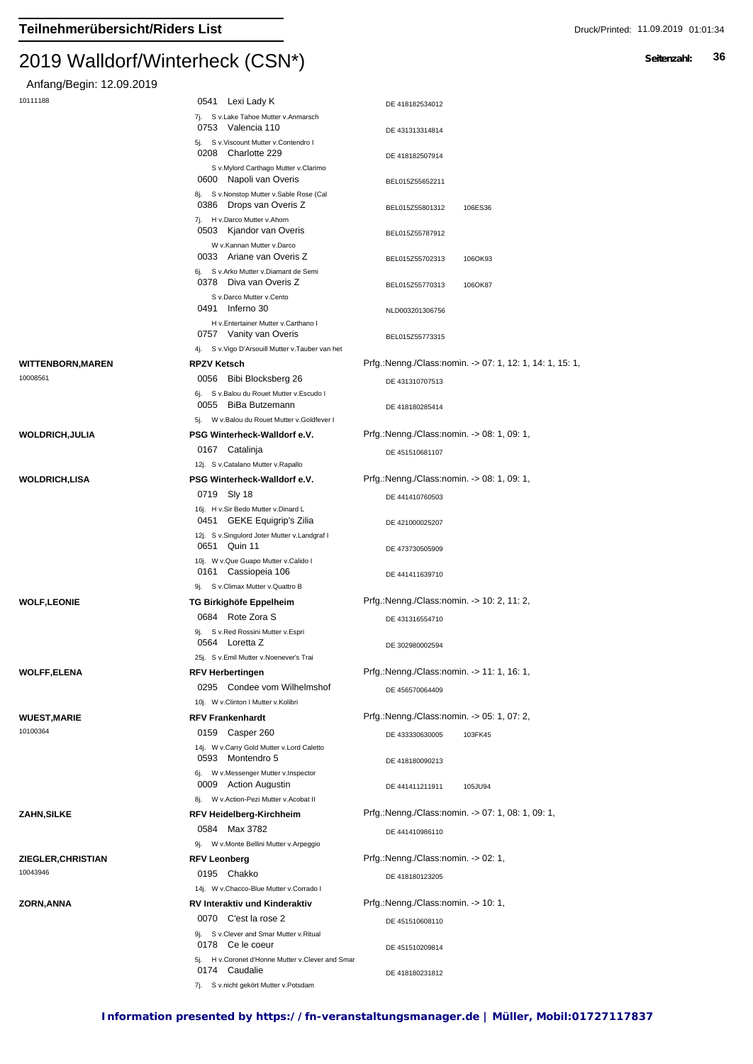#### $2019$  Walldon Winterheck (CSN $\gamma$ )

Anfang/Begin: 12.09.2019

| Hillariy Deylii. 12.09.2019 |                                                                                                     |                                                          |
|-----------------------------|-----------------------------------------------------------------------------------------------------|----------------------------------------------------------|
| 10111188                    | 0541 Lexi Lady K                                                                                    | DE 418182534012                                          |
|                             | 7j. S v.Lake Tahoe Mutter v.Anmarsch                                                                |                                                          |
|                             | 0753 Valencia 110<br>5j. S v. Viscount Mutter v. Contendro I                                        | DE 431313314814                                          |
|                             | 0208 Charlotte 229<br>S v.Mylord Carthago Mutter v.Clarimo                                          | DE 418182507914                                          |
|                             | 0600 Napoli van Overis                                                                              | BEL015Z55652211                                          |
|                             | 8j. S v.Nonstop Mutter v.Sable Rose (Cal<br>0386 Drops van Overis Z<br>7j. H v.Darco Mutter v.Ahorn | BEL015Z55801312<br>106ES36                               |
|                             | 0503 Kjandor van Overis                                                                             | BEL015Z55787912                                          |
|                             | W v.Kannan Mutter v.Darco<br>0033 Ariane van Overis Z                                               | BEL015Z55702313<br>106OK93                               |
|                             | 6j. S v.Arko Mutter v.Diamant de Semi<br>0378 Diva van Overis Z                                     | BEL015Z55770313<br>106OK87                               |
|                             | S v.Darco Mutter v.Cento<br>0491 Inferno 30                                                         | NLD003201306756                                          |
|                             | H v.Entertainer Mutter v.Carthano I<br>0757 Vanity van Overis                                       | BEL015Z55773315                                          |
|                             | 4j. S v. Vigo D'Arsouill Mutter v. Tauber van het                                                   |                                                          |
| WITTENBORN,MAREN            | <b>RPZV Ketsch</b>                                                                                  | Prfg.:Nenng./Class:nomin. -> 07: 1, 12: 1, 14: 1, 15: 1, |
| 10008561                    | 0056<br>Bibi Blocksberg 26                                                                          | DE 431310707513                                          |
|                             | 6j. S v.Balou du Rouet Mutter v.Escudo I                                                            |                                                          |
|                             | 0055 BiBa Butzemann<br>5j. W v.Balou du Rouet Mutter v.Goldfever I                                  | DE 418180285414                                          |
| WOLDRICH,JULIA              | PSG Winterheck-Walldorf e.V.                                                                        | Prfg.:Nenng./Class:nomin. -> 08: 1, 09: 1,               |
|                             | 0167 Catalinja                                                                                      | DE 451510681107                                          |
|                             | 12j. S v.Catalano Mutter v.Rapallo                                                                  |                                                          |
| WOLDRICH,LISA               | PSG Winterheck-Walldorf e.V.                                                                        | Prfg.:Nenng./Class:nomin. -> 08: 1, 09: 1,               |
|                             | 0719 Sly 18                                                                                         | DE 441410760503                                          |
|                             | 16j. H v.Sir Bedo Mutter v.Dinard L                                                                 |                                                          |
|                             | 0451 GEKE Equigrip's Zilia                                                                          | DE 421000025207                                          |
|                             | 12j. S v.Singulord Joter Mutter v.Landgraf I<br>0651 Quin 11                                        | DE 473730505909                                          |
|                             | 10j. W v.Que Guapo Mutter v.Calido I<br>0161 Cassiopeia 106                                         | DE 441411639710                                          |
|                             | 9j. S v.Climax Mutter v.Quattro B                                                                   |                                                          |
| <b>WOLF,LEONIE</b>          | TG Birkighöfe Eppelheim                                                                             | Prfg.:Nenng./Class:nomin. -> 10: 2, 11: 2,               |
|                             | 0684 Rote Zora S                                                                                    | DE 431316554710                                          |
|                             | 9j. S v.Red Rossini Mutter v.Espri<br>0564 Loretta Z                                                | DE 302980002594                                          |
|                             | 25j. S v.Emil Mutter v.Noenever's Trai                                                              |                                                          |
| <b>WOLFF,ELENA</b>          | <b>RFV Herbertingen</b>                                                                             | Prfg.:Nenng./Class:nomin. -> 11: 1, 16: 1,               |
|                             | 0295 Condee vom Wilhelmshof                                                                         | DE 456570064409                                          |
|                             | 10j. W v.Clinton I Mutter v.Kolibri                                                                 |                                                          |
| <b>WUEST,MARIE</b>          | <b>RFV Frankenhardt</b>                                                                             | Prfg.:Nenng./Class:nomin. -> 05: 1, 07: 2,               |
| 10100364                    | 0159 Casper 260                                                                                     | DE 433330630005<br>103FK45                               |
|                             | 14j. W v.Carry Gold Mutter v.Lord Caletto<br>0593 Montendro 5                                       | DE 418180090213                                          |
|                             | 6j. W v.Messenger Mutter v.Inspector<br>0009 Action Augustin                                        | DE 441411211911<br>105JU94                               |
|                             | 8j. W v.Action-Pezi Mutter v.Acobat II                                                              |                                                          |
| ZAHN,SILKE                  | <b>RFV Heidelberg-Kirchheim</b>                                                                     | Prfg.:Nenng./Class:nomin. -> 07: 1, 08: 1, 09: 1,        |
|                             | 0584 Max 3782                                                                                       | DE 441410986110                                          |
|                             | 9j. W v.Monte Bellini Mutter v.Arpeggio                                                             |                                                          |
| ZIEGLER,CHRISTIAN           | <b>RFV Leonberg</b>                                                                                 | Prfg.:Nenng./Class:nomin. -> 02: 1,                      |
| 10043946                    | 0195 Chakko                                                                                         | DE 418180123205                                          |
|                             | 14j. W v.Chacco-Blue Mutter v.Corrado I                                                             |                                                          |
| ZORN,ANNA                   | <b>RV Interaktiv und Kinderaktiv</b>                                                                | Prfg.:Nenng./Class:nomin. -> 10: 1,                      |
|                             | 0070 C'est la rose 2                                                                                | DE 451510608110                                          |
|                             | 9j. S v.Clever and Smar Mutter v.Ritual                                                             |                                                          |
|                             | 0178 Ce le coeur                                                                                    | DE 451510209814                                          |
|                             | 5j. H v.Coronet d'Honne Mutter v.Clever and Smar<br>0174 Caudalie                                   |                                                          |
|                             |                                                                                                     | DE 418180231812                                          |

7j. S v.nicht gekört Mutter v.Potsdam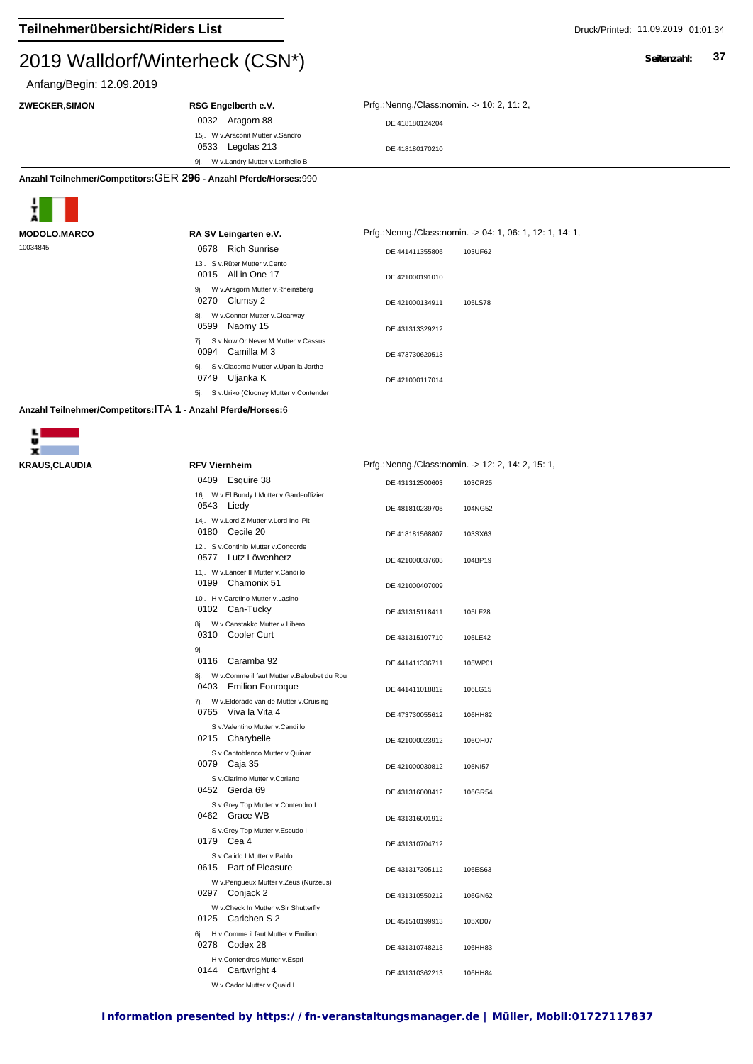#### $2019$  Walldon Winterheck (CSN $\gamma$ )

## Anfang/Begin: 12.09.2019

0032 Aragorn 88 DE 418180124204 15j. W v.Araconit Mutter v.Sandro 0533 Legolas 213

9j. W v.Landry Mutter v.Lorthello B

**ZWECKER,SIMON RSG Engelberth e.V.** Prfg.:Nenng./Class:nomin. -> 10: 2, 11: 2,

DE 418180170210

**Anzahl Teilnehmer/Competitors:**GER **296 - Anzahl Pferde/Horses:**990



| <b>ALI</b>           |                                                                 |                                                          |  |
|----------------------|-----------------------------------------------------------------|----------------------------------------------------------|--|
| <b>MODOLO, MARCO</b> | RA SV Leingarten e.V.                                           | Prfg.:Nenng./Class:nomin. -> 04: 1, 06: 1, 12: 1, 14: 1, |  |
| 10034845             | <b>Rich Sunrise</b><br>0678                                     | DE 441411355806<br>103UF62                               |  |
|                      | 13j. S v.Rüter Mutter v.Cento<br>0015 All in One 17             | DE 421000191010                                          |  |
|                      | W v.Aragorn Mutter v.Rheinsberg<br>9j.<br>0270<br>Clumsy 2      | DE 421000134911<br>105LS78                               |  |
|                      | W v.Connor Mutter v.Clearway<br>8i.<br>0599<br>Naomy 15         | DE 431313329212                                          |  |
|                      | S v.Now Or Never M Mutter v.Cassus<br>7i.<br>0094 Camilla M 3   | DE 473730620513                                          |  |
|                      | S v.Ciacomo Mutter v.Upan la Jarthe<br>6j.<br>0749<br>Uljanka K | DE 421000117014                                          |  |
|                      | S v.Uriko (Clooney Mutter v.Contender<br>5j.                    |                                                          |  |

**Anzahl Teilnehmer/Competitors:**ITA **1 - Anzahl Pferde/Horses:**6



| <b>KRAUS, CLAUDIA</b> | <b>RFV Viernheim</b>                                                                | Prfg.:Nenng./Class:nomin. -> 12: 2, 14: 2, 15: 1, |
|-----------------------|-------------------------------------------------------------------------------------|---------------------------------------------------|
|                       | 0409 Esquire 38                                                                     | DE 431312500603<br>103CR25                        |
|                       | 16j. W v.El Bundy I Mutter v.Gardeoffizier<br>0543 Liedy                            | DE 481810239705<br>104NG52                        |
|                       | 14j. W v.Lord Z Mutter v.Lord Inci Pit<br>0180 Cecile 20                            | DE 418181568807<br>103SX63                        |
|                       | 12j. S v.Continio Mutter v.Concorde<br>0577 Lutz Löwenherz                          | DE 421000037608<br>104BP19                        |
|                       | 11j. W v.Lancer II Mutter v.Candillo<br>0199 Chamonix 51                            | DE 421000407009                                   |
|                       | 10j. H v.Caretino Mutter v.Lasino<br>0102 Can-Tucky                                 | DE 431315118411<br>105LF28                        |
|                       | 8j. W v.Canstakko Mutter v.Libero<br>0310 Cooler Curt                               | DE 431315107710<br>105LE42                        |
|                       | 9j.<br>0116 Caramba 92                                                              | DE 441411336711<br>105WP01                        |
|                       | 8j. W v.Comme il faut Mutter v.Baloubet du Rou<br>0403 Emilion Fonroque             | DE 441411018812<br>106LG15                        |
|                       | 7j. W v.Eldorado van de Mutter v.Cruising<br>0765 Viva la Vita 4                    | DE 473730055612<br>106HH82                        |
|                       | S v.Valentino Mutter v.Candillo<br>0215 Charybelle                                  | DE 421000023912<br>106OH07                        |
|                       | S v.Cantoblanco Mutter v.Quinar<br>0079 Caja 35                                     | DE 421000030812<br>105NI57                        |
|                       | S v.Clarimo Mutter v.Coriano<br>0452 Gerda 69                                       | DE 431316008412<br>106GR54                        |
|                       | S v.Grey Top Mutter v.Contendro I<br>0462 Grace WB                                  | DE 431316001912                                   |
|                       | S v.Grey Top Mutter v.Escudo I<br>0179 Cea 4                                        | DE 431310704712                                   |
|                       | S v.Calido I Mutter v.Pablo<br>0615 Part of Pleasure                                | DE 431317305112<br>106ES63                        |
|                       | W v.Perigueux Mutter v.Zeus (Nurzeus)<br>0297 Conjack 2                             | DE 431310550212<br>106GN62                        |
|                       | W v.Check In Mutter v.Sir Shutterfly<br>0125 Carlchen S 2                           | DE 451510199913<br>105XD07                        |
|                       | 6j. H v.Comme il faut Mutter v.Emilion<br>0278 Codex 28                             | DE 431310748213<br>106HH83                        |
|                       | H v.Contendros Mutter v.Espri<br>0144<br>Cartwright 4<br>W v.Cador Mutter v.Quaid I | DE 431310362213<br>106HH84                        |
|                       |                                                                                     |                                                   |